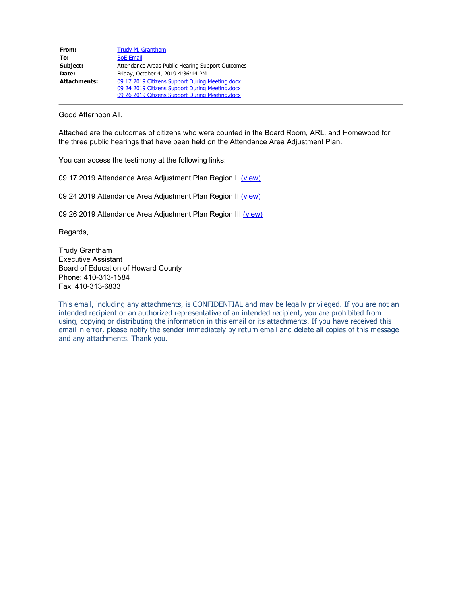| From:               | Trudy M. Grantham                                |
|---------------------|--------------------------------------------------|
| To:                 | <b>BoE Email</b>                                 |
| Subject:            | Attendance Areas Public Hearing Support Outcomes |
| Date:               | Friday, October 4, 2019 4:36:14 PM               |
| <b>Attachments:</b> | 09 17 2019 Citizens Support During Meeting.docx  |
|                     | 09 24 2019 Citizens Support During Meeting.docx  |
|                     | 09 26 2019 Citizens Support During Meeting.docx  |

Good Afternoon All,

Attached are the outcomes of citizens who were counted in the Board Room, ARL, and Homewood for the three public hearings that have been held on the Attendance Area Adjustment Plan.

You can access the testimony at the following links:

09 17 2019 Attendance Area Adjustment Plan Region I [\(view\)](https://go.boarddocs.com/mabe/hcpssmd/Board.nsf/files/BGCGFB438A3A/$file/09%2017%202019%20PH%20I%20Region%20I%20Centennial%20HS%20Howard%20HS%20Mt.%20Hebron%20HS%2C%20Oakland%20Mills%20HS%20and%20feeders%20Testimony.pdf)

09 24 2019 Attendance Area Adjustment Plan Region II [\(view\)](https://go.boarddocs.com/mabe/hcpssmd/Board.nsf/files/BGJMLB5A6C27/$file/09%2024%202019%20Public%20Hearing%20Region%20II%20Testimony.pdf)

09 26 2019 Attendance Area Adjustment Plan Region III [\(view\)](https://go.boarddocs.com/mabe/hcpssmd/Board.nsf/files/BGLKKR51A472/$file/09%2026%202019%20PH%20AAA%20Region%20III%20Testimony.pdf)

Regards,

Trudy Grantham Executive Assistant Board of Education of Howard County Phone: 410-313-1584 Fax: 410-313-6833

This email, including any attachments, is CONFIDENTIAL and may be legally privileged. If you are not an intended recipient or an authorized representative of an intended recipient, you are prohibited from using, copying or distributing the information in this email or its attachments. If you have received this email in error, please notify the sender immediately by return email and delete all copies of this message and any attachments. Thank you.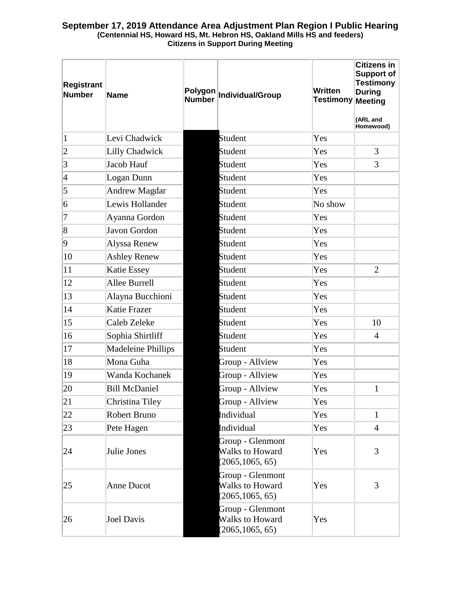# **September 17, 2019 Attendance Area Adjustment Plan Region I Public Hearing (Centennial HS, Howard HS, Mt. Hebron HS, Oakland Mills HS and feeders) Citizens in Support During Meeting**

| <b>Registrant</b><br><b>Number</b> | Name                      | <b>Number</b> | Polygon Individual/Group                                       | <b>Written</b><br>Testimony∥Meeting | <b>Citizens in</b><br>Support of<br><b>Testimony</b><br><b>During</b><br>(ARL and<br>Homewood) |
|------------------------------------|---------------------------|---------------|----------------------------------------------------------------|-------------------------------------|------------------------------------------------------------------------------------------------|
| $\vert$ 1                          | Levi Chadwick             |               | Student                                                        | Yes                                 |                                                                                                |
| $ 2\rangle$                        | Lilly Chadwick            |               | <b>Student</b>                                                 | Yes                                 | 3                                                                                              |
| $\vert$ 3                          | Jacob Hauf                |               | <b>Student</b>                                                 | Yes                                 | 3                                                                                              |
| $\vert 4$                          | Logan Dunn                |               | <b>Student</b>                                                 | Yes                                 |                                                                                                |
| $\vert$ 5                          | <b>Andrew Magdar</b>      |               | <b>Student</b>                                                 | Yes                                 |                                                                                                |
| $\vert 6 \vert$                    | Lewis Hollander           |               | <b>Student</b>                                                 | No show                             |                                                                                                |
| $ 7\>$                             | Ayanna Gordon             |               | <b>Student</b>                                                 | Yes                                 |                                                                                                |
| $\overline{8}$                     | Javon Gordon              |               | <b>Student</b>                                                 | Yes                                 |                                                                                                |
| $ 9\rangle$                        | Alyssa Renew              |               | <b>Student</b>                                                 | Yes                                 |                                                                                                |
| 10                                 | <b>Ashley Renew</b>       |               | <b>Student</b>                                                 | Yes                                 |                                                                                                |
| 11                                 | Katie Essey               |               | <b>Student</b>                                                 | Yes                                 | $\overline{2}$                                                                                 |
| 12                                 | Allee Burrell             |               | Student                                                        | Yes                                 |                                                                                                |
| 13                                 | Alayna Bucchioni          |               | <b>Student</b>                                                 | Yes                                 |                                                                                                |
| 14                                 | <b>Katie Frazer</b>       |               | <b>Student</b>                                                 | Yes                                 |                                                                                                |
| 15                                 | Caleb Zeleke              |               | <b>Student</b>                                                 | Yes                                 | 10                                                                                             |
| 16                                 | Sophia Shirtliff          |               | <b>Student</b>                                                 | Yes                                 | $\overline{4}$                                                                                 |
| 17                                 | <b>Madeleine Phillips</b> |               | <b>Student</b>                                                 | Yes                                 |                                                                                                |
| 18                                 | Mona Guha                 |               | Group - Allview                                                | Yes                                 |                                                                                                |
| $ 19\rangle$                       | Wanda Kochanek            |               | Group - Allview                                                | Yes                                 |                                                                                                |
| 20                                 | <b>Bill McDaniel</b>      |               | Group - Allview                                                | Yes                                 | $\mathbf{1}$                                                                                   |
| 21                                 | Christina Tiley           |               | Group - Allview                                                | Yes                                 |                                                                                                |
| 22                                 | Robert Bruno              |               | Individual                                                     | Yes                                 | $\mathbf{1}$                                                                                   |
| 23                                 | Pete Hagen                |               | Individual                                                     | Yes                                 | $\overline{4}$                                                                                 |
| 24                                 | Julie Jones               |               | Group - Glenmont<br><b>Walks to Howard</b><br>(2065, 1065, 65) | Yes                                 | 3                                                                                              |
| 25                                 | <b>Anne Ducot</b>         |               | Group - Glenmont<br><b>Walks to Howard</b><br>(2065, 1065, 65) | Yes                                 | 3                                                                                              |
| 26                                 | <b>Joel Davis</b>         |               | Group - Glenmont<br><b>Walks to Howard</b><br>(2065, 1065, 65) | Yes                                 |                                                                                                |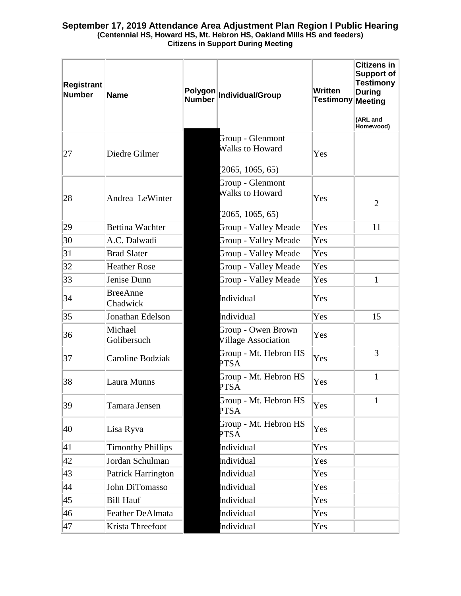# **September 17, 2019 Attendance Area Adjustment Plan Region I Public Hearing (Centennial HS, Howard HS, Mt. Hebron HS, Oakland Mills HS and feeders) Citizens in Support During Meeting**

| Registrant<br><b>Number</b> | Name                        | <b>Number</b> | Polygon Individual/Group                                       | Written<br>Testimony∥Meeting | <b>Citizens in</b><br>Support of<br><b>Testimony</b><br><b>During</b><br>(ARL and<br>Homewood) |
|-----------------------------|-----------------------------|---------------|----------------------------------------------------------------|------------------------------|------------------------------------------------------------------------------------------------|
| 27                          | Diedre Gilmer               |               | Group - Glenmont<br><b>Walks to Howard</b>                     | Yes                          |                                                                                                |
| 28                          | Andrea LeWinter             |               | (2065, 1065, 65)<br>Group - Glenmont<br><b>Walks to Howard</b> | Yes                          | $\overline{2}$                                                                                 |
|                             |                             |               | (2065, 1065, 65)                                               |                              |                                                                                                |
| 29                          | <b>Bettina Wachter</b>      |               | Group - Valley Meade                                           | Yes                          | 11                                                                                             |
| 30                          | A.C. Dalwadi                |               | Group - Valley Meade                                           | Yes                          |                                                                                                |
| 31                          | <b>Brad Slater</b>          |               | Group - Valley Meade                                           | Yes                          |                                                                                                |
| 32                          | <b>Heather Rose</b>         |               | Group - Valley Meade                                           | Yes                          |                                                                                                |
| 33                          | Jenise Dunn                 |               | <b>Group - Valley Meade</b>                                    | Yes                          | $\mathbf{1}$                                                                                   |
| 34                          | <b>BreeAnne</b><br>Chadwick |               | Individual                                                     | Yes                          |                                                                                                |
| 35                          | Jonathan Edelson            |               | Individual                                                     | Yes                          | 15                                                                                             |
| 36                          | Michael<br>Golibersuch      |               | Group - Owen Brown<br><b>Village Association</b>               | Yes                          |                                                                                                |
| 37                          | Caroline Bodziak            |               | Group - Mt. Hebron HS<br><b>PTSA</b>                           | Yes                          | 3                                                                                              |
| 38                          | Laura Munns                 |               | Group - Mt. Hebron HS<br><b>PTSA</b>                           | Yes                          | $\mathbf{1}$                                                                                   |
| 39                          | Tamara Jensen               |               | Group - Mt. Hebron HS<br><b>PTSA</b>                           | Yes                          | $\mathbf{1}$                                                                                   |
| 40                          | Lisa Ryva                   |               | Group - Mt. Hebron HS<br><b>PTSA</b>                           | Yes                          |                                                                                                |
| 41                          | <b>Timonthy Phillips</b>    |               | Individual                                                     | Yes                          |                                                                                                |
| 42                          | Jordan Schulman             |               | Individual                                                     | Yes                          |                                                                                                |
| 43                          | Patrick Harrington          |               | Individual                                                     | Yes                          |                                                                                                |
| 44                          | John DiTomasso              |               | Individual                                                     | Yes                          |                                                                                                |
| 45                          | <b>Bill Hauf</b>            |               | Individual                                                     | Yes                          |                                                                                                |
| 46                          | <b>Feather DeAlmata</b>     |               | Individual                                                     | Yes                          |                                                                                                |
| 47                          | Krista Threefoot            |               | Individual                                                     | Yes                          |                                                                                                |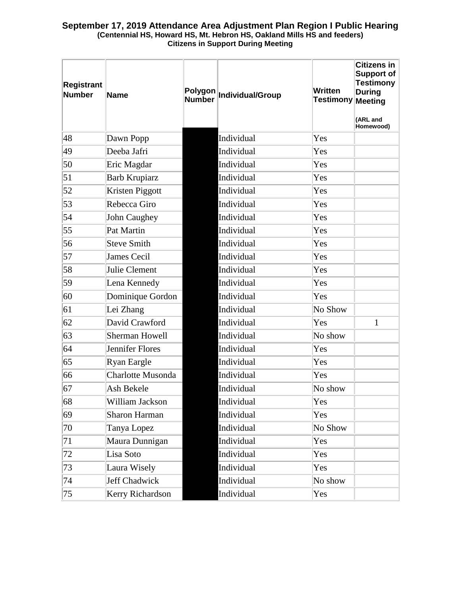# **September 17, 2019 Attendance Area Adjustment Plan Region I Public Hearing (Centennial HS, Howard HS, Mt. Hebron HS, Oakland Mills HS and feeders) Citizens in Support During Meeting**

| <b>Registrant</b><br><b>Number</b> | <b>Name</b>              | Polygon<br><b>Number</b> | Individual/Group | Written<br><b>Testimony</b> | <b>Citizens in</b><br><b>Support of</b><br><b>Testimony</b><br><b>During</b><br>Meeting<br>(ARL and<br>Homewood) |
|------------------------------------|--------------------------|--------------------------|------------------|-----------------------------|------------------------------------------------------------------------------------------------------------------|
| 48                                 | Dawn Popp                |                          | Individual       | Yes                         |                                                                                                                  |
| 49                                 | Deeba Jafri              |                          | Individual       | Yes                         |                                                                                                                  |
| 50                                 | Eric Magdar              |                          | Individual       | Yes                         |                                                                                                                  |
| 51                                 | <b>Barb Krupiarz</b>     |                          | Individual       | Yes                         |                                                                                                                  |
| 52                                 | Kristen Piggott          |                          | Individual       | Yes                         |                                                                                                                  |
| 53                                 | Rebecca Giro             |                          | Individual       | Yes                         |                                                                                                                  |
| 54                                 | John Caughey             |                          | Individual       | Yes                         |                                                                                                                  |
| 55                                 | Pat Martin               |                          | Individual       | Yes                         |                                                                                                                  |
| 56                                 | <b>Steve Smith</b>       |                          | Individual       | Yes                         |                                                                                                                  |
| 57                                 | <b>James Cecil</b>       |                          | Individual       | Yes                         |                                                                                                                  |
| 58                                 | Julie Clement            |                          | Individual       | Yes                         |                                                                                                                  |
| 59                                 | Lena Kennedy             |                          | Individual       | Yes                         |                                                                                                                  |
| 60                                 | Dominique Gordon         |                          | Individual       | Yes                         |                                                                                                                  |
| 61                                 | Lei Zhang                |                          | Individual       | No Show                     |                                                                                                                  |
| 62                                 | David Crawford           |                          | Individual       | Yes                         | $\mathbf{1}$                                                                                                     |
| 63                                 | Sherman Howell           |                          | Individual       | No show                     |                                                                                                                  |
| 64                                 | Jennifer Flores          |                          | Individual       | Yes                         |                                                                                                                  |
| 65                                 | Ryan Eargle              |                          | Individual       | Yes                         |                                                                                                                  |
| 66                                 | <b>Charlotte Musonda</b> |                          | Individual       | Yes                         |                                                                                                                  |
| 67                                 | Ash Bekele               |                          | Individual       | No show                     |                                                                                                                  |
| 68                                 | William Jackson          |                          | Individual       | Yes                         |                                                                                                                  |
| 69                                 | <b>Sharon Harman</b>     |                          | Individual       | Yes                         |                                                                                                                  |
| 70                                 | Tanya Lopez              |                          | Individual       | No Show                     |                                                                                                                  |
| 71                                 | Maura Dunnigan           |                          | Individual       | Yes                         |                                                                                                                  |
| 72                                 | Lisa Soto                |                          | Individual       | Yes                         |                                                                                                                  |
| 73                                 | Laura Wisely             |                          | Individual       | Yes                         |                                                                                                                  |
| 74                                 | Jeff Chadwick            |                          | Individual       | No show                     |                                                                                                                  |
| 75                                 | Kerry Richardson         |                          | Individual       | Yes                         |                                                                                                                  |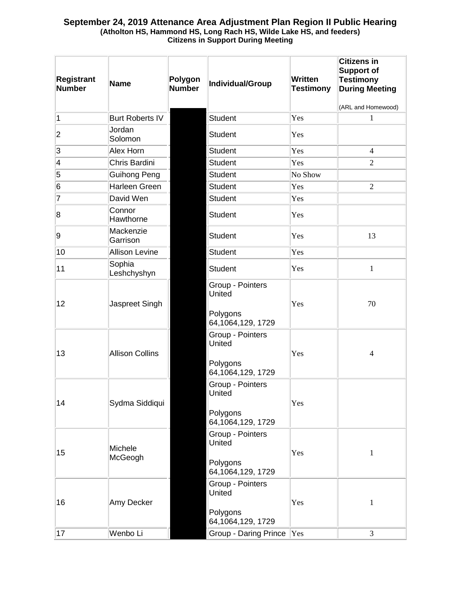| <b>Registrant</b><br><b>Number</b> | <b>Name</b>            | Polygon<br><b>Number</b> | Individual/Group                                            | <b>Written</b><br><b>Testimony</b> | <b>Citizens in</b><br><b>Support of</b><br><b>Testimony</b><br><b>During Meeting</b> |
|------------------------------------|------------------------|--------------------------|-------------------------------------------------------------|------------------------------------|--------------------------------------------------------------------------------------|
| $\overline{1}$                     | <b>Burt Roberts IV</b> |                          | <b>Student</b>                                              | Yes                                | (ARL and Homewood)<br>1                                                              |
| 2                                  | Jordan<br>Solomon      |                          | <b>Student</b>                                              | Yes                                |                                                                                      |
| 3                                  | Alex Horn              |                          | <b>Student</b>                                              | Yes                                | $\overline{4}$                                                                       |
| 4                                  | Chris Bardini          |                          | <b>Student</b>                                              | Yes                                | $\overline{2}$                                                                       |
| 5                                  | Guihong Peng           |                          | <b>Student</b>                                              | No Show                            |                                                                                      |
| 6                                  | Harleen Green          |                          | <b>Student</b>                                              | Yes                                | $\overline{2}$                                                                       |
| 7                                  | David Wen              |                          | <b>Student</b>                                              | Yes                                |                                                                                      |
| 8                                  | Connor<br>Hawthorne    |                          | <b>Student</b>                                              | Yes                                |                                                                                      |
| 9                                  | Mackenzie<br>Garrison  |                          | <b>Student</b>                                              | Yes                                | 13                                                                                   |
| 10                                 | <b>Allison Levine</b>  |                          | <b>Student</b>                                              | Yes                                |                                                                                      |
| 11                                 | Sophia<br>Leshchyshyn  |                          | <b>Student</b>                                              | Yes                                | $\mathbf{1}$                                                                         |
| 12                                 | Jaspreet Singh         |                          | Group - Pointers<br>United<br>Polygons<br>64,1064,129, 1729 | Yes                                | 70                                                                                   |
| 13                                 | <b>Allison Collins</b> |                          | Group - Pointers<br>United<br>Polygons<br>64,1064,129, 1729 | Yes                                | 4                                                                                    |
| 14                                 | Sydma Siddiqui         |                          | Group - Pointers<br>United<br>Polygons<br>64,1064,129, 1729 | Yes                                |                                                                                      |
| 15                                 | Michele<br>McGeogh     |                          | Group - Pointers<br>United<br>Polygons<br>64,1064,129, 1729 | Yes                                | 1                                                                                    |
| 16                                 | Amy Decker             |                          | Group - Pointers<br>United<br>Polygons<br>64,1064,129, 1729 | Yes                                | $\mathbf{1}$                                                                         |
| 17                                 | Wenbo Li               |                          | <b>Group - Daring Prince</b>                                | Yes                                | 3                                                                                    |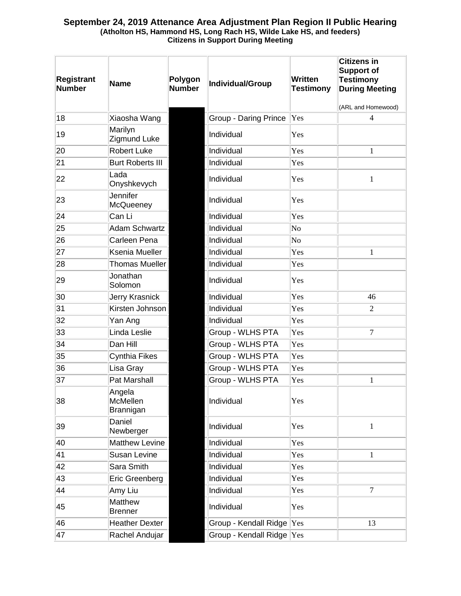| <b>Registrant</b><br><b>Number</b> | <b>Name</b>                            | Polygon<br><b>Number</b> | <b>Individual/Group</b>   | Written<br><b>Testimony</b> | <b>Citizens in</b><br><b>Support of</b><br><b>Testimony</b><br><b>During Meeting</b> |
|------------------------------------|----------------------------------------|--------------------------|---------------------------|-----------------------------|--------------------------------------------------------------------------------------|
|                                    |                                        |                          |                           |                             | (ARL and Homewood)                                                                   |
| 18                                 | Xiaosha Wang                           |                          | Group - Daring Prince     | Yes                         | 4                                                                                    |
| 19                                 | Marilyn<br>Zigmund Luke                |                          | Individual                | Yes                         |                                                                                      |
| 20                                 | <b>Robert Luke</b>                     |                          | Individual                | Yes                         | $\mathbf{1}$                                                                         |
| 21                                 | <b>Burt Roberts III</b>                |                          | Individual                | Yes                         |                                                                                      |
| 22                                 | Lada<br>Onyshkevych                    |                          | Individual                | Yes                         | $\mathbf{1}$                                                                         |
| 23                                 | Jennifer<br>McQueeney                  |                          | Individual                | Yes                         |                                                                                      |
| 24                                 | Can Li                                 |                          | Individual                | Yes                         |                                                                                      |
| 25                                 | <b>Adam Schwartz</b>                   |                          | Individual                | No                          |                                                                                      |
| 26                                 | Carleen Pena                           |                          | Individual                | No                          |                                                                                      |
| 27                                 | Ksenia Mueller                         |                          | Individual                | Yes                         | $\mathbf{1}$                                                                         |
| 28                                 | <b>Thomas Mueller</b>                  |                          | Individual                | Yes                         |                                                                                      |
| 29                                 | Jonathan<br>Solomon                    |                          | Individual                | Yes                         |                                                                                      |
| 30                                 | Jerry Krasnick                         |                          | Individual                | Yes                         | 46                                                                                   |
| 31                                 | Kirsten Johnson                        |                          | Individual                | Yes                         | 2                                                                                    |
| 32                                 | Yan Ang                                |                          | Individual                | Yes                         |                                                                                      |
| 33                                 | Linda Leslie                           |                          | Group - WLHS PTA          | Yes                         | $\overline{7}$                                                                       |
| 34                                 | Dan Hill                               |                          | Group - WLHS PTA          | Yes                         |                                                                                      |
| 35                                 | Cynthia Fikes                          |                          | Group - WLHS PTA          | Yes                         |                                                                                      |
| 36                                 | Lisa Gray                              |                          | Group - WLHS PTA          | Yes                         |                                                                                      |
| 37                                 | Pat Marshall                           |                          | Group - WLHS PTA          | Yes                         | 1                                                                                    |
| 38                                 | Angela<br><b>McMellen</b><br>Brannigan |                          | Individual                | Yes                         |                                                                                      |
| 39                                 | Daniel<br>Newberger                    |                          | Individual                | Yes                         | $\mathbf{1}$                                                                         |
| 40                                 | <b>Matthew Levine</b>                  |                          | Individual                | Yes                         |                                                                                      |
| 41                                 | Susan Levine                           |                          | Individual                | Yes                         | $\mathbf{1}$                                                                         |
| 42                                 | Sara Smith                             |                          | Individual                | Yes                         |                                                                                      |
| 43                                 | Eric Greenberg                         |                          | Individual                | Yes                         |                                                                                      |
| 44                                 | Amy Liu                                |                          | Individual                | Yes                         | $\overline{7}$                                                                       |
| 45                                 | Matthew<br><b>Brenner</b>              |                          | Individual                | Yes                         |                                                                                      |
| 46                                 | <b>Heather Dexter</b>                  |                          | Group - Kendall Ridge     | Yes                         | 13                                                                                   |
| 47                                 | Rachel Andujar                         |                          | Group - Kendall Ridge Yes |                             |                                                                                      |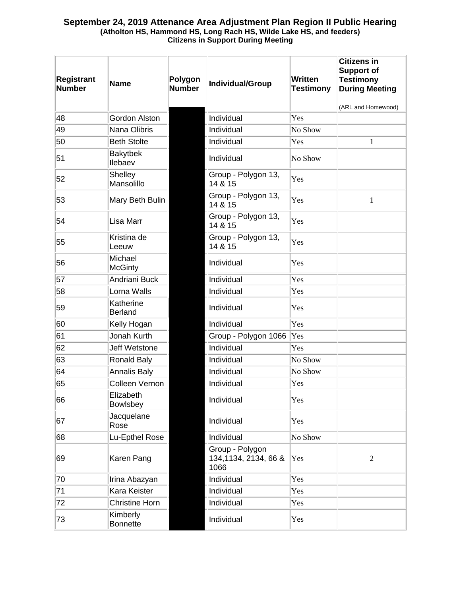| <b>Registrant</b><br><b>Number</b> | <b>Name</b>                 | Polygon<br><b>Number</b> | Individual/Group                                 | Written<br><b>Testimony</b> | <b>Citizens in</b><br><b>Support of</b><br><b>Testimony</b><br><b>During Meeting</b> |
|------------------------------------|-----------------------------|--------------------------|--------------------------------------------------|-----------------------------|--------------------------------------------------------------------------------------|
|                                    |                             |                          |                                                  |                             | (ARL and Homewood)                                                                   |
| 48                                 | <b>Gordon Alston</b>        |                          | Individual                                       | Yes                         |                                                                                      |
| 49                                 | Nana Olibris                |                          | Individual                                       | No Show                     |                                                                                      |
| 50                                 | <b>Beth Stolte</b>          |                          | Individual                                       | Yes                         | 1                                                                                    |
| 51                                 | <b>Bakytbek</b><br>llebaev  |                          | Individual                                       | No Show                     |                                                                                      |
| 52                                 | Shelley<br>Mansolillo       |                          | Group - Polygon 13,<br>14 & 15                   | Yes                         |                                                                                      |
| 53                                 | Mary Beth Bulin             |                          | Group - Polygon 13,<br>14 & 15                   | Yes                         | $\mathbf{1}$                                                                         |
| 54                                 | Lisa Marr                   |                          | Group - Polygon 13,<br>14 & 15                   | Yes                         |                                                                                      |
| 55                                 | Kristina de<br>Leeuw        |                          | Group - Polygon 13,<br>14 & 15                   | Yes                         |                                                                                      |
| 56                                 | Michael<br><b>McGinty</b>   |                          | Individual                                       | Yes                         |                                                                                      |
| 57                                 | Andriani Buck               |                          | Individual                                       | Yes                         |                                                                                      |
| 58                                 | Lorna Walls                 |                          | Individual                                       | Yes                         |                                                                                      |
| 59                                 | Katherine<br><b>Berland</b> |                          | Individual                                       | Yes                         |                                                                                      |
| 60                                 | Kelly Hogan                 |                          | Individual                                       | Yes                         |                                                                                      |
| 61                                 | Jonah Kurth                 |                          | Group - Polygon 1066                             | Yes                         |                                                                                      |
| 62                                 | <b>Jeff Wetstone</b>        |                          | Individual                                       | Yes                         |                                                                                      |
| 63                                 | <b>Ronald Baly</b>          |                          | Individual                                       | No Show                     |                                                                                      |
| 64                                 | <b>Annalis Baly</b>         |                          | Individual                                       | No Show                     |                                                                                      |
| 65                                 | Colleen Vernon              |                          | Individual                                       | Yes                         |                                                                                      |
| 66                                 | Elizabeth<br>Bowlsbey       |                          | Individual                                       | Yes                         |                                                                                      |
| 67                                 | Jacquelane<br>Rose          |                          | Individual                                       | Yes                         |                                                                                      |
| 68                                 | Lu-Epthel Rose              |                          | Individual                                       | No Show                     |                                                                                      |
| 69                                 | Karen Pang                  |                          | Group - Polygon<br>134, 1134, 2134, 66 &<br>1066 | Yes                         | $\overline{2}$                                                                       |
| 70                                 | Irina Abazyan               |                          | Individual                                       | Yes                         |                                                                                      |
| 71                                 | Kara Keister                |                          | Individual                                       | Yes                         |                                                                                      |
| 72                                 | Christine Horn              |                          | Individual                                       | Yes                         |                                                                                      |
| 73                                 | Kimberly<br><b>Bonnette</b> |                          | Individual                                       | Yes                         |                                                                                      |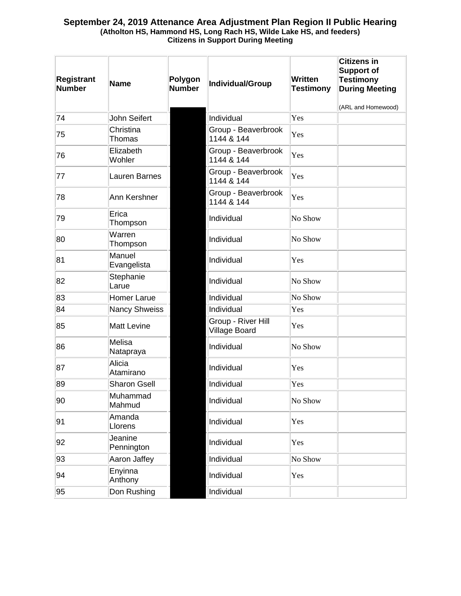| <b>Registrant</b><br><b>Number</b> | <b>Name</b>           | Polygon<br><b>Number</b> | Individual/Group                    | <b>Written</b><br><b>Testimony</b> | <b>Citizens in</b><br><b>Support of</b><br><b>Testimony</b><br><b>During Meeting</b><br>(ARL and Homewood) |
|------------------------------------|-----------------------|--------------------------|-------------------------------------|------------------------------------|------------------------------------------------------------------------------------------------------------|
| 74                                 | John Seifert          |                          | Individual                          | Yes                                |                                                                                                            |
| 75                                 | Christina<br>Thomas   |                          | Group - Beaverbrook<br>1144 & 144   | Yes                                |                                                                                                            |
| 76                                 | Elizabeth<br>Wohler   |                          | Group - Beaverbrook<br>1144 & 144   | Yes                                |                                                                                                            |
| 77                                 | Lauren Barnes         |                          | Group - Beaverbrook<br>1144 & 144   | Yes                                |                                                                                                            |
| 78                                 | Ann Kershner          |                          | Group - Beaverbrook<br>1144 & 144   | Yes                                |                                                                                                            |
| 79                                 | Erica<br>Thompson     |                          | Individual                          | No Show                            |                                                                                                            |
| 80                                 | Warren<br>Thompson    |                          | Individual                          | No Show                            |                                                                                                            |
| 81                                 | Manuel<br>Evangelista |                          | Individual                          | Yes                                |                                                                                                            |
| 82                                 | Stephanie<br>Larue    |                          | Individual                          | No Show                            |                                                                                                            |
| 83                                 | <b>Homer Larue</b>    |                          | Individual                          | No Show                            |                                                                                                            |
| 84                                 | <b>Nancy Shweiss</b>  |                          | Individual                          | Yes                                |                                                                                                            |
| 85                                 | <b>Matt Levine</b>    |                          | Group - River Hill<br>Village Board | Yes                                |                                                                                                            |
| 86                                 | Melisa<br>Natapraya   |                          | Individual                          | No Show                            |                                                                                                            |
| 87                                 | Alicia<br>Atamirano   |                          | Individual                          | Yes                                |                                                                                                            |
| 89                                 | <b>Sharon Gsell</b>   |                          | Individual                          | Yes                                |                                                                                                            |
| 90                                 | Muhammad<br>Mahmud    |                          | Individual                          | No Show                            |                                                                                                            |
| 91                                 | Amanda<br>Llorens     |                          | Individual                          | Yes                                |                                                                                                            |
| 92                                 | Jeanine<br>Pennington |                          | Individual                          | Yes                                |                                                                                                            |
| 93                                 | Aaron Jaffey          |                          | Individual                          | No Show                            |                                                                                                            |
| 94                                 | Enyinna<br>Anthony    |                          | Individual                          | Yes                                |                                                                                                            |
| 95                                 | Don Rushing           |                          | Individual                          |                                    |                                                                                                            |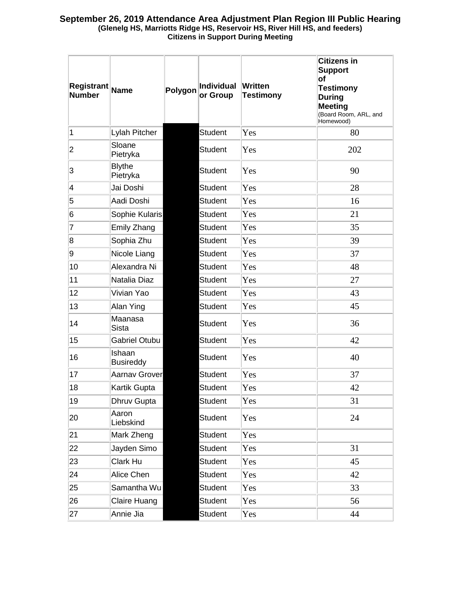| Registrant<br><b>Number</b> | Name                       | Polygon | Individual<br>or Group | Written<br><b>Testimony</b> | <b>Citizens in</b><br><b>Support</b><br>of<br><b>Testimony</b><br><b>During</b><br><b>Meeting</b><br>(Board Room, ARL, and<br>Homewood) |
|-----------------------------|----------------------------|---------|------------------------|-----------------------------|-----------------------------------------------------------------------------------------------------------------------------------------|
| 1                           | Lylah Pitcher              |         | <b>Student</b>         | Yes                         | 80                                                                                                                                      |
| 2                           | Sloane<br>Pietryka         |         | <b>Student</b>         | Yes                         | 202                                                                                                                                     |
| 3                           | <b>Blythe</b><br>Pietryka  |         | <b>Student</b>         | Yes                         | 90                                                                                                                                      |
| 4                           | Jai Doshi                  |         | <b>Student</b>         | Yes                         | 28                                                                                                                                      |
| 5                           | Aadi Doshi                 |         | Student                | Yes                         | 16                                                                                                                                      |
| 6                           | Sophie Kularis             |         | <b>Student</b>         | Yes                         | 21                                                                                                                                      |
| 7                           | Emily Zhang                |         | <b>Student</b>         | Yes                         | 35                                                                                                                                      |
| 8                           | Sophia Zhu                 |         | <b>Student</b>         | Yes                         | 39                                                                                                                                      |
| 9                           | Nicole Liang               |         | <b>Student</b>         | Yes                         | 37                                                                                                                                      |
| 10                          | Alexandra Ni               |         | <b>Student</b>         | Yes                         | 48                                                                                                                                      |
| 11                          | Natalia Diaz               |         | <b>Student</b>         | Yes                         | 27                                                                                                                                      |
| 12                          | Vivian Yao                 |         | <b>Student</b>         | Yes                         | 43                                                                                                                                      |
| 13                          | Alan Ying                  |         | Student                | Yes                         | 45                                                                                                                                      |
| 14                          | Maanasa<br><b>Sista</b>    |         | <b>Student</b>         | Yes                         | 36                                                                                                                                      |
| 15                          | <b>Gabriel Otubu</b>       |         | <b>Student</b>         | Yes                         | 42                                                                                                                                      |
| 16                          | Ishaan<br><b>Busireddy</b> |         | <b>Student</b>         | Yes                         | 40                                                                                                                                      |
| 17                          | <b>Aarnav Grover</b>       |         | <b>Student</b>         | Yes                         | 37                                                                                                                                      |
| 18                          | Kartik Gupta               |         | Student                | Yes                         | 42                                                                                                                                      |
| 19                          | Dhruv Gupta                |         | <b>Student</b>         | Yes                         | 31                                                                                                                                      |
| 20                          | Aaron<br>Liebskind         |         | <b>Student</b>         | Yes                         | 24                                                                                                                                      |
| 21                          | Mark Zheng                 |         | Student                | Yes                         |                                                                                                                                         |
| 22                          | Jayden Simo                |         | <b>Student</b>         | Yes                         | 31                                                                                                                                      |
| 23                          | Clark Hu                   |         | Student                | Yes                         | 45                                                                                                                                      |
| 24                          | Alice Chen                 |         | <b>Student</b>         | Yes                         | 42                                                                                                                                      |
| 25                          | Samantha Wu                |         | <b>Student</b>         | Yes                         | 33                                                                                                                                      |
| 26                          | Claire Huang               |         | <b>Student</b>         | Yes                         | 56                                                                                                                                      |
| 27                          | Annie Jia                  |         | <b>Student</b>         | Yes                         | 44                                                                                                                                      |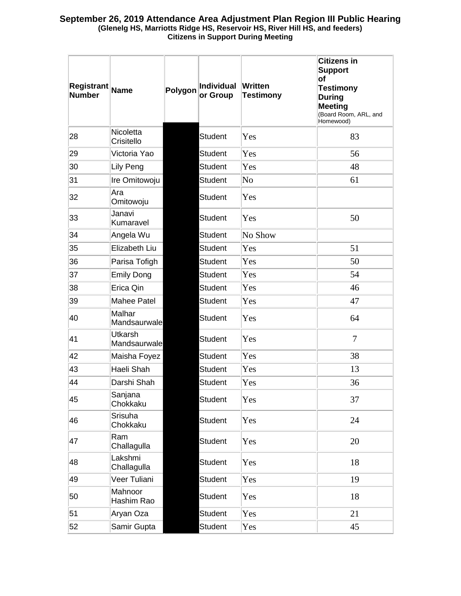| Registrant<br><b>Number</b> | <b>Name</b>                    | Polygon | Individual<br>or Group | Written<br><b>Testimony</b> | <b>Citizens in</b><br><b>Support</b><br>of<br><b>Testimony</b><br><b>During</b><br><b>Meeting</b><br>(Board Room, ARL, and<br>Homewood) |
|-----------------------------|--------------------------------|---------|------------------------|-----------------------------|-----------------------------------------------------------------------------------------------------------------------------------------|
| 28                          | Nicoletta<br>Crisitello        |         | <b>Student</b>         | Yes                         | 83                                                                                                                                      |
| 29                          | Victoria Yao                   |         | <b>Student</b>         | Yes                         | 56                                                                                                                                      |
| 30                          | Lily Peng                      |         | <b>Student</b>         | Yes                         | 48                                                                                                                                      |
| 31                          | Ire Omitowoju                  |         | <b>Student</b>         | N <sub>0</sub>              | 61                                                                                                                                      |
| 32                          | Ara<br>Omitowoju               |         | <b>Student</b>         | Yes                         |                                                                                                                                         |
| 33                          | Janavi<br>Kumaravel            |         | <b>Student</b>         | Yes                         | 50                                                                                                                                      |
| 34                          | Angela Wu                      |         | <b>Student</b>         | No Show                     |                                                                                                                                         |
| 35                          | Elizabeth Liu                  |         | <b>Student</b>         | Yes                         | 51                                                                                                                                      |
| 36                          | Parisa Tofigh                  |         | <b>Student</b>         | Yes                         | 50                                                                                                                                      |
| 37                          | <b>Emily Dong</b>              |         | <b>Student</b>         | Yes                         | 54                                                                                                                                      |
| 38                          | Erica Qin                      |         | <b>Student</b>         | Yes                         | 46                                                                                                                                      |
| 39                          | Mahee Patel                    |         | <b>Student</b>         | Yes                         | 47                                                                                                                                      |
| 40                          | Malhar<br>Mandsaurwale         |         | <b>Student</b>         | Yes                         | 64                                                                                                                                      |
| 41                          | <b>Utkarsh</b><br>Mandsaurwale |         | <b>Student</b>         | Yes                         | $\overline{7}$                                                                                                                          |
| 42                          | Maisha Foyez                   |         | <b>Student</b>         | Yes                         | 38                                                                                                                                      |
| 43                          | Haeli Shah                     |         | <b>Student</b>         | Yes                         | 13                                                                                                                                      |
| 44                          | Darshi Shah                    |         | <b>Student</b>         | Yes                         | 36                                                                                                                                      |
| 45                          | Sanjana<br>Chokkaku            |         | <b>Student</b>         | Yes                         | 37                                                                                                                                      |
| 46                          | Srisuha<br>Chokkaku            |         | <b>Student</b>         | Yes                         | 24                                                                                                                                      |
| 47                          | Ram<br>Challagulla             |         | <b>Student</b>         | Yes                         | 20                                                                                                                                      |
| 48                          | Lakshmi<br>Challagulla         |         | <b>Student</b>         | Yes                         | 18                                                                                                                                      |
| 49                          | Veer Tuliani                   |         | <b>Student</b>         | Yes                         | 19                                                                                                                                      |
| 50                          | Mahnoor<br>Hashim Rao          |         | <b>Student</b>         | Yes                         | 18                                                                                                                                      |
| 51                          | Aryan Oza                      |         | <b>Student</b>         | Yes                         | 21                                                                                                                                      |
| 52                          | Samir Gupta                    |         | <b>Student</b>         | Yes                         | 45                                                                                                                                      |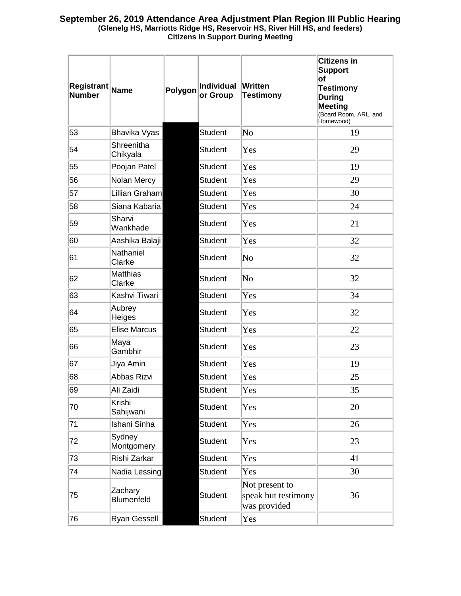| <b>Registrant</b><br><b>Number</b> | <b>Name</b>            | Polygon | Individual<br>or Group | Written<br><b>Testimony</b>                           | Citizens in<br><b>Support</b><br>of<br><b>Testimony</b><br><b>During</b><br><b>Meeting</b><br>(Board Room, ARL, and<br>Homewood) |
|------------------------------------|------------------------|---------|------------------------|-------------------------------------------------------|----------------------------------------------------------------------------------------------------------------------------------|
| 53                                 | <b>Bhavika Vyas</b>    |         | <b>Student</b>         | No                                                    | 19                                                                                                                               |
| 54                                 | Shreenitha<br>Chikyala |         | <b>Student</b>         | Yes                                                   | 29                                                                                                                               |
| 55                                 | Poojan Patel           |         | Student                | Yes                                                   | 19                                                                                                                               |
| 56                                 | Nolan Mercy            |         | <b>Student</b>         | Yes                                                   | 29                                                                                                                               |
| 57                                 | Lillian Graham         |         | <b>Student</b>         | Yes                                                   | 30                                                                                                                               |
| 58                                 | Siana Kabaria          |         | <b>Student</b>         | Yes                                                   | 24                                                                                                                               |
| 59                                 | Sharvi<br>Wankhade     |         | <b>Student</b>         | Yes                                                   | 21                                                                                                                               |
| 60                                 | Aashika Balaji         |         | <b>Student</b>         | Yes                                                   | 32                                                                                                                               |
| 61                                 | Nathaniel<br>Clarke    |         | Student                | N <sub>0</sub>                                        | 32                                                                                                                               |
| 62                                 | Matthias<br>Clarke     |         | <b>Student</b>         | $\overline{\text{No}}$                                | 32                                                                                                                               |
| 63                                 | Kashvi Tiwari          |         | <b>Student</b>         | Yes                                                   | 34                                                                                                                               |
| 64                                 | Aubrey<br>Heiges       |         | <b>Student</b>         | Yes                                                   | 32                                                                                                                               |
| 65                                 | <b>Elise Marcus</b>    |         | <b>Student</b>         | Yes                                                   | 22                                                                                                                               |
| 66                                 | Maya<br>Gambhir        |         | <b>Student</b>         | Yes                                                   | 23                                                                                                                               |
| 67                                 | Jiya Amin              |         | <b>Student</b>         | Yes                                                   | 19                                                                                                                               |
| 68                                 | Abbas Rizvi            |         | <b>Student</b>         | Yes                                                   | 25                                                                                                                               |
| 69                                 | Ali Zaidi              |         | <b>Student</b>         | Yes                                                   | 35                                                                                                                               |
| 70                                 | Krishi<br>Sahijwani    |         | <b>Student</b>         | Yes                                                   | 20                                                                                                                               |
| 71                                 | Ishani Sinha           |         | <b>Student</b>         | Yes                                                   | 26                                                                                                                               |
| 72                                 | Sydney<br>Montgomery   |         | <b>Student</b>         | Yes                                                   | 23                                                                                                                               |
| 73                                 | Rishi Zarkar           |         | <b>Student</b>         | Yes                                                   | 41                                                                                                                               |
| 74                                 | Nadia Lessing          |         | <b>Student</b>         | Yes                                                   | 30                                                                                                                               |
| 75                                 | Zachary<br>Blumenfeld  |         | <b>Student</b>         | Not present to<br>speak but testimony<br>was provided | 36                                                                                                                               |
| 76                                 | Ryan Gessell           |         | <b>Student</b>         | Yes                                                   |                                                                                                                                  |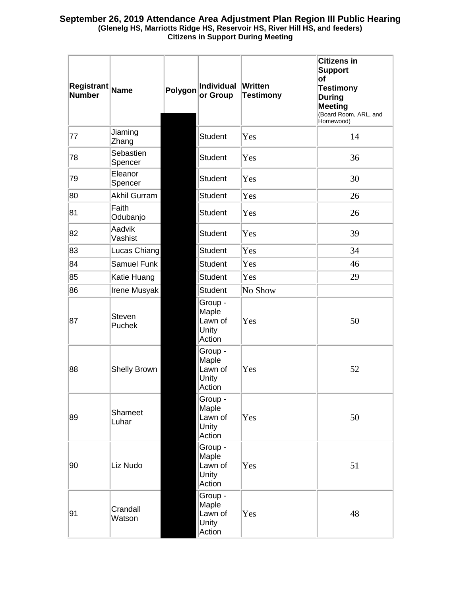| Registrant Name<br><b>Number</b> |                         | Polygon | Individual<br>or Group                         | <b>Written</b><br><b>Testimony</b> | <b>Citizens in</b><br><b>Support</b><br>of<br><b>Testimony</b><br><b>During</b><br><b>Meeting</b><br>(Board Room, ARL, and<br>Homewood) |
|----------------------------------|-------------------------|---------|------------------------------------------------|------------------------------------|-----------------------------------------------------------------------------------------------------------------------------------------|
| 77                               | Jiaming<br>Zhang        |         | Student                                        | Yes                                | 14                                                                                                                                      |
| 78                               | Sebastien<br>Spencer    |         | Student                                        | Yes                                | 36                                                                                                                                      |
| 79                               | Eleanor<br>Spencer      |         | Student                                        | Yes                                | 30                                                                                                                                      |
| 80                               | <b>Akhil Gurram</b>     |         | Student                                        | Yes                                | 26                                                                                                                                      |
| 81                               | Faith<br>Odubanjo       |         | Student                                        | Yes                                | 26                                                                                                                                      |
| 82                               | Aadvik<br>Vashist       |         | Student                                        | Yes                                | 39                                                                                                                                      |
| 83                               | Lucas Chiang            |         | Student                                        | Yes                                | 34                                                                                                                                      |
| 84                               | <b>Samuel Funk</b>      |         | Student                                        | Yes                                | 46                                                                                                                                      |
| 85                               | Katie Huang             |         | Student                                        | Yes                                | 29                                                                                                                                      |
| 86                               | Irene Musyak            |         | Student                                        | No Show                            |                                                                                                                                         |
| 87                               | <b>Steven</b><br>Puchek |         | Group -<br>Maple<br>Lawn of<br>Unity<br>Action | Yes                                | 50                                                                                                                                      |
| 88                               | <b>Shelly Brown</b>     |         | Group -<br>Maple<br>Lawn of<br>Unity<br>Action | Yes                                | 52                                                                                                                                      |
| 89                               | Shameet<br>Luhar        |         | Group -<br>Maple<br>Lawn of<br>Unity<br>Action | Yes                                | 50                                                                                                                                      |
| 90                               | Liz Nudo                |         | Group -<br>Maple<br>Lawn of<br>Unity<br>Action | Yes                                | 51                                                                                                                                      |
| 91                               | Crandall<br>Watson      |         | Group -<br>Maple<br>Lawn of<br>Unity<br>Action | Yes                                | 48                                                                                                                                      |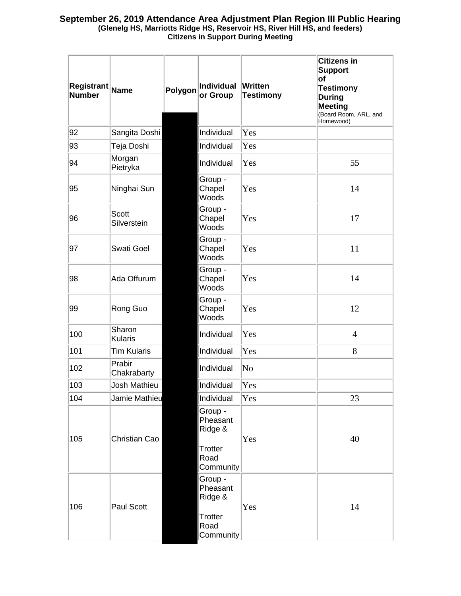| <b>Registrant</b><br><b>Number</b> | Name                        | Polygon | <b>Individual</b><br>or Group                                  | <b>Written</b><br><b>Testimony</b> | <b>Citizens in</b><br><b>Support</b><br>of<br><b>Testimony</b><br><b>During</b><br><b>Meeting</b><br>(Board Room, ARL, and<br>Homewood) |
|------------------------------------|-----------------------------|---------|----------------------------------------------------------------|------------------------------------|-----------------------------------------------------------------------------------------------------------------------------------------|
| 92                                 | Sangita Doshi               |         | Individual                                                     | Yes                                |                                                                                                                                         |
| 93                                 | Teja Doshi                  |         | Individual                                                     | Yes                                |                                                                                                                                         |
| 94                                 | Morgan<br>Pietryka          |         | Individual                                                     | Yes                                | 55                                                                                                                                      |
| 95                                 | Ninghai Sun                 |         | Group -<br>Chapel<br>Woods                                     | Yes                                | 14                                                                                                                                      |
| 96                                 | <b>Scott</b><br>Silverstein |         | Group -<br>Chapel<br>Woods                                     | Yes                                | 17                                                                                                                                      |
| 97                                 | <b>Swati Goel</b>           |         | Group -<br>Chapel<br>Woods                                     | Yes                                | 11                                                                                                                                      |
| 98                                 | Ada Offurum                 |         | Group -<br>Chapel<br>Woods                                     | Yes                                | 14                                                                                                                                      |
| 99                                 | Rong Guo                    |         | Group -<br>Chapel<br>Woods                                     | Yes                                | 12                                                                                                                                      |
| 100                                | Sharon<br><b>Kularis</b>    |         | Individual                                                     | Yes                                | $\overline{4}$                                                                                                                          |
| 101                                | <b>Tim Kularis</b>          |         | Individual                                                     | Yes                                | 8                                                                                                                                       |
| 102                                | Prabir<br>Chakrabarty       |         | Individual                                                     | $\overline{\text{No}}$             |                                                                                                                                         |
| 103                                | Josh Mathieu                |         | Individual                                                     | Yes                                |                                                                                                                                         |
| 104                                | Jamie Mathieu               |         | Individual                                                     | Yes                                | 23                                                                                                                                      |
| 105                                | Christian Cao               |         | Group -<br>Pheasant<br>Ridge &<br>Trotter<br>Road<br>Community | Yes                                | 40                                                                                                                                      |
| 106                                | Paul Scott                  |         | Group -<br>Pheasant<br>Ridge &<br>Trotter<br>Road<br>Community | Yes                                | 14                                                                                                                                      |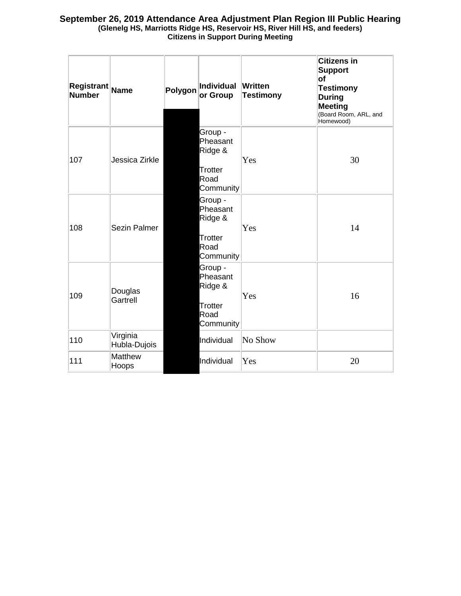| Registrant Name<br><b>Number</b> |                          | Polygon | Individual<br>or Group                                         | Written<br><b>Testimony</b> | Citizens in<br><b>Support</b><br>lof<br><b>Testimony</b><br><b>During</b><br>Meeting<br>(Board Room, ARL, and<br>Homewood) |
|----------------------------------|--------------------------|---------|----------------------------------------------------------------|-----------------------------|----------------------------------------------------------------------------------------------------------------------------|
| 107                              | Jessica Zirkle           |         | Group -<br>Pheasant<br>Ridge &<br>Trotter<br>Road<br>Community | Yes                         | 30                                                                                                                         |
| 108                              | Sezin Palmer             |         | Group -<br>Pheasant<br>Ridge &<br>Trotter<br>Road<br>Community | Yes                         | 14                                                                                                                         |
| 109                              | Douglas<br>Gartrell      |         | Group -<br>Pheasant<br>Ridge &<br>Trotter<br>Road<br>Community | Yes                         | 16                                                                                                                         |
| 110                              | Virginia<br>Hubla-Dujois |         | Individual                                                     | No Show                     |                                                                                                                            |
| 111                              | <b>Matthew</b><br>Hoops  |         | Individual                                                     | Yes                         | 20                                                                                                                         |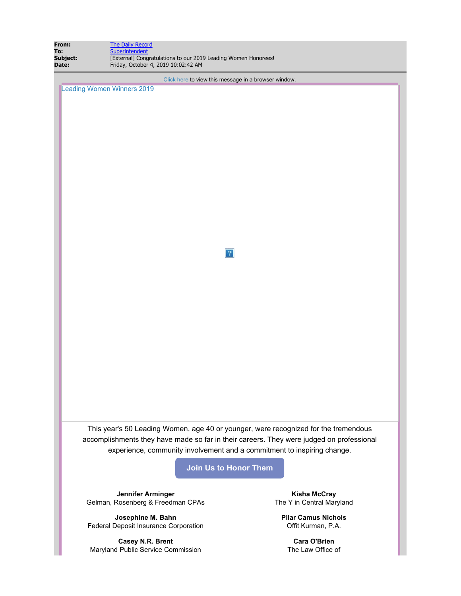| From:<br><b>The Daily Record</b><br>Superintendent<br>To:<br>[External] Congratulations to our 2019 Leading Women Honorees!<br>Subject:<br>Friday, October 4, 2019 10:02:42 AM<br>Date: |                                                                                          |  |  |  |  |  |
|-----------------------------------------------------------------------------------------------------------------------------------------------------------------------------------------|------------------------------------------------------------------------------------------|--|--|--|--|--|
|                                                                                                                                                                                         |                                                                                          |  |  |  |  |  |
| <b>Leading Women Winners 2019</b>                                                                                                                                                       | Click here to view this message in a browser window.                                     |  |  |  |  |  |
|                                                                                                                                                                                         |                                                                                          |  |  |  |  |  |
|                                                                                                                                                                                         |                                                                                          |  |  |  |  |  |
|                                                                                                                                                                                         |                                                                                          |  |  |  |  |  |
|                                                                                                                                                                                         |                                                                                          |  |  |  |  |  |
|                                                                                                                                                                                         |                                                                                          |  |  |  |  |  |
|                                                                                                                                                                                         |                                                                                          |  |  |  |  |  |
|                                                                                                                                                                                         |                                                                                          |  |  |  |  |  |
|                                                                                                                                                                                         |                                                                                          |  |  |  |  |  |
|                                                                                                                                                                                         |                                                                                          |  |  |  |  |  |
|                                                                                                                                                                                         |                                                                                          |  |  |  |  |  |
|                                                                                                                                                                                         |                                                                                          |  |  |  |  |  |
|                                                                                                                                                                                         |                                                                                          |  |  |  |  |  |
|                                                                                                                                                                                         | 2                                                                                        |  |  |  |  |  |
|                                                                                                                                                                                         |                                                                                          |  |  |  |  |  |
|                                                                                                                                                                                         |                                                                                          |  |  |  |  |  |
|                                                                                                                                                                                         |                                                                                          |  |  |  |  |  |
|                                                                                                                                                                                         |                                                                                          |  |  |  |  |  |
|                                                                                                                                                                                         |                                                                                          |  |  |  |  |  |
|                                                                                                                                                                                         |                                                                                          |  |  |  |  |  |
|                                                                                                                                                                                         |                                                                                          |  |  |  |  |  |
|                                                                                                                                                                                         |                                                                                          |  |  |  |  |  |
|                                                                                                                                                                                         |                                                                                          |  |  |  |  |  |
|                                                                                                                                                                                         |                                                                                          |  |  |  |  |  |
|                                                                                                                                                                                         |                                                                                          |  |  |  |  |  |
|                                                                                                                                                                                         |                                                                                          |  |  |  |  |  |
|                                                                                                                                                                                         | This year's 50 Leading Women, age 40 or younger, were recognized for the tremendous      |  |  |  |  |  |
|                                                                                                                                                                                         | accomplishments they have made so far in their careers. They were judged on professional |  |  |  |  |  |
|                                                                                                                                                                                         | experience, community involvement and a commitment to inspiring change.                  |  |  |  |  |  |
|                                                                                                                                                                                         | <b>Join Us to Honor Them</b>                                                             |  |  |  |  |  |
|                                                                                                                                                                                         |                                                                                          |  |  |  |  |  |
| Jennifer Arminger                                                                                                                                                                       | <b>Kisha McCray</b>                                                                      |  |  |  |  |  |
| Gelman, Rosenberg & Freedman CPAs                                                                                                                                                       | The Y in Central Maryland                                                                |  |  |  |  |  |
| Josephine M. Bahn                                                                                                                                                                       | <b>Pilar Camus Nichols</b>                                                               |  |  |  |  |  |
| Federal Deposit Insurance Corporation                                                                                                                                                   | Offit Kurman, P.A.                                                                       |  |  |  |  |  |
| Casey N.R. Brent<br>Maryland Public Service Commission                                                                                                                                  | <b>Cara O'Brien</b><br>The Law Office of                                                 |  |  |  |  |  |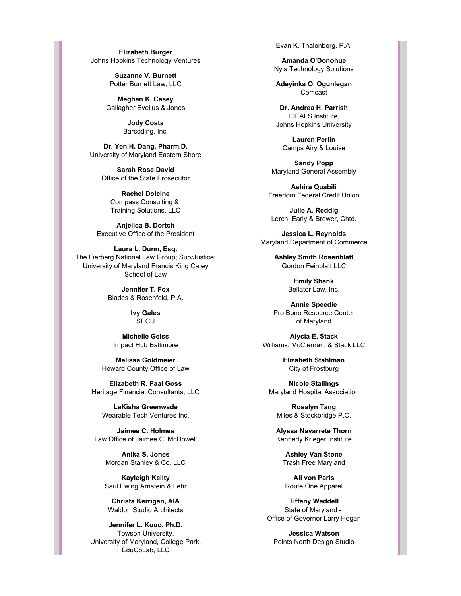**Elizabeth Burger** Johns Hopkins Technology Ventures

> **Suzanne V. Burnett** Potter Burnett Law, LLC

**Meghan K. Casey** Gallagher Evelius & Jones

> **Jody Costa** Barcoding, Inc.

**Dr. Yen H. Dang, Pharm.D.** University of Maryland Eastern Shore

> **Sarah Rose David** Office of the State Prosecutor

**Rachel Dolcine** Compass Consulting & Training Solutions, LLC

**Anjelica B. Dortch** Executive Office of the President

**Laura L. Dunn, Esq.** The Fierberg National Law Group; SurvJustice; University of Maryland Francis King Carey School of Law

> **Jennifer T. Fox** Blades & Rosenfeld, P.A.

> > **Ivy Gales** SECU

**Michelle Geiss** Impact Hub Baltimore

**Melissa Goldmeier** Howard County Office of Law

**Elizabeth R. Paal Goss** Heritage Financial Consultants, LLC

**LaKisha Greenwade** Wearable Tech Ventures Inc.

**Jaimee C. Holmes** Law Office of Jaimee C. McDowell

> **Anika S. Jones** Morgan Stanley & Co. LLC

**Kayleigh Keilty** Saul Ewing Arnstein & Lehr

**Christa Kerrigan, AIA** Waldon Studio Architects

**Jennifer L. Kouo, Ph.D.** Towson University, University of Maryland, College Park, EduCoLab, LLC

Evan K. Thalenberg, P.A.

**Amanda O'Donohue** Nyla Technology Solutions

**Adeyinka O. Ogunlegan** Comcast

**Dr. Andrea H. Parrish** IDEALS Institute, Johns Hopkins University

**Lauren Perlin** Camps Airy & Louise

**Sandy Popp** Maryland General Assembly

**Ashira Quabili** Freedom Federal Credit Union

**Julie A. Reddig** Lerch, Early & Brewer, Chtd.

**Jessica L. Reynolds** Maryland Department of Commerce

> **Ashley Smith Rosenblatt** Gordon Feinblatt LLC

> > **Emily Shank** Bellator Law, Inc.

**Annie Speedie** Pro Bono Resource Center of Maryland

**Alycia E. Stack** Williams, McClernan, & Stack LLC

> **Elizabeth Stahlman** City of Frostburg

**Nicole Stallings** Maryland Hospital Association

**Rosalyn Tang** Miles & Stockbridge P.C.

**Alyssa Navarrete Thorn** Kennedy Krieger Institute

**Ashley Van Stone** Trash Free Maryland

**Ali von Paris** Route One Apparel

**Tiffany Waddell** State of Maryland - Office of Governor Larry Hogan

**Jessica Watson** Points North Design Studio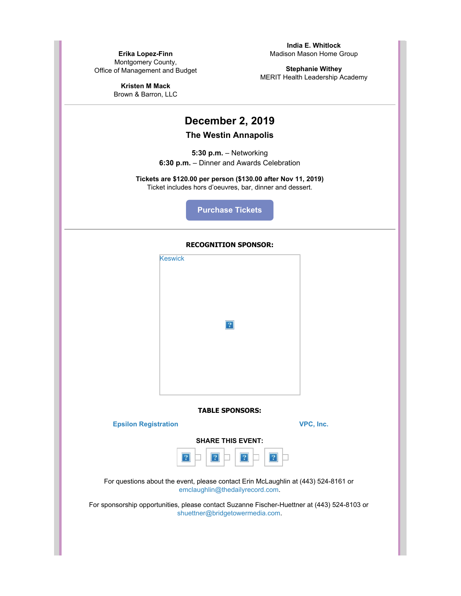**Erika Lopez-Finn** Montgomery County, Office of Management and Budget

> **Kristen M Mack** Brown & Barron, LLC

**India E. Whitlock** Madison Mason Home Group

**Stephanie Withey** MERIT Health Leadership Academy

# **December 2, 2019**

## **The Westin Annapolis**

**5:30 p.m.** – Networking **6:30 p.m.** – Dinner and Awards Celebration

**Tickets are \$120.00 per person (\$130.00 after Nov 11, 2019)** Ticket includes hors d'oeuvres, bar, dinner and dessert.

**[Purchase Tickets](https://news.thedailyrecord.com/acton/ct/21896/s-13f0-1910/Bct/q-0030/l-002f:6cf9/ct2_1/1?sid=TV2%3AvM1EPY0t6)**

#### **RECOGNITION SPONSOR:**



**TABLE SPONSORS:**

**[Epsilon Registration](https://news.thedailyrecord.com/acton/ct/21896/s-13f0-1910/Bct/q-0030/l-002f:6cf9/ct4_0/1?sid=TV2%3AvM1EPY0t6) [VPC, Inc.](https://news.thedailyrecord.com/acton/ct/21896/s-13f0-1910/Bct/q-0030/l-002f:6cf9/ct5_0/1?sid=TV2%3AvM1EPY0t6)**

**SHARE THIS EVENT:**

For questions about the event, please contact Erin McLaughlin at (443) 524-8161 or [emclaughlin@thedailyrecord.com](mailto:emclaughlin@thedailyrecord.com).

For sponsorship opportunities, please contact Suzanne Fischer-Huettner at (443) 524-8103 or [shuettner@bridgetowermedia.com](mailto:shuettner@bridgetowermedia.com).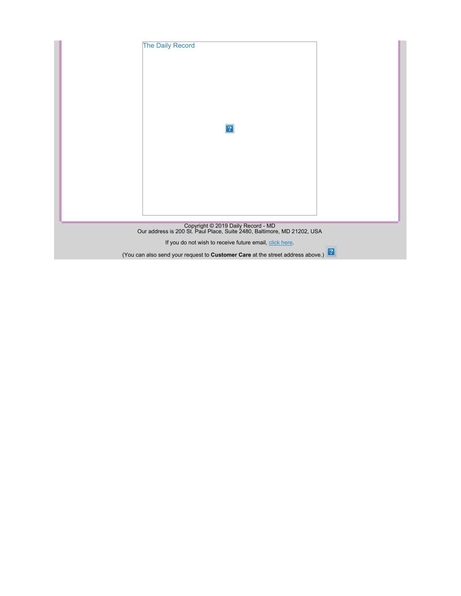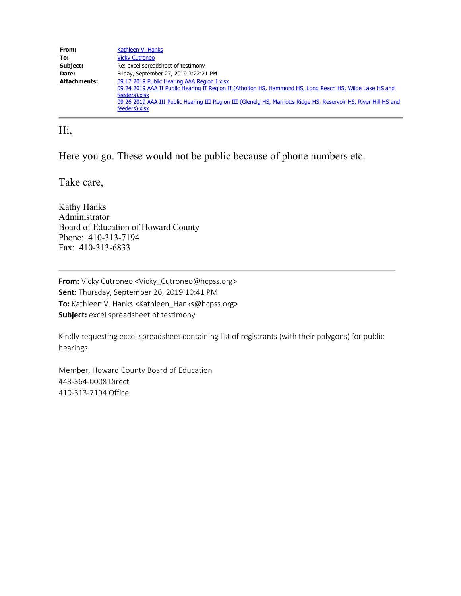| From:               | Kathleen V. Hanks                                                                                                                                                                                                                                                                                              |
|---------------------|----------------------------------------------------------------------------------------------------------------------------------------------------------------------------------------------------------------------------------------------------------------------------------------------------------------|
| To:                 | <b>Vicky Cutroneo</b>                                                                                                                                                                                                                                                                                          |
| Subject:            | Re: excel spreadsheet of testimony                                                                                                                                                                                                                                                                             |
| Date:               | Friday, September 27, 2019 3:22:21 PM                                                                                                                                                                                                                                                                          |
| <b>Attachments:</b> | 09 17 2019 Public Hearing AAA Region I.xlsx<br>09 24 2019 AAA II Public Hearing II Region II (Atholton HS, Hammond HS, Long Reach HS, Wilde Lake HS and<br>feeders).xlsx<br>09 26 2019 AAA III Public Hearing III Region III (Glenelg HS, Marriotts Ridge HS, Reservoir HS, River Hill HS and<br>feeders).xlsx |

# Hi,

Here you go. These would not be public because of phone numbers etc.

Take care,

Kathy Hanks Administrator Board of Education of Howard County Phone: 410-313-7194 Fax: 410-313-6833

**From:** Vicky Cutroneo <Vicky\_Cutroneo@hcpss.org> **Sent:** Thursday, September 26, 2019 10:41 PM **To:** Kathleen V. Hanks <Kathleen\_Hanks@hcpss.org> **Subject:** excel spreadsheet of testimony

Kindly requesting excel spreadsheet containing list of registrants (with their polygons) for public hearings

Member, Howard County Board of Education 443-364-0008 Direct 410-313-7194 Office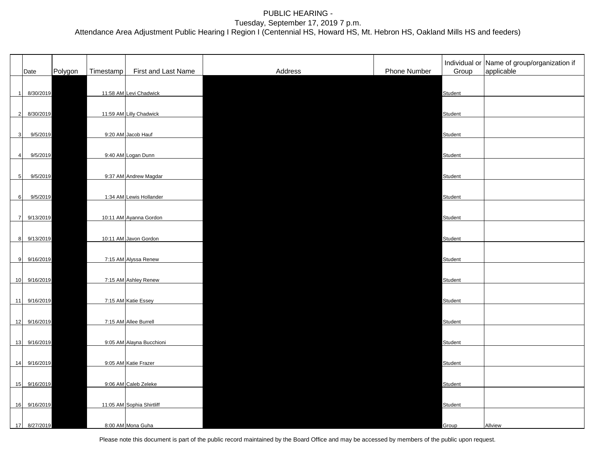|                | Date         | Polygon | Timestamp | First and Last Name       | Address | Phone Number | Group   | Individual or Name of group/organization if<br>applicable |
|----------------|--------------|---------|-----------|---------------------------|---------|--------------|---------|-----------------------------------------------------------|
|                | 1 8/30/2019  |         |           | 11:58 AM Levi Chadwick    |         |              | Student |                                                           |
|                | 2 8/30/2019  |         |           | 11:59 AM Lilly Chadwick   |         |              | Student |                                                           |
| 3 <sup>l</sup> | 9/5/2019     |         |           | 9:20 AM Jacob Hauf        |         |              | Student |                                                           |
| 4 <sup>1</sup> | 9/5/2019     |         |           | 9:40 AM Logan Dunn        |         |              | Student |                                                           |
| 5 <sup>1</sup> | 9/5/2019     |         |           | 9:37 AM Andrew Magdar     |         |              | Student |                                                           |
| 6              | 9/5/2019     |         |           | 1:34 AM Lewis Hollander   |         |              | Student |                                                           |
|                | 7 9/13/2019  |         |           | 10:11 AM Ayanna Gordon    |         |              | Student |                                                           |
|                | 8 9/13/2019  |         |           | 10:11 AM Javon Gordon     |         |              | Student |                                                           |
|                | 9 9/16/2019  |         |           | 7:15 AM Alyssa Renew      |         |              | Student |                                                           |
|                | 10 9/16/2019 |         |           | 7:15 AM Ashley Renew      |         |              | Student |                                                           |
|                | 11 9/16/2019 |         |           | 7:15 AM Katie Essey       |         |              | Student |                                                           |
|                | 12 9/16/2019 |         |           | 7:15 AM Allee Burrell     |         |              | Student |                                                           |
|                | 13 9/16/2019 |         |           | 9:05 AM Alayna Bucchioni  |         |              | Student |                                                           |
|                | 14 9/16/2019 |         |           | 9:05 AM Katie Frazer      |         |              | Student |                                                           |
|                | 15 9/16/2019 |         |           | 9:06 AM Caleb Zeleke      |         |              | Student |                                                           |
|                | 16 9/16/2019 |         |           | 11:05 AM Sophia Shirtliff |         |              | Student |                                                           |
|                | 17 8/27/2019 |         |           | 8:00 AM Mona Guha         |         |              | Group   | Allview                                                   |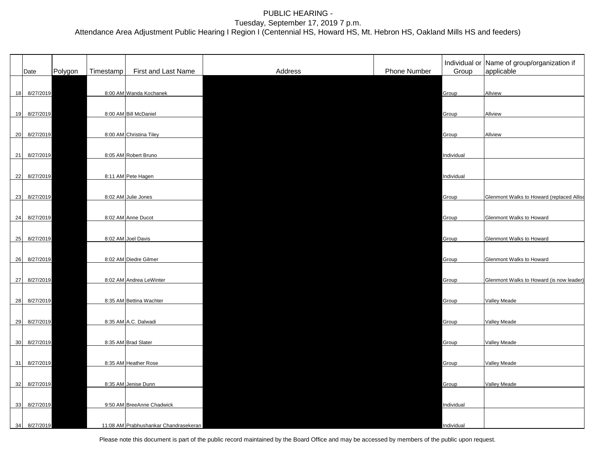| Date         | Polygon | Timestamp | First and Last Name                   | Address | Phone Number | Group      | Individual or Name of group/organization if<br>applicable |
|--------------|---------|-----------|---------------------------------------|---------|--------------|------------|-----------------------------------------------------------|
|              |         |           |                                       |         |              |            |                                                           |
| 18 8/27/2019 |         |           | 8:00 AM Wanda Kochanek                |         |              | Group      | Allview                                                   |
|              |         |           |                                       |         |              |            |                                                           |
| 19 8/27/2019 |         |           | 8:00 AM Bill McDaniel                 |         |              | Group      | Allview                                                   |
|              |         |           |                                       |         |              |            |                                                           |
| 20 8/27/2019 |         |           | 8:00 AM Christina Tiley               |         |              | Group      | Allview                                                   |
|              |         |           | 8:05 AM Robert Bruno                  |         |              |            |                                                           |
| 21 8/27/2019 |         |           |                                       |         |              | Individual |                                                           |
| 22 8/27/2019 |         |           | 8:11 AM Pete Hagen                    |         |              | Individual |                                                           |
|              |         |           |                                       |         |              |            |                                                           |
| 23 8/27/2019 |         |           | 8:02 AM Julie Jones                   |         |              | Group      | Glenmont Walks to Howard (replaced Alliso                 |
|              |         |           |                                       |         |              |            |                                                           |
| 24 8/27/2019 |         |           | 8:02 AM Anne Ducot                    |         |              | Group      | Glenmont Walks to Howard                                  |
|              |         |           |                                       |         |              |            |                                                           |
| 25 8/27/2019 |         |           | 8:02 AM Joel Davis                    |         |              | Group      | Glenmont Walks to Howard                                  |
|              |         |           |                                       |         |              |            |                                                           |
| 26 8/27/2019 |         |           | 8:02 AM Diedre Gilmer                 |         |              | Group      | Glenmont Walks to Howard                                  |
| 27 8/27/2019 |         |           | 8:02 AM Andrea LeWinter               |         |              | Group      | Glenmont Walks to Howard (is now leader)                  |
|              |         |           |                                       |         |              |            |                                                           |
| 28 8/27/2019 |         |           | 8:35 AM Bettina Wachter               |         |              | Group      | <b>Valley Meade</b>                                       |
|              |         |           |                                       |         |              |            |                                                           |
| 29 8/27/2019 |         |           | 8:35 AM A.C. Dalwadi                  |         |              | Group      | Valley Meade                                              |
|              |         |           |                                       |         |              |            |                                                           |
| 30 8/27/2019 |         |           | 8:35 AM Brad Slater                   |         |              | Group      | Valley Meade                                              |
|              |         |           |                                       |         |              |            |                                                           |
| 31 8/27/2019 |         |           | 8:35 AM Heather Rose                  |         |              | Group      | <b>Valley Meade</b>                                       |
|              |         |           |                                       |         |              |            |                                                           |
| 32 8/27/2019 |         |           | 8:35 AM Jenise Dunn                   |         |              | Group      | <b>Valley Meade</b>                                       |
| 33 8/27/2019 |         |           | 9:50 AM BreeAnne Chadwick             |         |              | Individual |                                                           |
|              |         |           |                                       |         |              |            |                                                           |
| 34 8/27/2019 |         |           | 11:08 AM Prabhushankar Chandrasekeran |         |              | Individual |                                                           |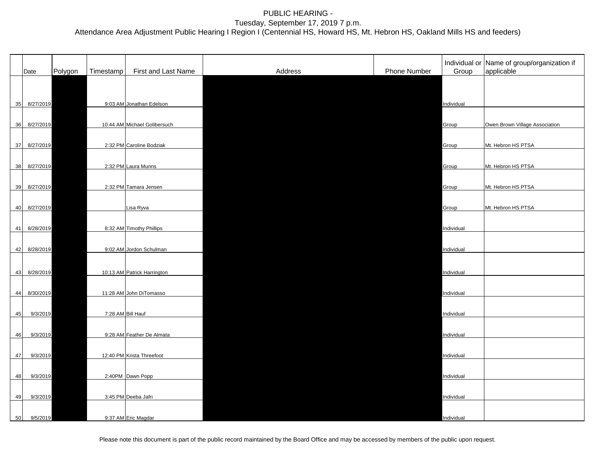|    | Date         | Polygon | Timestamp | First and Last Name          | Address | Phone Number | Group      | Individual or Name of group/organization if<br>applicable |
|----|--------------|---------|-----------|------------------------------|---------|--------------|------------|-----------------------------------------------------------|
|    |              |         |           |                              |         |              |            |                                                           |
| 35 | 8/27/2019    |         |           | 9:03 AM Jonathan Edelson     |         |              | Individual |                                                           |
|    |              |         |           |                              |         |              |            |                                                           |
|    | 36 8/27/2019 |         |           | 10:44 AM Michael Golibersuch |         |              | Group      | Owen Brown Village Association                            |
| 37 | 8/27/2019    |         |           | 2:32 PM Caroline Bodziak     |         |              | Group      | Mt. Hebron HS PTSA                                        |
| 38 | 8/27/2019    |         |           | 2:32 PM Laura Munns          |         |              | Group      | Mt. Hebron HS PTSA                                        |
|    |              |         |           |                              |         |              |            |                                                           |
|    | 39 8/27/2019 |         |           | 2:32 PM Tamara Jensen        |         |              | Group      | Mt. Hebron HS PTSA                                        |
|    | 40 8/27/2019 |         |           | Lisa Ryva                    |         |              | Group      | Mt. Hebron HS PTSA                                        |
| 41 | 8/28/2019    |         |           | 8:32 AM Timothy Phillips     |         |              | Individual |                                                           |
|    |              |         |           |                              |         |              |            |                                                           |
| 42 | 8/28/2019    |         |           | 9:02 AM Jordon Schulman      |         |              | Individual |                                                           |
| 43 | 8/28/2019    |         |           | 10:13 AM Patrick Harrington  |         |              | Individual |                                                           |
|    |              |         |           |                              |         |              |            |                                                           |
| 44 | 8/30/2019    |         |           | 11:28 AM John DiTomasso      |         |              | Individual |                                                           |
| 45 | 9/3/2019     |         |           | 7:28 AM Bill Hauf            |         |              | Individual |                                                           |
| 46 | 9/3/2019     |         |           | 9:28 AM Feather De Almata    |         |              | Individual |                                                           |
|    |              |         |           |                              |         |              |            |                                                           |
| 47 | 9/3/2019     |         |           | 12:40 PM Krista Threefoot    |         |              | Individual |                                                           |
| 48 | 9/3/2019     |         |           | 2:40PM Dawn Popp             |         |              | Individual |                                                           |
| 49 | 9/3/2019     |         |           | 3:45 PM Deeba Jafri          |         |              | Individual |                                                           |
|    |              |         |           |                              |         |              |            |                                                           |
| 50 | 9/5/2019     |         |           | 9:37 AM Eric Magdar          |         |              | Individual |                                                           |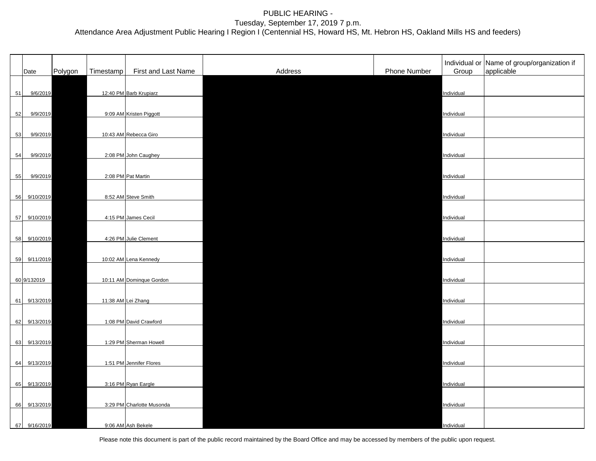|    | Date         | Polygon | Timestamp | First and Last Name       | Address | Phone Number | Group      | Individual or Name of group/organization if<br>applicable |
|----|--------------|---------|-----------|---------------------------|---------|--------------|------------|-----------------------------------------------------------|
| 51 | 9/6/2019     |         |           | 12:40 PM Barb Krupiarz    |         |              | Individual |                                                           |
| 52 | 9/9/2019     |         |           | 9:09 AM Kristen Piggott   |         |              | Individual |                                                           |
| 53 | 9/9/2019     |         |           | 10:43 AM Rebecca Giro     |         |              | Individual |                                                           |
| 54 | 9/9/2019     |         |           | 2:08 PM John Caughey      |         |              | Individual |                                                           |
| 55 | 9/9/2019     |         |           | 2:08 PM Pat Martin        |         |              | Individual |                                                           |
| 56 | 9/10/2019    |         |           | 8:52 AM Steve Smith       |         |              | Individual |                                                           |
|    | 57 9/10/2019 |         |           | 4:15 PM James Cecil       |         |              | Individual |                                                           |
|    | 58 9/10/2019 |         |           | 4:26 PM Julie Clement     |         |              | Individual |                                                           |
|    | 59 9/11/2019 |         |           | 10:02 AM Lena Kennedy     |         |              | Individual |                                                           |
|    | 60 9/132019  |         |           | 10:11 AM Dominque Gordon  |         |              | Individual |                                                           |
|    | 61 9/13/2019 |         |           | 11:38 AM Lei Zhang        |         |              | Individual |                                                           |
|    | 62 9/13/2019 |         |           | 1:08 PM David Crawford    |         |              | Individual |                                                           |
|    | 63 9/13/2019 |         |           | 1:29 PM Sherman Howell    |         |              | Individual |                                                           |
|    | 64 9/13/2019 |         |           | 1:51 PM Jennifer Flores   |         |              | Individual |                                                           |
|    | 65 9/13/2019 |         |           | 3:16 PM Ryan Eargle       |         |              | Individual |                                                           |
|    | 66 9/13/2019 |         |           | 3:29 PM Charlotte Musonda |         |              | Individual |                                                           |
| 67 | 9/16/2019    |         |           | 9:06 AM Ash Bekele        |         |              | Individual |                                                           |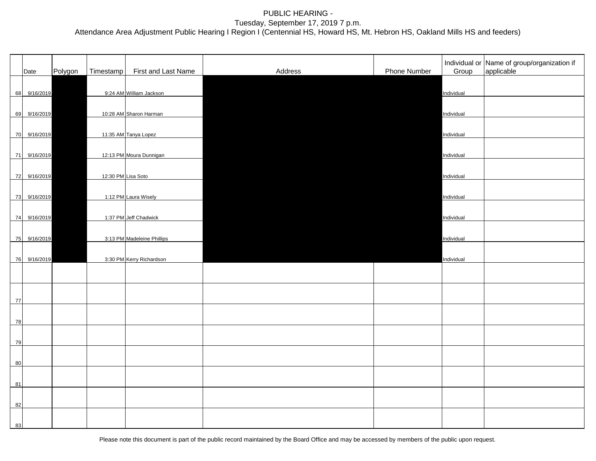|    | Date         | Polygon | Timestamp | First and Last Name        | Address | Phone Number | Group      | Individual or Name of group/organization if<br>applicable |
|----|--------------|---------|-----------|----------------------------|---------|--------------|------------|-----------------------------------------------------------|
|    | 68 9/16/2019 |         |           | 9:24 AM William Jackson    |         |              | Individual |                                                           |
|    | 69 9/16/2019 |         |           | 10:28 AM Sharon Harman     |         |              | Individual |                                                           |
|    | 70 9/16/2019 |         |           | 11:35 AM Tanya Lopez       |         |              | Individual |                                                           |
|    | 71 9/16/2019 |         |           | 12:13 PM Moura Dunnigan    |         |              | Individual |                                                           |
|    | 72 9/16/2019 |         |           | 12:30 PM Lisa Soto         |         |              | Individual |                                                           |
|    | 73 9/16/2019 |         |           | 1:12 PM Laura Wisely       |         |              | Individual |                                                           |
|    | 74 9/16/2019 |         |           | 1:37 PM Jeff Chadwick      |         |              | Individual |                                                           |
|    | 75 9/16/2019 |         |           | 3:13 PM Madeleine Phillips |         |              | Individual |                                                           |
|    | 76 9/16/2019 |         |           | 3:30 PM Kerry Richardson   |         |              | Individual |                                                           |
|    |              |         |           |                            |         |              |            |                                                           |
| 77 |              |         |           |                            |         |              |            |                                                           |
| 78 |              |         |           |                            |         |              |            |                                                           |
| 79 |              |         |           |                            |         |              |            |                                                           |
| 80 |              |         |           |                            |         |              |            |                                                           |
| 81 |              |         |           |                            |         |              |            |                                                           |
| 82 |              |         |           |                            |         |              |            |                                                           |
| 83 |              |         |           |                            |         |              |            |                                                           |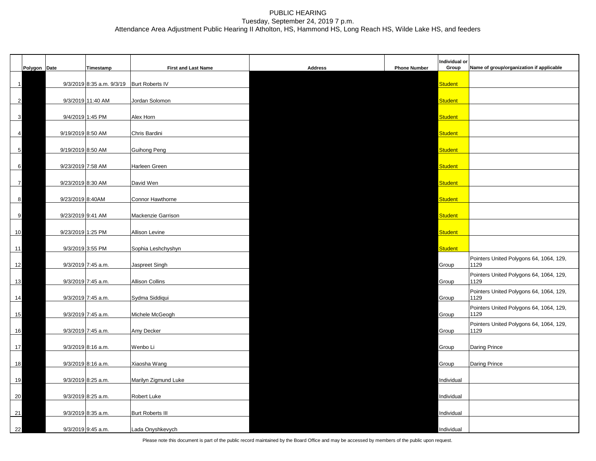|    | Polygon Date    |                   | Timestamp                                 | <b>First and Last Name</b> | <b>Address</b> | <b>Phone Number</b> | Individual or<br>Group | Name of group/organization if applicable        |
|----|-----------------|-------------------|-------------------------------------------|----------------------------|----------------|---------------------|------------------------|-------------------------------------------------|
|    | $\mathbf{1}$    |                   | 9/3/2019 8:35 a.m. 9/3/19 Burt Roberts IV |                            |                |                     | <b>Student</b>         |                                                 |
|    | $\overline{2}$  |                   | 9/3/2019 11:40 AM                         | Jordan Solomon             |                |                     | <b>Student</b>         |                                                 |
|    | $\mathbf{3}$    | 9/4/2019 1:45 PM  |                                           | Alex Horn                  |                |                     | <b>Student</b>         |                                                 |
|    | $\overline{4}$  | 9/19/2019 8:50 AM |                                           | Chris Bardini              |                |                     | <b>Student</b>         |                                                 |
|    | $5\phantom{.0}$ | 9/19/2019 8:50 AM |                                           | <b>Guihong Peng</b>        |                |                     | <b>Student</b>         |                                                 |
|    |                 |                   |                                           |                            |                |                     |                        |                                                 |
|    | 6               | 9/23/2019 7:58 AM |                                           | Harleen Green              |                |                     | <b>Student</b>         |                                                 |
|    | $\overline{7}$  | 9/23/2019 8:30 AM |                                           | David Wen                  |                |                     | <b>Student</b>         |                                                 |
|    | 8               | 9/23/2019 8:40AM  |                                           | Connor Hawthorne           |                |                     | <b>Student</b>         |                                                 |
|    | 9               | 9/23/2019 9:41 AM |                                           | Mackenzie Garrison         |                |                     | <b>Student</b>         |                                                 |
| 10 |                 | 9/23/2019 1:25 PM |                                           | Allison Levine             |                |                     | <b>Student</b>         |                                                 |
| 11 |                 | 9/3/2019 3:55 PM  |                                           | Sophia Leshchyshyn         |                |                     | <b>Student</b>         |                                                 |
| 12 |                 |                   | 9/3/2019 7:45 a.m.                        | Jaspreet Singh             |                |                     | Group                  | Pointers United Polygons 64, 1064, 129,<br>1129 |
| 13 |                 |                   | 9/3/2019 7:45 a.m.                        | <b>Allison Collins</b>     |                |                     | Group                  | Pointers United Polygons 64, 1064, 129,<br>1129 |
| 14 |                 |                   | 9/3/2019 7:45 a.m.                        | Sydma Siddiqui             |                |                     | Group                  | Pointers United Polygons 64, 1064, 129,<br>1129 |
| 15 |                 |                   | 9/3/2019 7:45 a.m.                        | Michele McGeogh            |                |                     | Group                  | Pointers United Polygons 64, 1064, 129,<br>1129 |
| 16 |                 |                   | 9/3/2019 7:45 a.m.                        | Amy Decker                 |                |                     | Group                  | Pointers United Polygons 64, 1064, 129,<br>1129 |
| 17 |                 |                   | 9/3/2019 8:16 a.m.                        | Wenbo Li                   |                |                     | Group                  | Daring Prince                                   |
| 18 |                 |                   | 9/3/2019 8:16 a.m.                        | Xiaosha Wang               |                |                     | Group                  | <b>Daring Prince</b>                            |
| 19 |                 |                   | 9/3/2019 8:25 a.m.                        | Marilyn Zigmund Luke       |                |                     | Individual             |                                                 |
|    |                 |                   |                                           |                            |                |                     |                        |                                                 |
| 20 |                 |                   | 9/3/2019 8:25 a.m.                        | Robert Luke                |                |                     | Individual             |                                                 |
| 21 |                 |                   | 9/3/2019 8:35 a.m.                        | <b>Burt Roberts III</b>    |                |                     | Individual             |                                                 |
| 22 |                 |                   | 9/3/2019 9:45 a.m.                        | Lada Onyshkevych           |                |                     | Individual             |                                                 |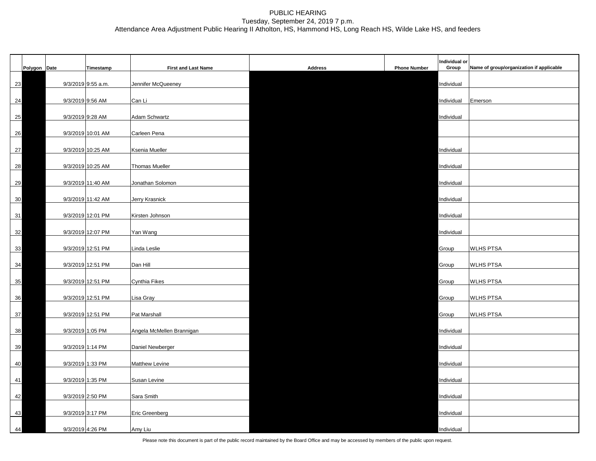|    | Polygon Date | Timestamp          | <b>First and Last Name</b> | <b>Address</b> | <b>Phone Number</b> | Individual or<br>Group | Name of group/organization if applicable |
|----|--------------|--------------------|----------------------------|----------------|---------------------|------------------------|------------------------------------------|
| 23 |              | 9/3/2019 9:55 a.m. | Jennifer McQueeney         |                |                     | Individual             |                                          |
| 24 |              | 9/3/2019 9:56 AM   | Can Li                     |                |                     | Individual             | Emerson                                  |
|    |              |                    |                            |                |                     |                        |                                          |
| 25 |              | 9/3/2019 9:28 AM   | Adam Schwartz              |                |                     | Individual             |                                          |
| 26 |              | 9/3/2019 10:01 AM  | Carleen Pena               |                |                     |                        |                                          |
| 27 |              | 9/3/2019 10:25 AM  | Ksenia Mueller             |                |                     | Individual             |                                          |
| 28 |              | 9/3/2019 10:25 AM  | Thomas Mueller             |                |                     | Individual             |                                          |
| 29 |              | 9/3/2019 11:40 AM  | Jonathan Solomon           |                |                     | Individual             |                                          |
| 30 |              | 9/3/2019 11:42 AM  | Jerry Krasnick             |                |                     | Individual             |                                          |
| 31 |              | 9/3/2019 12:01 PM  | Kirsten Johnson            |                |                     | Individual             |                                          |
|    |              |                    |                            |                |                     |                        |                                          |
| 32 |              | 9/3/2019 12:07 PM  | Yan Wang                   |                |                     | Individual             |                                          |
| 33 |              | 9/3/2019 12:51 PM  | Linda Leslie               |                |                     | Group                  | <b>WLHS PTSA</b>                         |
| 34 |              | 9/3/2019 12:51 PM  | Dan Hill                   |                |                     | Group                  | <b>WLHS PTSA</b>                         |
| 35 |              | 9/3/2019 12:51 PM  | Cynthia Fikes              |                |                     | Group                  | <b>WLHS PTSA</b>                         |
| 36 |              | 9/3/2019 12:51 PM  | Lisa Gray                  |                |                     | Group                  | <b>WLHS PTSA</b>                         |
| 37 |              | 9/3/2019 12:51 PM  | Pat Marshall               |                |                     | Group                  | WLHS PTSA                                |
| 38 |              | 9/3/2019 1:05 PM   | Angela McMellen Brannigan  |                |                     | Individual             |                                          |
| 39 |              | 9/3/2019 1:14 PM   | Daniel Newberger           |                |                     | Individual             |                                          |
|    |              |                    |                            |                |                     |                        |                                          |
| 40 |              | 9/3/2019 1:33 PM   | <b>Matthew Levine</b>      |                |                     | Individual             |                                          |
| 41 |              | 9/3/2019 1:35 PM   | Susan Levine               |                |                     | Individual             |                                          |
| 42 |              | 9/3/2019 2:50 PM   | Sara Smith                 |                |                     | Individual             |                                          |
| 43 |              | 9/3/2019 3:17 PM   | <b>Eric Greenberg</b>      |                |                     | Individual             |                                          |
| 44 |              | 9/3/2019 4:26 PM   | Amy Liu                    |                |                     | Individual             |                                          |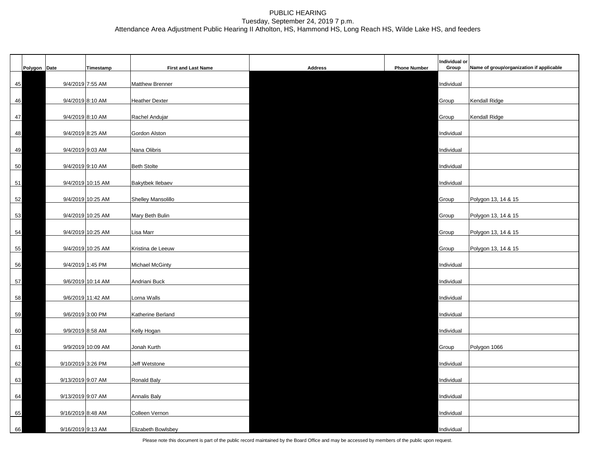|    | Polygon Date |                   | Timestamp         | <b>First and Last Name</b> | <b>Address</b> | <b>Phone Number</b> | Individual or<br>Group | Name of group/organization if applicable |
|----|--------------|-------------------|-------------------|----------------------------|----------------|---------------------|------------------------|------------------------------------------|
| 45 |              | 9/4/2019 7:55 AM  |                   | Matthew Brenner            |                |                     | Individual             |                                          |
| 46 |              | 9/4/2019 8:10 AM  |                   | <b>Heather Dexter</b>      |                |                     | Group                  | <b>Kendall Ridge</b>                     |
| 47 |              | 9/4/2019 8:10 AM  |                   | Rachel Andujar             |                |                     | Group                  | <b>Kendall Ridge</b>                     |
|    |              | 9/4/2019 8:25 AM  |                   | Gordon Alston              |                |                     | Individual             |                                          |
|    | 48           |                   |                   |                            |                |                     |                        |                                          |
|    | 49           | 9/4/2019 9:03 AM  |                   | Nana Olibris               |                |                     | Individual             |                                          |
| 50 |              |                   | 9/4/2019 9:10 AM  | <b>Beth Stolte</b>         |                |                     | Individual             |                                          |
| 51 |              |                   | 9/4/2019 10:15 AM | <b>Bakytbek llebaev</b>    |                |                     | Individual             |                                          |
| 52 |              |                   | 9/4/2019 10:25 AM | Shelley Mansolillo         |                |                     | Group                  | Polygon 13, 14 & 15                      |
| 53 |              |                   | 9/4/2019 10:25 AM | Mary Beth Bulin            |                |                     | Group                  | Polygon 13, 14 & 15                      |
| 54 |              |                   | 9/4/2019 10:25 AM | Lisa Marr                  |                |                     | Group                  | Polygon 13, 14 & 15                      |
| 55 |              |                   | 9/4/2019 10:25 AM | Kristina de Leeuw          |                |                     | Group                  | Polygon 13, 14 & 15                      |
| 56 |              | 9/4/2019 1:45 PM  |                   | <b>Michael McGinty</b>     |                |                     | Individual             |                                          |
| 57 |              |                   | 9/6/2019 10:14 AM | Andriani Buck              |                |                     | Individual             |                                          |
| 58 |              |                   | 9/6/2019 11:42 AM | Lorna Walls                |                |                     | Individual             |                                          |
| 59 |              | 9/6/2019 3:00 PM  |                   | Katherine Berland          |                |                     | Individual             |                                          |
| 60 |              |                   | 9/9/2019 8:58 AM  | Kelly Hogan                |                |                     | Individual             |                                          |
|    |              |                   |                   | Jonah Kurth                |                |                     |                        |                                          |
| 61 |              |                   | 9/9/2019 10:09 AM |                            |                |                     | Group                  | Polygon 1066                             |
| 62 |              | 9/10/2019 3:26 PM |                   | Jeff Wetstone              |                |                     | Individual             |                                          |
| 63 |              | 9/13/2019 9:07 AM |                   | Ronald Baly                |                |                     | Individual             |                                          |
|    | 64           | 9/13/2019 9:07 AM |                   | <b>Annalis Baly</b>        |                |                     | Individual             |                                          |
| 65 |              | 9/16/2019 8:48 AM |                   | Colleen Vernon             |                |                     | Individual             |                                          |
| 66 |              | 9/16/2019 9:13 AM |                   | Elizabeth Bowlsbey         |                |                     | Individual             |                                          |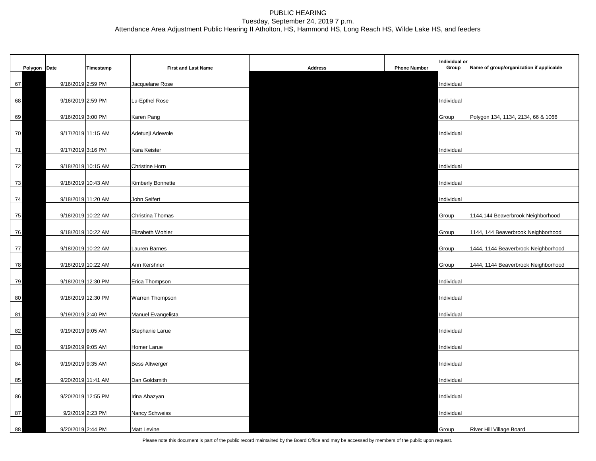|    | Polygon Date |                    | Timestamp | <b>First and Last Name</b> | <b>Address</b> | <b>Phone Number</b> | Individual or<br>Group | Name of group/organization if applicable |
|----|--------------|--------------------|-----------|----------------------------|----------------|---------------------|------------------------|------------------------------------------|
| 67 |              | 9/16/2019 2:59 PM  |           | Jacquelane Rose            |                |                     | Individual             |                                          |
| 68 |              | 9/16/2019 2:59 PM  |           | Lu-Epthel Rose             |                |                     | Individual             |                                          |
|    |              | 9/16/2019 3:00 PM  |           |                            |                |                     |                        |                                          |
| 69 |              |                    |           | Karen Pang                 |                |                     | Group                  | Polygon 134, 1134, 2134, 66 & 1066       |
| 70 |              | 9/17/2019 11:15 AM |           | Adetunji Adewole           |                |                     | Individual             |                                          |
| 71 |              | 9/17/2019 3:16 PM  |           | Kara Keister               |                |                     | Individual             |                                          |
| 72 |              | 9/18/2019 10:15 AM |           | <b>Christine Horn</b>      |                |                     | Individual             |                                          |
| 73 |              | 9/18/2019 10:43 AM |           | <b>Kimberly Bonnette</b>   |                |                     | Individual             |                                          |
| 74 |              | 9/18/2019 11:20 AM |           | John Seifert               |                |                     | Individual             |                                          |
|    |              |                    |           |                            |                |                     |                        |                                          |
| 75 |              | 9/18/2019 10:22 AM |           | Christina Thomas           |                |                     | Group                  | 1144,144 Beaverbrook Neighborhood        |
| 76 |              | 9/18/2019 10:22 AM |           | Elizabeth Wohler           |                |                     | Group                  | 1144, 144 Beaverbrook Neighborhood       |
| 77 |              | 9/18/2019 10:22 AM |           | Lauren Barnes              |                |                     | Group                  | 1444, 1144 Beaverbrook Neighborhood      |
| 78 |              | 9/18/2019 10:22 AM |           | Ann Kershner               |                |                     | Group                  | 1444, 1144 Beaverbrook Neighborhood      |
| 79 |              | 9/18/2019 12:30 PM |           | Erica Thompson             |                |                     | Individual             |                                          |
|    |              | 9/18/2019 12:30 PM |           |                            |                |                     | Individual             |                                          |
| 80 |              |                    |           | Warren Thompson            |                |                     |                        |                                          |
| 81 |              | 9/19/2019 2:40 PM  |           | Manuel Evangelista         |                |                     | Individual             |                                          |
| 82 |              | 9/19/2019 9:05 AM  |           | Stephanie Larue            |                |                     | Individual             |                                          |
| 83 |              | 9/19/2019 9:05 AM  |           | Homer Larue                |                |                     | Individual             |                                          |
| 84 |              | 9/19/2019 9:35 AM  |           | <b>Bess Altwerger</b>      |                |                     | Individual             |                                          |
| 85 |              | 9/20/2019 11:41 AM |           | Dan Goldsmith              |                |                     | Individual             |                                          |
|    |              |                    |           |                            |                |                     |                        |                                          |
| 86 |              | 9/20/2019 12:55 PM |           | Irina Abazyan              |                |                     | Individual             |                                          |
| 87 |              | 9/2/2019 2:23 PM   |           | Nancy Schweiss             |                |                     | Individual             |                                          |
| 88 |              | 9/20/2019 2:44 PM  |           | <b>Matt Levine</b>         |                |                     | Group                  | River Hill Village Board                 |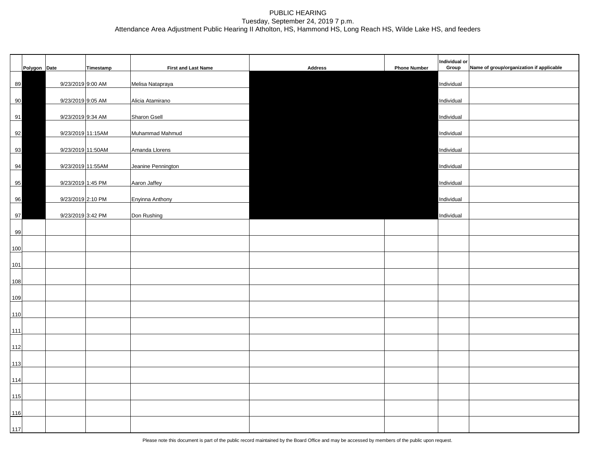|     | Polygon Date |                   | Timestamp | <b>First and Last Name</b> | <b>Address</b> | <b>Phone Number</b> | Individual or<br>Group | Name of group/organization if applicable |
|-----|--------------|-------------------|-----------|----------------------------|----------------|---------------------|------------------------|------------------------------------------|
| 89  |              | 9/23/2019 9:00 AM |           | Melisa Natapraya           |                |                     | Individual             |                                          |
| 90  |              | 9/23/2019 9:05 AM |           | Alicia Atamirano           |                |                     | Individual             |                                          |
| 91  |              | 9/23/2019 9:34 AM |           | <b>Sharon Gsell</b>        |                |                     | Individual             |                                          |
| 92  |              | 9/23/2019 11:15AM |           | Muhammad Mahmud            |                |                     | Individual             |                                          |
| 93  |              | 9/23/2019 11:50AM |           | Amanda Llorens             |                |                     | Individual             |                                          |
| 94  |              | 9/23/2019 11:55AM |           | Jeanine Pennington         |                |                     | Individual             |                                          |
|     |              | 9/23/2019 1:45 PM |           | Aaron Jaffey               |                |                     | Individual             |                                          |
| 95  |              |                   |           |                            |                |                     |                        |                                          |
| 96  |              | 9/23/2019 2:10 PM |           | Enyinna Anthony            |                |                     | Individual             |                                          |
| 97  |              | 9/23/2019 3:42 PM |           | Don Rushing                |                |                     | Individual             |                                          |
| 99  |              |                   |           |                            |                |                     |                        |                                          |
| 100 |              |                   |           |                            |                |                     |                        |                                          |
| 101 |              |                   |           |                            |                |                     |                        |                                          |
| 108 |              |                   |           |                            |                |                     |                        |                                          |
| 109 |              |                   |           |                            |                |                     |                        |                                          |
| 110 |              |                   |           |                            |                |                     |                        |                                          |
| 111 |              |                   |           |                            |                |                     |                        |                                          |
| 112 |              |                   |           |                            |                |                     |                        |                                          |
| 113 |              |                   |           |                            |                |                     |                        |                                          |
| 114 |              |                   |           |                            |                |                     |                        |                                          |
| 115 |              |                   |           |                            |                |                     |                        |                                          |
| 116 |              |                   |           |                            |                |                     |                        |                                          |
| 117 |              |                   |           |                            |                |                     |                        |                                          |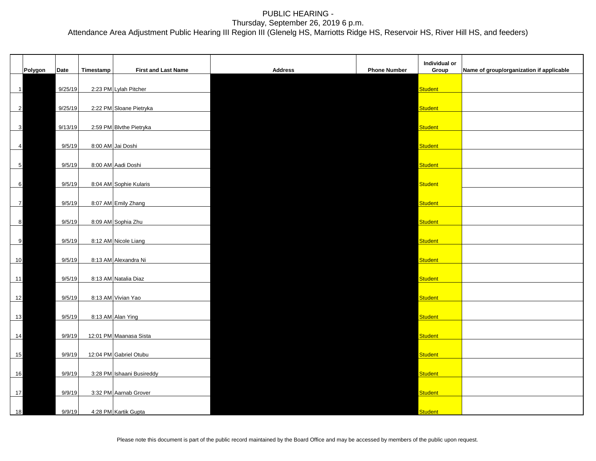|                  |         |         |           |                            |                |                     | Individual or  |                                          |
|------------------|---------|---------|-----------|----------------------------|----------------|---------------------|----------------|------------------------------------------|
|                  | Polygon | Date    | Timestamp | <b>First and Last Name</b> | <b>Address</b> | <b>Phone Number</b> | Group          | Name of group/organization if applicable |
| $\mathbf{1}$     |         | 9/25/19 |           | 2:23 PM Lylah Pitcher      |                |                     | Student        |                                          |
| $\overline{2}$   |         | 9/25/19 |           | 2:22 PM Sloane Pietryka    |                |                     | Student        |                                          |
|                  |         |         |           |                            |                |                     |                |                                          |
| $\mathbf{3}$     |         | 9/13/19 |           | 2:59 PM Blvthe Pietryka    |                |                     | <b>Student</b> |                                          |
| $\overline{a}$   |         | 9/5/19  |           | 8:00 AM Jai Doshi          |                |                     | <b>Student</b> |                                          |
| $5\phantom{.0}$  |         | 9/5/19  |           | 8:00 AM Aadi Doshi         |                |                     | <b>Student</b> |                                          |
| 6                |         | 9/5/19  |           | 8:04 AM Sophie Kularis     |                |                     | <b>Student</b> |                                          |
| $\overline{7}$   |         | 9/5/19  |           | 8:07 AM Emily Zhang        |                |                     | Student        |                                          |
| $\boldsymbol{8}$ |         | 9/5/19  |           | 8:09 AM Sophia Zhu         |                |                     | <b>Student</b> |                                          |
|                  |         |         |           |                            |                |                     |                |                                          |
| 9                |         | 9/5/19  |           | 8:12 AM Nicole Liang       |                |                     | <b>Student</b> |                                          |
| 10               |         | 9/5/19  |           | 8:13 AM Alexandra Ni       |                |                     | <b>Student</b> |                                          |
| 11               |         | 9/5/19  |           | 8:13 AM Natalia Diaz       |                |                     | <b>Student</b> |                                          |
| 12               |         | 9/5/19  |           | 8:13 AM Vivian Yao         |                |                     | Student        |                                          |
| 13               |         | 9/5/19  |           | 8:13 AM Alan Ying          |                |                     | <b>Student</b> |                                          |
| 14               |         | 9/9/19  |           | 12:01 PM Maanasa Sista     |                |                     | <b>Student</b> |                                          |
| 15               |         | 9/9/19  |           | 12:04 PM Gabriel Otubu     |                |                     | Student        |                                          |
|                  |         |         |           |                            |                |                     |                |                                          |
| 16               |         | 9/9/19  |           | 3:28 PM Ishaani Busireddy  |                |                     | Student        |                                          |
| 17               |         | 9/9/19  |           | 3:32 PM Aarnab Grover      |                |                     | Student        |                                          |
| 18               |         | 9/9/19  |           | 4:28 PM Kartik Gupta       |                |                     | <b>Student</b> |                                          |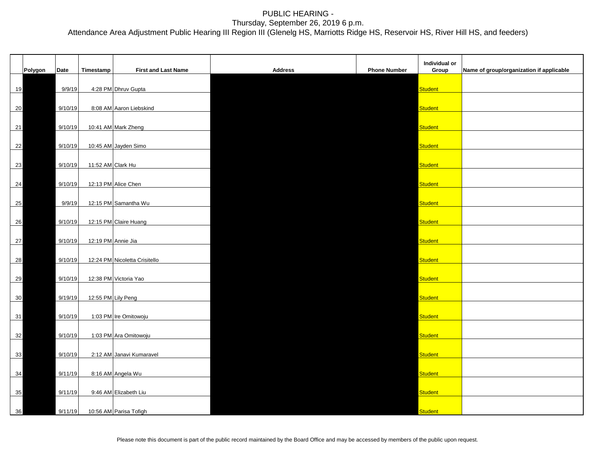|         |         |                   |                               |                |                     | Individual or  |                                          |
|---------|---------|-------------------|-------------------------------|----------------|---------------------|----------------|------------------------------------------|
| Polygon | Date    | Timestamp         | <b>First and Last Name</b>    | <b>Address</b> | <b>Phone Number</b> | Group          | Name of group/organization if applicable |
| 19      | 9/9/19  |                   | 4:28 PM Dhruv Gupta           |                |                     | <b>Student</b> |                                          |
| 20      | 9/10/19 |                   | 8:08 AM Aaron Liebskind       |                |                     | <b>Student</b> |                                          |
| 21      | 9/10/19 |                   | 10:41 AM Mark Zheng           |                |                     | <b>Student</b> |                                          |
| 22      | 9/10/19 |                   | 10:45 AM Jayden Simo          |                |                     | Student        |                                          |
| 23      | 9/10/19 | 11:52 AM Clark Hu |                               |                |                     | <b>Student</b> |                                          |
| 24      | 9/10/19 |                   | 12:13 PM Alice Chen           |                |                     | <b>Student</b> |                                          |
|         |         |                   |                               |                |                     |                |                                          |
| 25      | 9/9/19  |                   | 12:15 PM Samantha Wu          |                |                     | <b>Student</b> |                                          |
| 26      | 9/10/19 |                   | 12:15 PM Claire Huang         |                |                     | <b>Student</b> |                                          |
| 27      | 9/10/19 |                   | 12:19 PM Annie Jia            |                |                     | <b>Student</b> |                                          |
| 28      | 9/10/19 |                   | 12:24 PM Nicoletta Crisitello |                |                     | <b>Student</b> |                                          |
| 29      | 9/10/19 |                   | 12:38 PM Victoria Yao         |                |                     | <b>Student</b> |                                          |
| 30      | 9/19/19 |                   | 12:55 PM Lily Peng            |                |                     | <b>Student</b> |                                          |
| 31      | 9/10/19 |                   | 1:03 PM Ire Omitowoju         |                |                     | <b>Student</b> |                                          |
| 32      | 9/10/19 |                   | 1:03 PM Ara Omitowoju         |                |                     | <b>Student</b> |                                          |
| 33      | 9/10/19 |                   | 2:12 AM Janavi Kumaravel      |                |                     | <b>Student</b> |                                          |
| 34      | 9/11/19 |                   | 8:16 AM Angela Wu             |                |                     | Student        |                                          |
| 35      | 9/11/19 |                   | 9:46 AM Elizabeth Liu         |                |                     | <b>Student</b> |                                          |
| 36      | 9/11/19 |                   | 10:56 AM Parisa Tofigh        |                |                     | <b>Student</b> |                                          |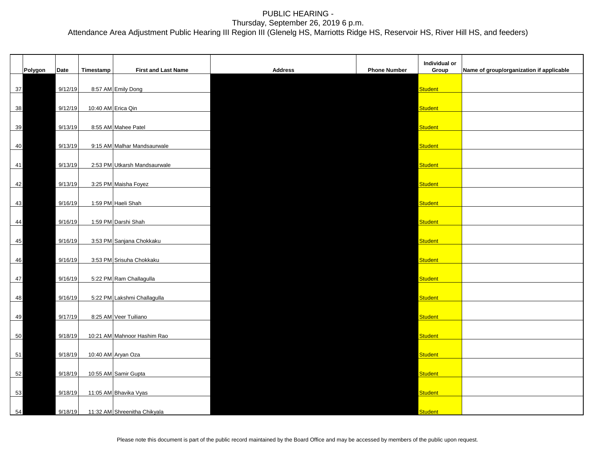|        |         |         |           |                              |                |                     | Individual or  |                                          |
|--------|---------|---------|-----------|------------------------------|----------------|---------------------|----------------|------------------------------------------|
|        | Polygon | Date    | Timestamp | <b>First and Last Name</b>   | <b>Address</b> | <b>Phone Number</b> | Group          | Name of group/organization if applicable |
|        |         |         |           |                              |                |                     |                |                                          |
| 37     |         | 9/12/19 |           | 8:57 AM Emily Dong           |                |                     | <b>Student</b> |                                          |
|        |         |         |           |                              |                |                     |                |                                          |
| 38     |         | 9/12/19 |           | 10:40 AM Erica Qin           |                |                     | <b>Student</b> |                                          |
|        |         |         |           |                              |                |                     |                |                                          |
| 39     |         | 9/13/19 |           | 8:55 AM Mahee Patel          |                |                     | <b>Student</b> |                                          |
|        |         |         |           |                              |                |                     |                |                                          |
| 40     |         | 9/13/19 |           | 9:15 AM Malhar Mandsaurwale  |                |                     | Student        |                                          |
| 41     |         | 9/13/19 |           | 2:53 PM Utkarsh Mandsaurwale |                |                     | <b>Student</b> |                                          |
|        |         |         |           |                              |                |                     |                |                                          |
| 42     |         | 9/13/19 |           | 3:25 PM Maisha Foyez         |                |                     | <b>Student</b> |                                          |
|        |         |         |           |                              |                |                     |                |                                          |
| 43     |         | 9/16/19 |           | 1:59 PM Haeli Shah           |                |                     | <b>Student</b> |                                          |
|        |         |         |           |                              |                |                     |                |                                          |
| 44     |         | 9/16/19 |           | 1:59 PM Darshi Shah          |                |                     | <b>Student</b> |                                          |
|        |         |         |           |                              |                |                     |                |                                          |
| 45     |         | 9/16/19 |           | 3:53 PM Sanjana Chokkaku     |                |                     | <b>Student</b> |                                          |
|        |         |         |           |                              |                |                     |                |                                          |
| 46     |         | 9/16/19 |           | 3:53 PM Srisuha Chokkaku     |                |                     | <b>Student</b> |                                          |
|        |         |         |           |                              |                |                     |                |                                          |
| $47\,$ |         | 9/16/19 |           | 5:22 PM Ram Challagulla      |                |                     | <b>Student</b> |                                          |
|        |         |         |           |                              |                |                     |                |                                          |
| 48     |         | 9/16/19 |           | 5:22 PM Lakshmi Challagulla  |                |                     | <b>Student</b> |                                          |
| 49     |         | 9/17/19 |           | 8:25 AM Veer Tuiliano        |                |                     | <b>Student</b> |                                          |
|        |         |         |           |                              |                |                     |                |                                          |
| 50     |         | 9/18/19 |           | 10:21 AM Mahnoor Hashim Rao  |                |                     | <b>Student</b> |                                          |
|        |         |         |           |                              |                |                     |                |                                          |
| 51     |         | 9/18/19 |           | 10:40 AM Aryan Oza           |                |                     | <b>Student</b> |                                          |
|        |         |         |           |                              |                |                     |                |                                          |
| 52     |         | 9/18/19 |           | 10:55 AM Samir Gupta         |                |                     | Student        |                                          |
|        |         |         |           |                              |                |                     |                |                                          |
| 53     |         | 9/18/19 |           | 11:05 AM Bhavika Vyas        |                |                     | Student        |                                          |
|        |         |         |           |                              |                |                     |                |                                          |
| 54     |         | 9/18/19 |           | 11:32 AM Shreenitha Chikyala |                |                     | <b>Student</b> |                                          |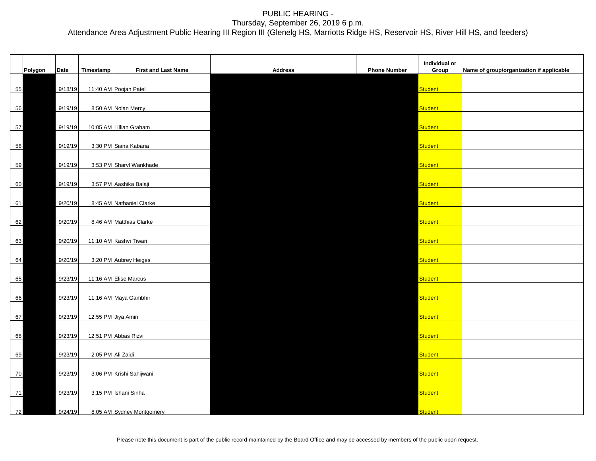|    |         |             |                   |                            |                |                     | Individual or  |                                          |
|----|---------|-------------|-------------------|----------------------------|----------------|---------------------|----------------|------------------------------------------|
|    | Polygon | <b>Date</b> | Timestamp         | <b>First and Last Name</b> | <b>Address</b> | <b>Phone Number</b> | Group          | Name of group/organization if applicable |
| 55 |         | 9/18/19     |                   | 11:40 AM Poojan Patel      |                |                     | <b>Student</b> |                                          |
| 56 |         | 9/19/19     |                   | 8:50 AM Nolan Mercy        |                |                     | <b>Student</b> |                                          |
| 57 |         | 9/19/19     |                   | 10:05 AM Lillian Graham    |                |                     | <b>Student</b> |                                          |
| 58 |         | 9/19/19     |                   | 3:30 PM Siana Kabaria      |                |                     | <b>Student</b> |                                          |
| 59 |         | 9/19/19     |                   | 3:53 PM Sharvl Wankhade    |                |                     | Student        |                                          |
| 60 |         | 9/19/19     |                   | 3:57 PM Aashika Balaji     |                |                     | <b>Student</b> |                                          |
| 61 |         | 9/20/19     |                   | 8:45 AM Nathaniel Clarke   |                |                     | <b>Student</b> |                                          |
|    |         |             |                   |                            |                |                     |                |                                          |
| 62 |         | 9/20/19     |                   | 8:46 AM Matthias Clarke    |                |                     | <b>Student</b> |                                          |
| 63 |         | 9/20/19     |                   | 11:10 AM Kashvi Tiwari     |                |                     | <b>Student</b> |                                          |
| 64 |         | 9/20/19     |                   | 3:20 PM Aubrey Heiges      |                |                     | <b>Student</b> |                                          |
| 65 |         | 9/23/19     |                   | 11:16 AM Elise Marcus      |                |                     | <b>Student</b> |                                          |
| 66 |         | 9/23/19     |                   | 11:16 AM Maya Gambhir      |                |                     | <b>Student</b> |                                          |
| 67 |         | 9/23/19     |                   | 12:55 PM Jiya Amin         |                |                     | <b>Student</b> |                                          |
| 68 |         | 9/23/19     |                   | 12:51 PM Abbas Rizvi       |                |                     | <b>Student</b> |                                          |
| 69 |         | 9/23/19     | 2:05 PM Ali Zaidi |                            |                |                     | <b>Student</b> |                                          |
| 70 |         | 9/23/19     |                   | 3:06 PM Krishi Sahijwani   |                |                     | <b>Student</b> |                                          |
| 71 |         | 9/23/19     |                   | 3:15 PM Ishani Sinha       |                |                     | <b>Student</b> |                                          |
| 72 |         | 9/24/19     |                   | 8:05 AM Sydney Montgomery  |                |                     | <b>Student</b> |                                          |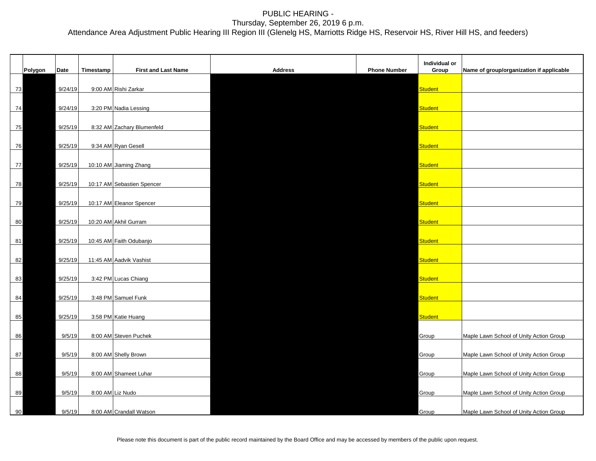|    |         |         |           |                            |                |                     | Individual or  |                                          |
|----|---------|---------|-----------|----------------------------|----------------|---------------------|----------------|------------------------------------------|
|    | Polygon | Date    | Timestamp | <b>First and Last Name</b> | <b>Address</b> | <b>Phone Number</b> | Group          | Name of group/organization if applicable |
|    |         |         |           |                            |                |                     |                |                                          |
| 73 |         | 9/24/19 |           | 9:00 AM Rishi Zarkar       |                |                     | <b>Student</b> |                                          |
|    |         |         |           |                            |                |                     |                |                                          |
| 74 |         | 9/24/19 |           | 3:20 PM Nadia Lessing      |                |                     | <b>Student</b> |                                          |
|    |         |         |           |                            |                |                     |                |                                          |
| 75 |         | 9/25/19 |           | 8:32 AM Zachary Blumenfeld |                |                     | <b>Student</b> |                                          |
|    |         | 9/25/19 |           |                            |                |                     | <b>Student</b> |                                          |
| 76 |         |         |           | 9:34 AM Ryan Gesell        |                |                     |                |                                          |
| 77 |         | 9/25/19 |           | 10:10 AM Jiaming Zhang     |                |                     | <b>Student</b> |                                          |
|    |         |         |           |                            |                |                     |                |                                          |
| 78 |         | 9/25/19 |           | 10:17 AM Sebastien Spencer |                |                     | <b>Student</b> |                                          |
|    |         |         |           |                            |                |                     |                |                                          |
| 79 |         | 9/25/19 |           | 10:17 AM Eleanor Spencer   |                |                     | Student        |                                          |
|    |         |         |           |                            |                |                     |                |                                          |
| 80 |         | 9/25/19 |           | 10:20 AM Akhil Gurram      |                |                     | Student        |                                          |
|    |         |         |           |                            |                |                     |                |                                          |
| 81 |         | 9/25/19 |           | 10:45 AM Faith Odubanjo    |                |                     | <b>Student</b> |                                          |
|    |         |         |           |                            |                |                     |                |                                          |
| 82 |         | 9/25/19 |           | 11:45 AM Aadvik Vashist    |                |                     | <b>Student</b> |                                          |
|    |         |         |           |                            |                |                     |                |                                          |
| 83 |         | 9/25/19 |           | 3:42 PM Lucas Chiang       |                |                     | <b>Student</b> |                                          |
| 84 |         | 9/25/19 |           | 3:48 PM Samuel Funk        |                |                     | <b>Student</b> |                                          |
|    |         |         |           |                            |                |                     |                |                                          |
| 85 |         | 9/25/19 |           | 3:58 PM Katie Huang        |                |                     | Student        |                                          |
|    |         |         |           |                            |                |                     |                |                                          |
| 86 |         | 9/5/19  |           | 8:00 AM Steven Puchek      |                |                     | Group          | Maple Lawn School of Unity Action Group  |
|    |         |         |           |                            |                |                     |                |                                          |
| 87 |         | 9/5/19  |           | 8:00 AM Shelly Brown       |                |                     | Group          | Maple Lawn School of Unity Action Group  |
|    |         |         |           |                            |                |                     |                |                                          |
| 88 |         | 9/5/19  |           | 8:00 AM Shameet Luhar      |                |                     | Group          | Maple Lawn School of Unity Action Group  |
|    |         |         |           |                            |                |                     |                |                                          |
| 89 |         | 9/5/19  |           | 8:00 AM Liz Nudo           |                |                     | Group          | Maple Lawn School of Unity Action Group  |
|    |         |         |           |                            |                |                     |                |                                          |
| 90 |         | 9/5/19  |           | 8:00 AM Crandall Watson    |                |                     | Group          | Maple Lawn School of Unity Action Group  |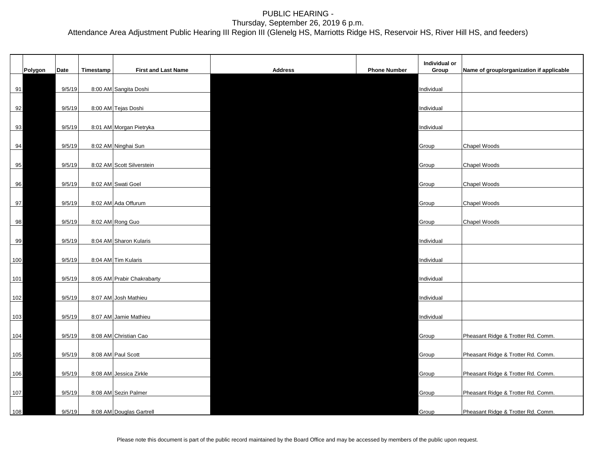|         |        |           |                            |                |                     | Individual or |                                          |
|---------|--------|-----------|----------------------------|----------------|---------------------|---------------|------------------------------------------|
| Polygon | Date   | Timestamp | <b>First and Last Name</b> | <b>Address</b> | <b>Phone Number</b> | Group         | Name of group/organization if applicable |
| 91      | 9/5/19 |           | 8:00 AM Sangita Doshi      |                |                     | Individual    |                                          |
| 92      | 9/5/19 |           | 8:00 AM Tejas Doshi        |                |                     | Individual    |                                          |
| 93      | 9/5/19 |           | 8:01 AM Morgan Pietryka    |                |                     | Individual    |                                          |
| 94      | 9/5/19 |           | 8:02 AM Ninghai Sun        |                |                     | Group         | Chapel Woods                             |
|         |        |           |                            |                |                     |               |                                          |
| 95      | 9/5/19 |           | 8:02 AM Scott Silverstein  |                |                     | Group         | Chapel Woods                             |
| 96      | 9/5/19 |           | 8:02 AM Swati Goel         |                |                     | Group         | Chapel Woods                             |
| 97      | 9/5/19 |           | 8:02 AM Ada Offurum        |                |                     | Group         | Chapel Woods                             |
| 98      | 9/5/19 |           | 8:02 AM Rong Guo           |                |                     | Group         | Chapel Woods                             |
| 99      | 9/5/19 |           | 8:04 AM Sharon Kularis     |                |                     | Individual    |                                          |
| 100     | 9/5/19 |           | 8:04 AM Tim Kularis        |                |                     | Individual    |                                          |
| 101     | 9/5/19 |           | 8:05 AM Prabir Chakrabarty |                |                     | Individual    |                                          |
| 102     | 9/5/19 |           | 8:07 AM Josh Mathieu       |                |                     | Individual    |                                          |
| 103     | 9/5/19 |           | 8:07 AM Jamie Mathieu      |                |                     | Individual    |                                          |
| 104     | 9/5/19 |           | 8:08 AM Christian Cao      |                |                     | Group         | Pheasant Ridge & Trotter Rd. Comm.       |
| 105     | 9/5/19 |           | 8:08 AM Paul Scott         |                |                     | Group         | Pheasant Ridge & Trotter Rd. Comm.       |
| 106     | 9/5/19 |           | 8:08 AM Jessica Zirkle     |                |                     | Group         | Pheasant Ridge & Trotter Rd. Comm.       |
|         |        |           |                            |                |                     |               |                                          |
| 107     | 9/5/19 |           | 8:08 AM Sezin Palmer       |                |                     | Group         | Pheasant Ridge & Trotter Rd. Comm.       |
| $108$   | 9/5/19 |           | 8:08 AM Douglas Gartrell   |                |                     | Group         | Pheasant Ridge & Trotter Rd. Comm.       |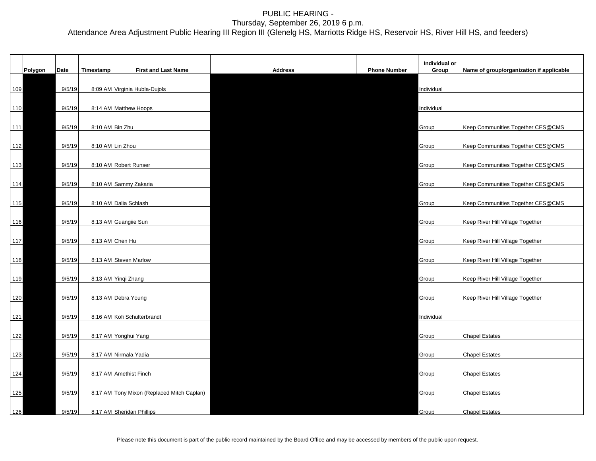|       | Polygon | Date   | Timestamp | <b>First and Last Name</b>                 | <b>Address</b> | <b>Phone Number</b> | Individual or<br>Group | Name of group/organization if applicable |
|-------|---------|--------|-----------|--------------------------------------------|----------------|---------------------|------------------------|------------------------------------------|
|       |         |        |           |                                            |                |                     |                        |                                          |
|       | 109     | 9/5/19 |           | 8:09 AM Virginia Hubla-Dujols              |                |                     | Individual             |                                          |
|       |         |        |           |                                            |                |                     |                        |                                          |
|       | 110     | 9/5/19 |           | 8:14 AM Matthew Hoops                      |                |                     | Individual             |                                          |
|       |         |        |           |                                            |                |                     |                        |                                          |
| 111   |         | 9/5/19 |           | 8:10 AM Bin Zhu                            |                |                     | Group                  | Keep Communities Together CES@CMS        |
|       |         |        |           |                                            |                |                     |                        |                                          |
| $112$ |         | 9/5/19 |           | 8:10 AM Lin Zhou                           |                |                     | Group                  | Keep Communities Together CES@CMS        |
|       |         |        |           |                                            |                |                     |                        |                                          |
| 113   |         | 9/5/19 |           | 8:10 AM Robert Runser                      |                |                     | Group                  | Keep Communities Together CES@CMS        |
| 114   |         | 9/5/19 |           | 8:10 AM Sammy Zakaria                      |                |                     | Group                  | Keep Communities Together CES@CMS        |
|       |         |        |           |                                            |                |                     |                        |                                          |
| 115   |         | 9/5/19 |           | 8:10 AM Dalia Schlash                      |                |                     | Group                  | Keep Communities Together CES@CMS        |
|       |         |        |           |                                            |                |                     |                        |                                          |
| $116$ |         | 9/5/19 |           | 8:13 AM Guangile Sun                       |                |                     | Group                  | Keep River Hill Village Together         |
|       |         |        |           |                                            |                |                     |                        |                                          |
| 117   |         | 9/5/19 |           | 8:13 AM Chen Hu                            |                |                     | Group                  | Keep River Hill Village Together         |
|       |         |        |           |                                            |                |                     |                        |                                          |
| 118   |         | 9/5/19 |           | 8:13 AM Steven Marlow                      |                |                     | Group                  | Keep River Hill Village Together         |
|       |         |        |           |                                            |                |                     |                        |                                          |
|       | 119     | 9/5/19 |           | 8:13 AM Yinqi Zhang                        |                |                     | Group                  | Keep River Hill Village Together         |
|       |         |        |           |                                            |                |                     |                        |                                          |
|       | 120     | 9/5/19 |           | 8:13 AM Debra Young                        |                |                     | Group                  | Keep River Hill Village Together         |
|       |         |        |           |                                            |                |                     |                        |                                          |
|       | 121     | 9/5/19 |           | 8:16 AM Kofi Schulterbrandt                |                |                     | Individual             |                                          |
|       |         |        |           |                                            |                |                     |                        |                                          |
|       | 122     | 9/5/19 |           | 8:17 AM Yonghui Yang                       |                |                     | Group                  | <b>Chapel Estates</b>                    |
|       | 123     | 9/5/19 |           | 8:17 AM Nirmala Yadia                      |                |                     | Group                  | <b>Chapel Estates</b>                    |
|       |         |        |           |                                            |                |                     |                        |                                          |
|       | 124     | 9/5/19 |           | 8:17 AM Amethist Finch                     |                |                     | Group                  | <b>Chapel Estates</b>                    |
|       |         |        |           |                                            |                |                     |                        |                                          |
|       | 125     | 9/5/19 |           | 8:17 AM Tony Mixon (Replaced Mitch Caplan) |                |                     | Group                  | <b>Chapel Estates</b>                    |
|       |         |        |           |                                            |                |                     |                        |                                          |
| 126   |         | 9/5/19 |           | 8:17 AM Sheridan Phillips                  |                |                     | Group                  | <b>Chapel Estates</b>                    |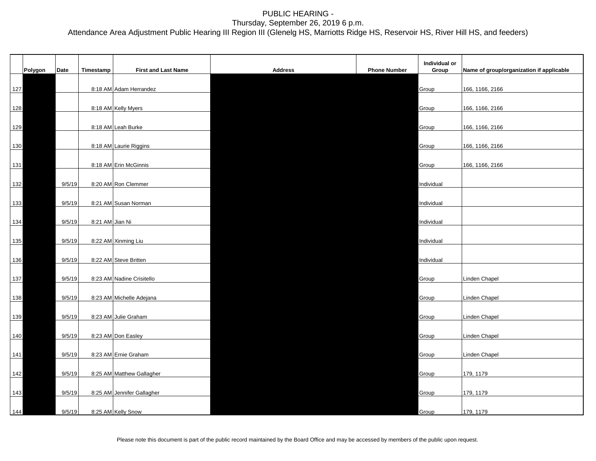|       | Polygon | Date   | Timestamp       | <b>First and Last Name</b> | <b>Address</b> | <b>Phone Number</b> | Individual or<br>Group | Name of group/organization if applicable |
|-------|---------|--------|-----------------|----------------------------|----------------|---------------------|------------------------|------------------------------------------|
|       | 127     |        |                 | 8:18 AM Adam Herrandez     |                |                     | Group                  | 166, 1166, 2166                          |
| 128   |         |        |                 | 8:18 AM Kelly Myers        |                |                     | Group                  | 166, 1166, 2166                          |
|       | 129     |        |                 | 8:18 AM Leah Burke         |                |                     | Group                  | 166, 1166, 2166                          |
|       |         |        |                 | 8:18 AM Laurie Riggins     |                |                     | Group                  |                                          |
| 130   |         |        |                 |                            |                |                     |                        | 166, 1166, 2166                          |
| 131   |         |        |                 | 8:18 AM Erin McGinnis      |                |                     | Group                  | 166, 1166, 2166                          |
| 132   |         | 9/5/19 |                 | 8:20 AM Ron Clemmer        |                |                     | Individual             |                                          |
| 133   |         | 9/5/19 |                 | 8:21 AM Susan Norman       |                |                     | Individual             |                                          |
|       | 134     | 9/5/19 | 8:21 AM Jian Ni |                            |                |                     | Individual             |                                          |
| 135   |         | 9/5/19 |                 | 8:22 AM Xinming Liu        |                |                     | Individual             |                                          |
|       | 136     | 9/5/19 |                 | 8:22 AM Steve Britten      |                |                     | Individual             |                                          |
| 137   |         | 9/5/19 |                 | 8:23 AM Nadine Crisitello  |                |                     | Group                  | Linden Chapel                            |
|       | 138     | 9/5/19 |                 | 8:23 AM Michelle Adejana   |                |                     | Group                  | Linden Chapel                            |
|       | 139     | 9/5/19 |                 | 8:23 AM Julie Graham       |                |                     | Group                  | Linden Chapel                            |
| 140   |         | 9/5/19 |                 | 8:23 AM Don Easley         |                |                     | Group                  | Linden Chapel                            |
| $141$ |         | 9/5/19 |                 | 8:23 AM Ernie Graham       |                |                     | Group                  | Linden Chapel                            |
| 142   |         | 9/5/19 |                 | 8:25 AM Matthew Gallagher  |                |                     | Group                  | 179, 1179                                |
| 143   |         | 9/5/19 |                 | 8:25 AM Jennifer Gallagher |                |                     | Group                  | 179, 1179                                |
| 144   |         | 9/5/19 |                 | 8:25 AM Kelly Snow         |                |                     | Group                  | 179, 1179                                |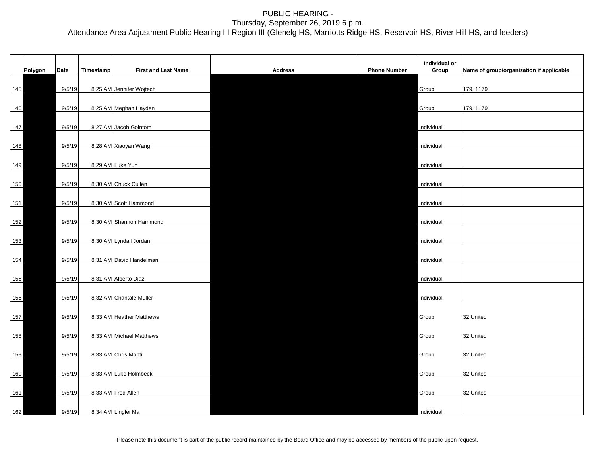| Polygon    | Date   | Timestamp | <b>First and Last Name</b> | <b>Address</b> | <b>Phone Number</b> | Individual or<br>Group | Name of group/organization if applicable |
|------------|--------|-----------|----------------------------|----------------|---------------------|------------------------|------------------------------------------|
| 145        | 9/5/19 |           | 8:25 AM Jennifer Wojtech   |                |                     | Group                  | 179, 1179                                |
|            |        |           |                            |                |                     |                        |                                          |
| 146        | 9/5/19 |           | 8:25 AM Meghan Hayden      |                |                     | Group                  | 179, 1179                                |
| 147        | 9/5/19 |           | 8:27 AM Jacob Gointom      |                |                     | Individual             |                                          |
| 148        | 9/5/19 |           | 8:28 AM Xiaoyan Wang       |                |                     | Individual             |                                          |
| 149        | 9/5/19 |           | 8:29 AM Luke Yun           |                |                     | Individual             |                                          |
| 150        | 9/5/19 |           | 8:30 AM Chuck Cullen       |                |                     | Individual             |                                          |
|            |        |           |                            |                |                     |                        |                                          |
| $151$      | 9/5/19 |           | 8:30 AM Scott Hammond      |                |                     | Individual             |                                          |
| $152$      | 9/5/19 |           | 8:30 AM Shannon Hammond    |                |                     | Individual             |                                          |
| 153        | 9/5/19 |           | 8:30 AM Lyndall Jordan     |                |                     | Individual             |                                          |
| <u>154</u> | 9/5/19 |           | 8:31 AM David Handelman    |                |                     | Individual             |                                          |
| 155        | 9/5/19 |           | 8:31 AM Alberto Diaz       |                |                     | Individual             |                                          |
| 156        | 9/5/19 |           | 8:32 AM Chantale Muller    |                |                     | Individual             |                                          |
|            |        |           |                            |                |                     |                        |                                          |
| 157        | 9/5/19 |           | 8:33 AM Heather Matthews   |                |                     | Group                  | 32 United                                |
| 158        | 9/5/19 |           | 8:33 AM Michael Matthews   |                |                     | Group                  | 32 United                                |
| 159        | 9/5/19 |           | 8:33 AM Chris Monti        |                |                     | Group                  | 32 United                                |
| 160        | 9/5/19 |           | 8:33 AM Luke Holmbeck      |                |                     | Group                  | 32 United                                |
| 161        | 9/5/19 |           | 8:33 AM Fred Allen         |                |                     | Group                  | 32 United                                |
| 162        | 9/5/19 |           | 8:34 AM Linglei Ma         |                |                     | Individual             |                                          |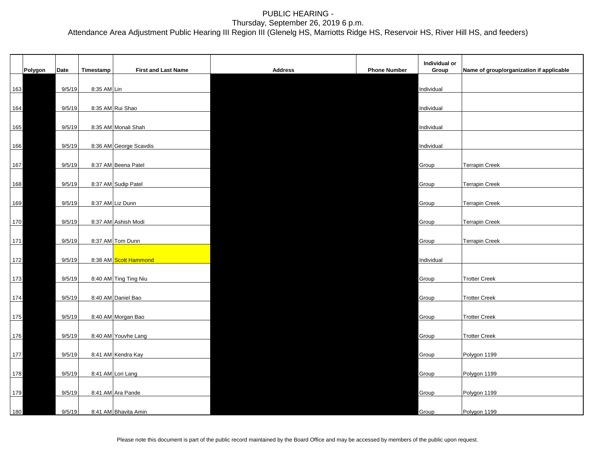|            |        |             |                            |                |                     | Individual or |                                          |
|------------|--------|-------------|----------------------------|----------------|---------------------|---------------|------------------------------------------|
| Polygon    | Date   | Timestamp   | <b>First and Last Name</b> | <b>Address</b> | <b>Phone Number</b> | Group         | Name of group/organization if applicable |
| 163        | 9/5/19 | 8:35 AM Lin |                            |                |                     | Individual    |                                          |
| 164        | 9/5/19 |             | 8:35 AM Rui Shao           |                |                     | Individual    |                                          |
|            |        |             |                            |                |                     |               |                                          |
| 165        | 9/5/19 |             | 8:35 AM Monali Shah        |                |                     | Individual    |                                          |
| 166        | 9/5/19 |             | 8:36 AM George Scavdis     |                |                     | Individual    |                                          |
| 167        | 9/5/19 |             | 8:37 AM Beena Patel        |                |                     | Group         | <b>Terrapin Creek</b>                    |
| 168        | 9/5/19 |             | 8:37 AM Sudip Patel        |                |                     | Group         | <b>Terrapin Creek</b>                    |
| 169        | 9/5/19 |             | 8:37 AM Liz Dunn           |                |                     | Group         | <b>Terrapin Creek</b>                    |
|            |        |             |                            |                |                     |               |                                          |
| 170        | 9/5/19 |             | 8:37 AM Ashish Modi        |                |                     | Group         | <b>Terrapin Creek</b>                    |
| 171        | 9/5/19 |             | 8:37 AM Tom Dunn           |                |                     | Group         | <b>Terrapin Creek</b>                    |
| $172$      | 9/5/19 |             | 8:38 AM Scott Hammond      |                |                     | Individual    |                                          |
| 173        | 9/5/19 |             | 8:40 AM Ting Ting Niu      |                |                     | Group         | <b>Trotter Creek</b>                     |
| 174        | 9/5/19 |             | 8:40 AM Daniel Bao         |                |                     | Group         | <b>Trotter Creek</b>                     |
|            |        |             |                            |                |                     |               |                                          |
| 175        | 9/5/19 |             | 8:40 AM Morgan Bao         |                |                     | Group         | <b>Trotter Creek</b>                     |
| <u>176</u> | 9/5/19 |             | 8:40 AM Youvhe Lang        |                |                     | Group         | <b>Trotter Creek</b>                     |
| 177        | 9/5/19 |             | 8:41 AM Kendra Kay         |                |                     | Group         | Polygon 1199                             |
| 178        | 9/5/19 |             | 8:41 AM Lori Lang          |                |                     | Group         | Polygon 1199                             |
|            | 9/5/19 |             | 8:41 AM Ara Pande          |                |                     |               |                                          |
| 179        |        |             |                            |                |                     | Group         | Polygon 1199                             |
| 180        | 9/5/19 |             | 8:41 AM Bhavita Amin       |                |                     | Group         | Polygon 1199                             |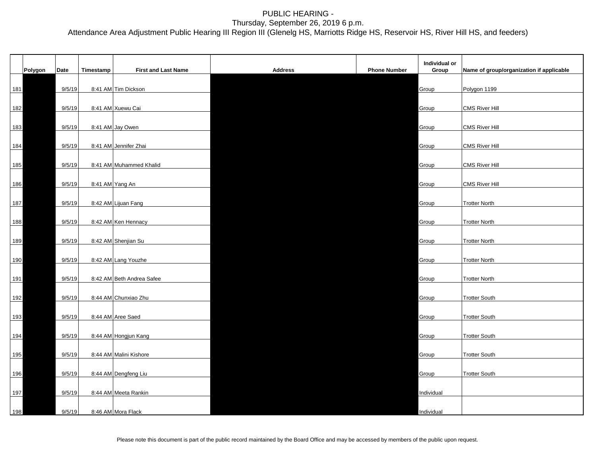| Polygon    | Date   | Timestamp | <b>First and Last Name</b> | <b>Address</b> | <b>Phone Number</b> | Individual or<br>Group | Name of group/organization if applicable |
|------------|--------|-----------|----------------------------|----------------|---------------------|------------------------|------------------------------------------|
| 181        | 9/5/19 |           | 8:41 AM Tim Dickson        |                |                     | Group                  | Polygon 1199                             |
| 182        | 9/5/19 |           | 8:41 AM Xuewu Cai          |                |                     | Group                  | <b>CMS River Hill</b>                    |
| 183        | 9/5/19 |           | 8:41 AM Jay Owen           |                |                     | Group                  | <b>CMS River Hill</b>                    |
| 184        | 9/5/19 |           | 8:41 AM Jennifer Zhai      |                |                     | Group                  | <b>CMS River Hill</b>                    |
| 185        | 9/5/19 |           | 8:41 AM Muhammed Khalid    |                |                     | Group                  | <b>CMS River Hill</b>                    |
| 186        | 9/5/19 |           | 8:41 AM Yang An            |                |                     | Group                  | <b>CMS River Hill</b>                    |
| 187        | 9/5/19 |           | 8:42 AM Lijuan Fang        |                |                     | Group                  | <b>Trotter North</b>                     |
| 188        | 9/5/19 |           | 8:42 AM Ken Hennacy        |                |                     | Group                  | <b>Trotter North</b>                     |
| 189        | 9/5/19 |           | 8:42 AM Shenjian Su        |                |                     | Group                  | <b>Trotter North</b>                     |
| 190        | 9/5/19 |           | 8:42 AM Lang Youzhe        |                |                     | Group                  | <b>Trotter North</b>                     |
| 191        | 9/5/19 |           | 8:42 AM Beth Andrea Safee  |                |                     | Group                  | <b>Trotter North</b>                     |
| 192        | 9/5/19 |           | 8:44 AM Chunxiao Zhu       |                |                     | Group                  | <b>Trotter South</b>                     |
| 193        | 9/5/19 |           | 8:44 AM Aree Saed          |                |                     | Group                  | <b>Trotter South</b>                     |
| <u>194</u> | 9/5/19 |           | 8:44 AM Hongjun Kang       |                |                     | Group                  | <b>Trotter South</b>                     |
| 195        | 9/5/19 |           | 8:44 AM Malini Kishore     |                |                     | Group                  | <b>Trotter South</b>                     |
| 196        | 9/5/19 |           | 8:44 AM Dengfeng Liu       |                |                     | Group                  | <b>Trotter South</b>                     |
| 197        | 9/5/19 |           | 8:44 AM Meeta Rankin       |                |                     | Individual             |                                          |
| 198        | 9/5/19 |           | 8:46 AM Mora Flack         |                |                     | Individual             |                                          |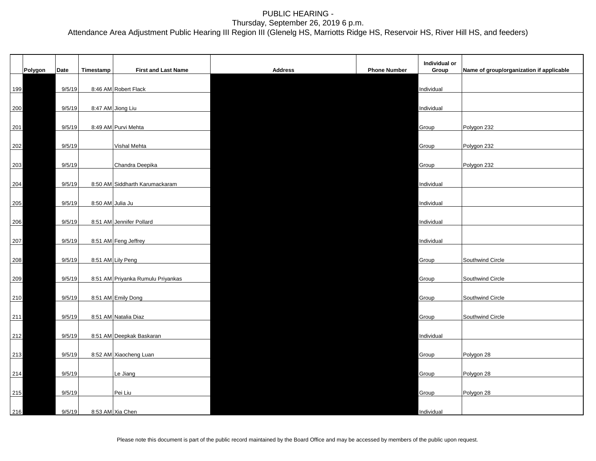|     |         |        |                  |                                   |                |                     | Individual or |                                          |
|-----|---------|--------|------------------|-----------------------------------|----------------|---------------------|---------------|------------------------------------------|
|     | Polygon | Date   | Timestamp        | <b>First and Last Name</b>        | <b>Address</b> | <b>Phone Number</b> | Group         | Name of group/organization if applicable |
| 199 |         | 9/5/19 |                  | 8:46 AM Robert Flack              |                |                     | Individual    |                                          |
| 200 |         | 9/5/19 |                  | 8:47 AM Jiong Liu                 |                |                     | Individual    |                                          |
| 201 |         | 9/5/19 |                  | 8:49 AM Purvi Mehta               |                |                     | Group         | Polygon 232                              |
|     |         |        |                  |                                   |                |                     |               |                                          |
| 202 |         | 9/5/19 |                  | Vishal Mehta                      |                |                     | Group         | Polygon 232                              |
| 203 |         | 9/5/19 |                  | Chandra Deepika                   |                |                     | Group         | Polygon 232                              |
| 204 |         | 9/5/19 |                  | 8:50 AM Siddharth Karumackaram    |                |                     | Individual    |                                          |
| 205 |         | 9/5/19 | 8:50 AM Julia Ju |                                   |                |                     | Individual    |                                          |
| 206 |         | 9/5/19 |                  | 8:51 AM Jennifer Pollard          |                |                     | Individual    |                                          |
| 207 |         | 9/5/19 |                  | 8:51 AM Feng Jeffrey              |                |                     | Individual    |                                          |
| 208 |         | 9/5/19 |                  | 8:51 AM Lily Peng                 |                |                     | Group         | Southwind Circle                         |
|     |         |        |                  |                                   |                |                     |               |                                          |
| 209 |         | 9/5/19 |                  | 8:51 AM Priyanka Rumulu Priyankas |                |                     | Group         | Southwind Circle                         |
| 210 |         | 9/5/19 |                  | 8:51 AM Emily Dong                |                |                     | Group         | Southwind Circle                         |
| 211 |         | 9/5/19 |                  | 8:51 AM Natalia Diaz              |                |                     | Group         | Southwind Circle                         |
| 212 |         | 9/5/19 |                  | 8:51 AM Deepkak Baskaran          |                |                     | Individual    |                                          |
|     |         |        |                  |                                   |                |                     |               |                                          |
| 213 |         | 9/5/19 |                  | 8:52 AM Xiaocheng Luan            |                |                     | Group         | Polygon 28                               |
| 214 |         | 9/5/19 |                  | Le Jiang                          |                |                     | Group         | Polygon 28                               |
| 215 |         | 9/5/19 |                  | Pei Liu                           |                |                     | Group         | Polygon 28                               |
| 216 |         | 9/5/19 |                  | 8:53 AM Xia Chen                  |                |                     | Individual    |                                          |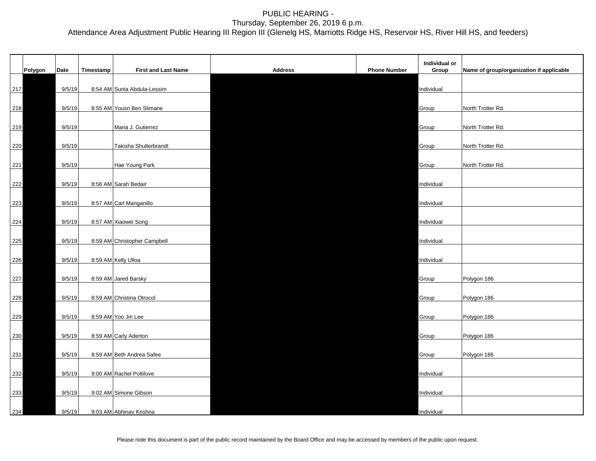|     | Polygon | Date   | Timestamp | <b>First and Last Name</b>   | <b>Address</b> | <b>Phone Number</b> | Individual or<br>Group | Name of group/organization if applicable |
|-----|---------|--------|-----------|------------------------------|----------------|---------------------|------------------------|------------------------------------------|
| 217 |         | 9/5/19 |           | 8:54 AM Sunia Abdula-Lessim  |                |                     | Individual             |                                          |
| 218 |         | 9/5/19 |           | 8:55 AM Yousri Ben Slimane   |                |                     | Group                  | North Trotter Rd.                        |
| 219 |         | 9/5/19 |           | Maria J. Gutierrez           |                |                     | Group                  | North Trotter Rd.                        |
| 220 |         | 9/5/19 |           | Takisha Shulterbrandt        |                |                     | Group                  | North Trotter Rd.                        |
| 221 |         | 9/5/19 |           | Hae Young Park               |                |                     | Group                  | North Trotter Rd.                        |
| 222 |         | 9/5/19 |           | 8:56 AM Sarah Bedair         |                |                     | Individual             |                                          |
| 223 |         | 9/5/19 |           | 8:57 AM Carl Manganillo      |                |                     | Individual             |                                          |
| 224 |         | 9/5/19 |           | 8:57 AM Xiaowei Song         |                |                     | Individual             |                                          |
| 225 |         | 9/5/19 |           | 8:59 AM Christopher Campbell |                |                     | Individual             |                                          |
| 226 |         | 9/5/19 |           | 8:59 AM Kelly Ulloa          |                |                     | Individual             |                                          |
| 227 |         | 9/5/19 |           | 8:59 AM Jared Barsky         |                |                     | Group                  | Polygon 186                              |
| 228 |         | 9/5/19 |           | 8:59 AM Christina Otrocol    |                |                     | Group                  | Polygon 186                              |
| 229 |         | 9/5/19 |           | 8:59 AM Yoo Jin Lee          |                |                     | Group                  | Polygon 186                              |
| 230 |         | 9/5/19 |           | 8:59 AM Carly Aderton        |                |                     | Group                  | Polygon 186                              |
| 231 |         | 9/5/19 |           | 8:59 AM Beth Andrea Safee    |                |                     | Group                  | Polygon 186                              |
| 232 |         | 9/5/19 |           | 9:00 AM Rachel Poltilove     |                |                     | Individual             |                                          |
| 233 |         | 9/5/19 |           | 9:02 AM Simone Gibson        |                |                     | Individual             |                                          |
| 234 |         | 9/5/19 |           | 9:03 AM Abhinav Krishna      |                |                     | Individual             |                                          |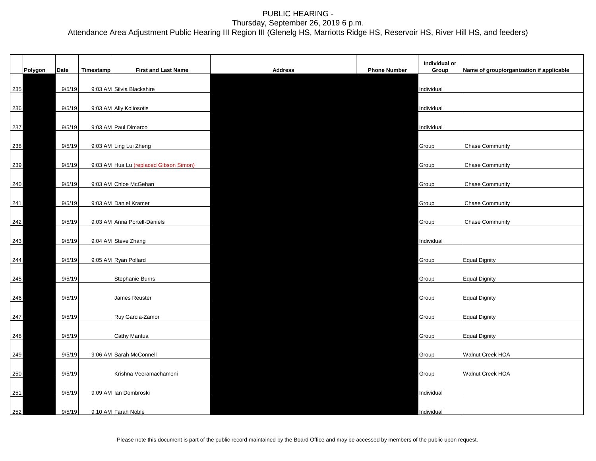|     |         |        |           |                                        |                |                     | Individual or |                                          |
|-----|---------|--------|-----------|----------------------------------------|----------------|---------------------|---------------|------------------------------------------|
|     | Polygon | Date   | Timestamp | <b>First and Last Name</b>             | <b>Address</b> | <b>Phone Number</b> | Group         | Name of group/organization if applicable |
| 235 |         | 9/5/19 |           | 9:03 AM Silvia Blackshire              |                |                     | Individual    |                                          |
| 236 |         | 9/5/19 |           | 9:03 AM Ally Koliosotis                |                |                     | Individual    |                                          |
| 237 |         | 9/5/19 |           | 9:03 AM Paul Dimarco                   |                |                     | Individual    |                                          |
| 238 |         | 9/5/19 |           | 9:03 AM Ling Lui Zheng                 |                |                     | Group         | <b>Chase Community</b>                   |
|     |         |        |           |                                        |                |                     |               |                                          |
| 239 |         | 9/5/19 |           | 9:03 AM Hua Lu (replaced Gibson Simon) |                |                     | Group         | <b>Chase Community</b>                   |
| 240 |         | 9/5/19 |           | 9:03 AM Chloe McGehan                  |                |                     | Group         | <b>Chase Community</b>                   |
| 241 |         | 9/5/19 |           | 9:03 AM Daniel Kramer                  |                |                     | Group         | <b>Chase Community</b>                   |
| 242 |         | 9/5/19 |           | 9:03 AM Anna Portell-Daniels           |                |                     | Group         | <b>Chase Community</b>                   |
| 243 |         | 9/5/19 |           | 9:04 AM Steve Zhang                    |                |                     | Individual    |                                          |
| 244 |         | 9/5/19 |           | 9:05 AM Ryan Pollard                   |                |                     | Group         | Equal Dignity                            |
|     |         |        |           |                                        |                |                     |               |                                          |
| 245 |         | 9/5/19 |           | Stephanie Burns                        |                |                     | Group         | Equal Dignity                            |
| 246 |         | 9/5/19 |           | James Reuster                          |                |                     | Group         | <b>Equal Dignity</b>                     |
| 247 |         | 9/5/19 |           | Ruy Garcia-Zamor                       |                |                     | Group         | <b>Equal Dignity</b>                     |
| 248 |         | 9/5/19 |           | Cathy Mantua                           |                |                     | Group         | <b>Equal Dignity</b>                     |
| 249 |         | 9/5/19 |           | 9:06 AM Sarah McConnell                |                |                     | Group         | Walnut Creek HOA                         |
|     |         |        |           |                                        |                |                     |               |                                          |
| 250 |         | 9/5/19 |           | Krishna Veeramachameni                 |                |                     | Group         | Walnut Creek HOA                         |
| 251 |         | 9/5/19 |           | 9:09 AM Ian Dombroski                  |                |                     | Individual    |                                          |
| 252 |         | 9/5/19 |           | 9:10 AM Farah Noble                    |                |                     | Individual    |                                          |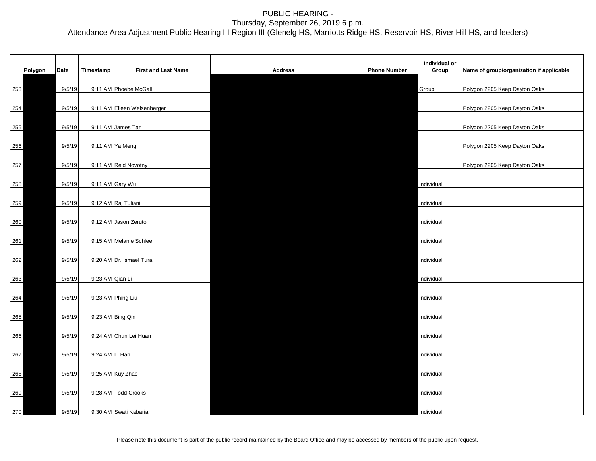|     | Polygon | Date   | Timestamp       | <b>First and Last Name</b>  | <b>Address</b> | <b>Phone Number</b> | Individual or<br>Group | Name of group/organization if applicable |
|-----|---------|--------|-----------------|-----------------------------|----------------|---------------------|------------------------|------------------------------------------|
| 253 |         | 9/5/19 |                 | 9:11 AM Phoebe McGall       |                |                     | Group                  | Polygon 2205 Keep Dayton Oaks            |
| 254 |         | 9/5/19 |                 | 9:11 AM Eileen Weisenberger |                |                     |                        | Polygon 2205 Keep Dayton Oaks            |
| 255 |         | 9/5/19 |                 | 9:11 AM James Tan           |                |                     |                        | Polygon 2205 Keep Dayton Oaks            |
| 256 |         | 9/5/19 |                 | 9:11 AM Ya Meng             |                |                     |                        | Polygon 2205 Keep Dayton Oaks            |
| 257 |         | 9/5/19 |                 | 9:11 AM Reid Novotny        |                |                     |                        | Polygon 2205 Keep Dayton Oaks            |
| 258 |         | 9/5/19 |                 | 9:11 AM Gary Wu             |                |                     | Individual             |                                          |
| 259 |         | 9/5/19 |                 | 9:12 AM Raj Tuliani         |                |                     | Individual             |                                          |
| 260 |         | 9/5/19 |                 | 9:12 AM Jason Zeruto        |                |                     | Individual             |                                          |
| 261 |         | 9/5/19 |                 | 9:15 AM Melanie Schlee      |                |                     | Individual             |                                          |
| 262 |         | 9/5/19 |                 | 9:20 AM Dr. Ismael Tura     |                |                     | Individual             |                                          |
| 263 |         | 9/5/19 | 9:23 AM Qian Li |                             |                |                     | Individual             |                                          |
| 264 |         | 9/5/19 |                 | 9:23 AM Phing Liu           |                |                     | Individual             |                                          |
| 265 |         | 9/5/19 |                 | 9:23 AM Bing Qin            |                |                     | Individual             |                                          |
| 266 |         | 9/5/19 |                 | 9:24 AM Chun Lei Huan       |                |                     | Individual             |                                          |
| 267 |         | 9/5/19 | 9:24 AM Li Han  |                             |                |                     | Individual             |                                          |
| 268 |         | 9/5/19 |                 | 9:25 AM Kuy Zhao            |                |                     | Individual             |                                          |
| 269 |         | 9/5/19 |                 | 9:28 AM Todd Crooks         |                |                     | Individual             |                                          |
| 270 |         | 9/5/19 |                 | 9:30 AM Swati Kabaria       |                |                     | Individual             |                                          |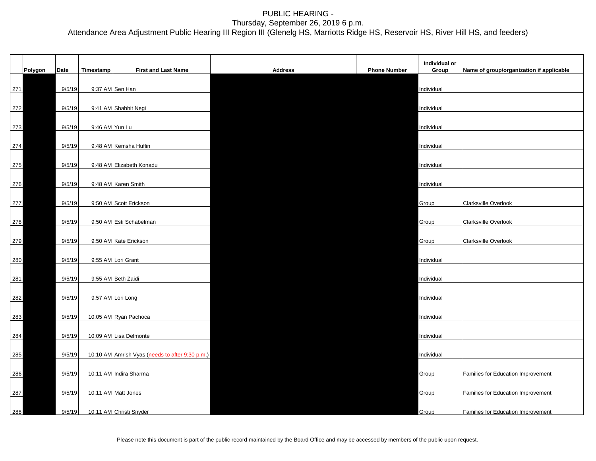|     |         |        |                |                                                 |                |                     | Individual or |                                          |
|-----|---------|--------|----------------|-------------------------------------------------|----------------|---------------------|---------------|------------------------------------------|
|     | Polygon | Date   | Timestamp      | <b>First and Last Name</b>                      | <b>Address</b> | <b>Phone Number</b> | Group         | Name of group/organization if applicable |
| 271 |         | 9/5/19 |                | 9:37 AM Sen Han                                 |                |                     | Individual    |                                          |
| 272 |         | 9/5/19 |                | 9:41 AM Shabhit Negi                            |                |                     | Individual    |                                          |
|     |         |        | 9:46 AM Yun Lu |                                                 |                |                     |               |                                          |
| 273 |         | 9/5/19 |                |                                                 |                |                     | Individual    |                                          |
| 274 |         | 9/5/19 |                | 9:48 AM Kemsha Huflin                           |                |                     | Individual    |                                          |
| 275 |         | 9/5/19 |                | 9:48 AM Elizabeth Konadu                        |                |                     | Individual    |                                          |
| 276 |         | 9/5/19 |                | 9:48 AM Karen Smith                             |                |                     | Individual    |                                          |
|     |         |        |                |                                                 |                |                     |               |                                          |
| 277 |         | 9/5/19 |                | 9:50 AM Scott Erickson                          |                |                     | Group         | Clarksville Overlook                     |
| 278 |         | 9/5/19 |                | 9:50 AM Esti Schabelman                         |                |                     | Group         | Clarksville Overlook                     |
|     |         |        |                |                                                 |                |                     |               |                                          |
| 279 |         | 9/5/19 |                | 9:50 AM Kate Erickson                           |                |                     | Group         | Clarksville Overlook                     |
| 280 |         | 9/5/19 |                | 9:55 AM Lori Grant                              |                |                     | Individual    |                                          |
| 281 |         | 9/5/19 |                | 9:55 AM Beth Zaidi                              |                |                     | Individual    |                                          |
|     |         |        |                |                                                 |                |                     |               |                                          |
| 282 |         | 9/5/19 |                | 9:57 AM Lori Long                               |                |                     | Individual    |                                          |
| 283 |         | 9/5/19 |                | 10:05 AM Ryan Pachoca                           |                |                     | Individual    |                                          |
|     |         | 9/5/19 |                | 10:09 AM Lisa Delmonte                          |                |                     | Individual    |                                          |
| 284 |         |        |                |                                                 |                |                     |               |                                          |
| 285 |         | 9/5/19 |                | 10:10 AM Amrish Vyas (needs to after 9:30 p.m.) |                |                     | Individual    |                                          |
| 286 |         | 9/5/19 |                | 10:11 AM Indira Sharma                          |                |                     | Group         | Families for Education Improvement       |
|     |         | 9/5/19 |                | 10:11 AM Matt Jones                             |                |                     |               |                                          |
| 287 |         |        |                |                                                 |                |                     | Group         | Families for Education Improvement       |
| 288 |         | 9/5/19 |                | 10:11 AM Christi Snyder                         |                |                     | Group         | Families for Education Improvement       |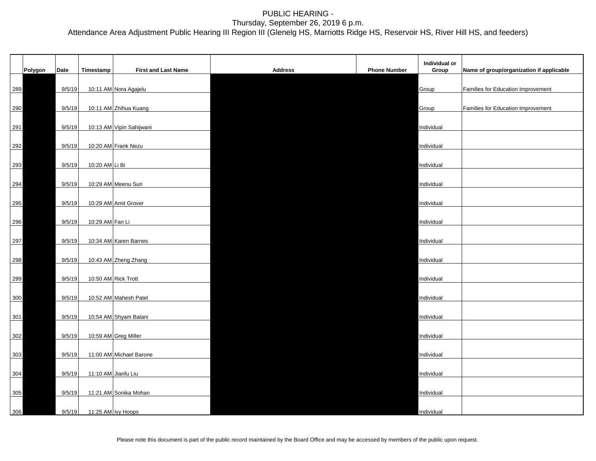|     | Polygon | Date   | Timestamp           | First and Last Name      | <b>Address</b> | <b>Phone Number</b> | Individual or<br>Group | Name of group/organization if applicable |
|-----|---------|--------|---------------------|--------------------------|----------------|---------------------|------------------------|------------------------------------------|
| 289 |         | 9/5/19 |                     | 10:11 AM Nora Agajelu    |                |                     | Group                  | Families for Education Improvement       |
| 290 |         | 9/5/19 |                     | 10:11 AM Zhihua Kuang    |                |                     | Group                  | Families for Education Improvement       |
| 291 |         | 9/5/19 |                     | 10:13 AM Vipin Sahijwani |                |                     | Individual             |                                          |
|     |         |        |                     |                          |                |                     |                        |                                          |
| 292 |         | 9/5/19 |                     | 10:20 AM Frank Nezu      |                |                     | Individual             |                                          |
| 293 |         | 9/5/19 | 10:20 AM Li Bi      |                          |                |                     | Individual             |                                          |
| 294 |         | 9/5/19 |                     | 10:29 AM Meenu Suri      |                |                     | Individual             |                                          |
| 295 |         | 9/5/19 |                     | 10:29 AM Amit Grover     |                |                     | Individual             |                                          |
| 296 |         | 9/5/19 | 10:29 AM Fan Li     |                          |                |                     | Individual             |                                          |
| 297 |         | 9/5/19 |                     | 10:34 AM Karen Barnes    |                |                     | Individual             |                                          |
| 298 |         | 9/5/19 |                     | 10:43 AM Zheng Zhang     |                |                     | Individual             |                                          |
| 299 |         | 9/5/19 | 10:50 AM Rick Trott |                          |                |                     | Individual             |                                          |
| 300 |         | 9/5/19 |                     | 10:52 AM Mahesh Patel    |                |                     | Individual             |                                          |
| 301 |         | 9/5/19 |                     | 10:54 AM Shyam Balani    |                |                     | Individual             |                                          |
| 302 |         | 9/5/19 |                     | 10:59 AM Greg Miller     |                |                     | Individual             |                                          |
| 303 |         | 9/5/19 |                     | 11:00 AM Michael Barone  |                |                     | Individual             |                                          |
| 304 |         | 9/5/19 | 11:10 AM Jianfu Liu |                          |                |                     | Individual             |                                          |
| 305 |         | 9/5/19 |                     | 11:21 AM Sonika Mohan    |                |                     | Individual             |                                          |
| 306 |         | 9/5/19 | 11:25 AM Ivy Hoops  |                          |                |                     | Individual             |                                          |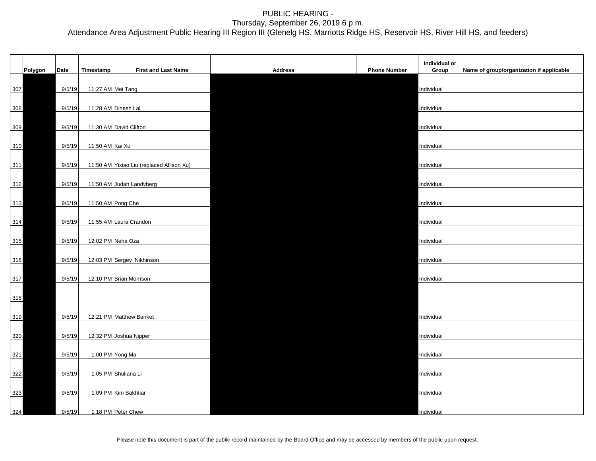|       |         |        |                   |                                           |                |                     | Individual or |                                          |
|-------|---------|--------|-------------------|-------------------------------------------|----------------|---------------------|---------------|------------------------------------------|
|       | Polygon | Date   | Timestamp         | <b>First and Last Name</b>                | <b>Address</b> | <b>Phone Number</b> | Group         | Name of group/organization if applicable |
| 307   |         | 9/5/19 | 11:27 AM Mei Tang |                                           |                |                     | Individual    |                                          |
| 308   |         | 9/5/19 |                   | 11:28 AM Dinesh Lal                       |                |                     | Individual    |                                          |
| 309   |         | 9/5/19 |                   | 11:30 AM David Clifton                    |                |                     | Individual    |                                          |
| 310   |         | 9/5/19 | 11:50 AM Kai Xu   |                                           |                |                     | Individual    |                                          |
|       |         |        |                   |                                           |                |                     |               |                                          |
| $311$ |         | 9/5/19 |                   | 11:50 AM Yixiao Liu (replaced Allison Xu) |                |                     | Individual    |                                          |
| 312   |         | 9/5/19 |                   | 11:50 AM Judah Landvberg                  |                |                     | Individual    |                                          |
| 313   |         | 9/5/19 | 11:50 AM Pong Che |                                           |                |                     | Individual    |                                          |
| 314   |         | 9/5/19 |                   | 11:55 AM Laura Crandon                    |                |                     | Individual    |                                          |
| 315   |         | 9/5/19 |                   | 12:02 PM Neha Oza                         |                |                     | Individual    |                                          |
| 316   |         | 9/5/19 |                   | 12:03 PM Sergey Nikhinson                 |                |                     | Individual    |                                          |
|       |         |        |                   |                                           |                |                     |               |                                          |
| 317   |         | 9/5/19 |                   | 12:10 PM Brian Morrison                   |                |                     | Individual    |                                          |
| 318   |         |        |                   |                                           |                |                     |               |                                          |
| 319   |         | 9/5/19 |                   | 12:21 PM Matthew Banket                   |                |                     | Individual    |                                          |
| 320   |         | 9/5/19 |                   | 12:32 PM Joshua Nipper                    |                |                     | Individual    |                                          |
|       |         |        |                   |                                           |                |                     |               |                                          |
| 321   |         | 9/5/19 |                   | 1:00 PM Yong Ma                           |                |                     | Individual    |                                          |
| 322   |         | 9/5/19 |                   | 1:05 PM Shuliana Li                       |                |                     | Individual    |                                          |
| 323   |         | 9/5/19 |                   | 1:09 PM Kim Bakhtiar                      |                |                     | Individual    |                                          |
| 324   |         | 9/5/19 |                   | 1:18 PM Peter Chew                        |                |                     | Individual    |                                          |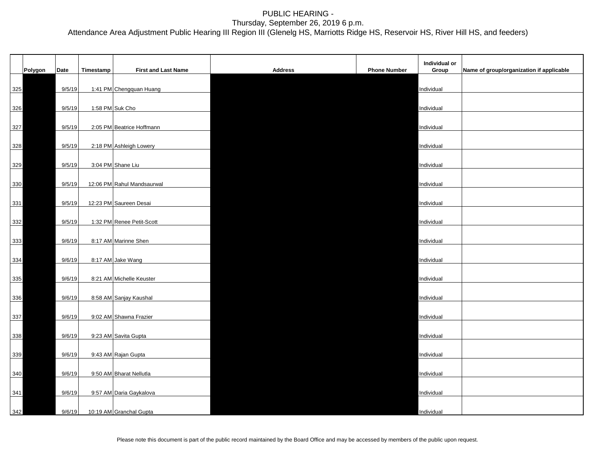|       | Polygon | Date   | Timestamp | <b>First and Last Name</b> | <b>Address</b> | <b>Phone Number</b> | Individual or<br>Group | Name of group/organization if applicable |
|-------|---------|--------|-----------|----------------------------|----------------|---------------------|------------------------|------------------------------------------|
| 325   |         | 9/5/19 |           | 1:41 PM Chengquan Huang    |                |                     | Individual             |                                          |
| 326   |         | 9/5/19 |           | 1:58 PM Suk Cho            |                |                     | Individual             |                                          |
| 327   |         | 9/5/19 |           | 2:05 PM Beatrice Hoffmann  |                |                     | Individual             |                                          |
| 328   |         | 9/5/19 |           | 2:18 PM Ashleigh Lowery    |                |                     | Individual             |                                          |
| 329   |         | 9/5/19 |           | 3:04 PM Shane Liu          |                |                     | Individual             |                                          |
| 330   |         | 9/5/19 |           | 12:06 PM Rahul Mandsaurwal |                |                     | Individual             |                                          |
| $331$ |         | 9/5/19 |           | 12:23 PM Saureen Desai     |                |                     | Individual             |                                          |
| 332   |         | 9/5/19 |           | 1:32 PM Renee Petit-Scott  |                |                     | Individual             |                                          |
| 333   |         | 9/6/19 |           | 8:17 AM Marinne Shen       |                |                     | Individual             |                                          |
| 334   |         | 9/6/19 |           | 8:17 AM Jake Wang          |                |                     | Individual             |                                          |
| 335   |         | 9/6/19 |           | 8:21 AM Michelle Keuster   |                |                     | Individual             |                                          |
| 336   |         | 9/6/19 |           | 8:58 AM Sanjay Kaushal     |                |                     | Individual             |                                          |
| 337   |         | 9/6/19 |           | 9:02 AM Shawna Frazier     |                |                     | Individual             |                                          |
| 338   |         | 9/6/19 |           | 9:23 AM Savita Gupta       |                |                     | Individual             |                                          |
| 339   |         | 9/6/19 |           | 9:43 AM Rajan Gupta        |                |                     | Individual             |                                          |
| 340   |         | 9/6/19 |           | 9:50 AM Bharat Nellutla    |                |                     | Individual             |                                          |
| $341$ |         | 9/6/19 |           | 9:57 AM Daria Gaykalova    |                |                     | Individual             |                                          |
| 342   |         | 9/6/19 |           | 10:19 AM Granchal Gupta    |                |                     | Individual             |                                          |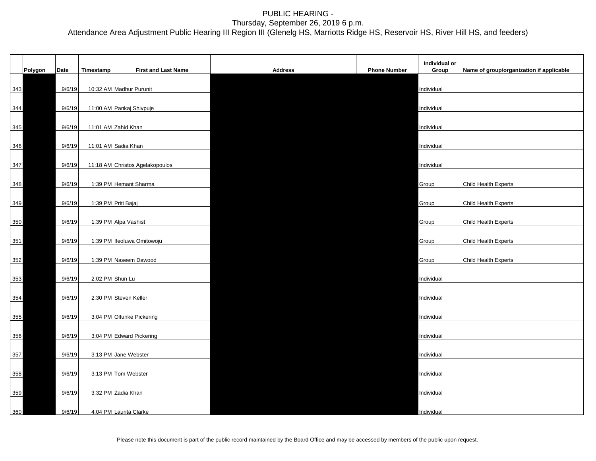|     |         |        |                 |                                 |                |                     | Individual or |                                          |
|-----|---------|--------|-----------------|---------------------------------|----------------|---------------------|---------------|------------------------------------------|
|     | Polygon | Date   | Timestamp       | <b>First and Last Name</b>      | <b>Address</b> | <b>Phone Number</b> | Group         | Name of group/organization if applicable |
| 343 |         | 9/6/19 |                 | 10:32 AM Madhur Purunit         |                |                     | Individual    |                                          |
| 344 |         | 9/6/19 |                 | 11:00 AM Pankaj Shivpuje        |                |                     | Individual    |                                          |
| 345 |         | 9/6/19 |                 | 11:01 AM Zahid Khan             |                |                     | Individual    |                                          |
| 346 |         | 9/6/19 |                 | 11:01 AM Sadia Khan             |                |                     | Individual    |                                          |
| 347 |         | 9/6/19 |                 | 11:18 AM Christos Agelakopoulos |                |                     | Individual    |                                          |
| 348 |         | 9/6/19 |                 | 1:39 PM Hemant Sharma           |                |                     | Group         | Child Health Experts                     |
| 349 |         | 9/6/19 |                 | 1:39 PM Priti Bajaj             |                |                     | Group         | Child Health Experts                     |
| 350 |         | 9/6/19 |                 | 1:39 PM Alpa Vashist            |                |                     | Group         | Child Health Experts                     |
| 351 |         | 9/6/19 |                 | 1:39 PM Ifeoluwa Omitowoju      |                |                     | Group         | Child Health Experts                     |
| 352 |         | 9/6/19 |                 | 1:39 PM Naseem Dawood           |                |                     | Group         | Child Health Experts                     |
| 353 |         | 9/6/19 | 2:02 PM Shun Lu |                                 |                |                     | Individual    |                                          |
| 354 |         | 9/6/19 |                 | 2:30 PM Steven Keller           |                |                     | Individual    |                                          |
| 355 |         | 9/6/19 |                 | 3:04 PM Olfunke Pickering       |                |                     | Individual    |                                          |
|     |         | 9/6/19 |                 | 3:04 PM Edward Pickering        |                |                     | Individual    |                                          |
| 356 |         |        |                 |                                 |                |                     |               |                                          |
| 357 |         | 9/6/19 |                 | 3:13 PM Jane Webster            |                |                     | Individual    |                                          |
| 358 |         | 9/6/19 |                 | 3:13 PM Tom Webster             |                |                     | Individual    |                                          |
| 359 |         | 9/6/19 |                 | 3:32 PM Zadia Khan              |                |                     | Individual    |                                          |
| 360 |         | 9/6/19 |                 | 4:04 PM Laurita Clarke          |                |                     | Individual    |                                          |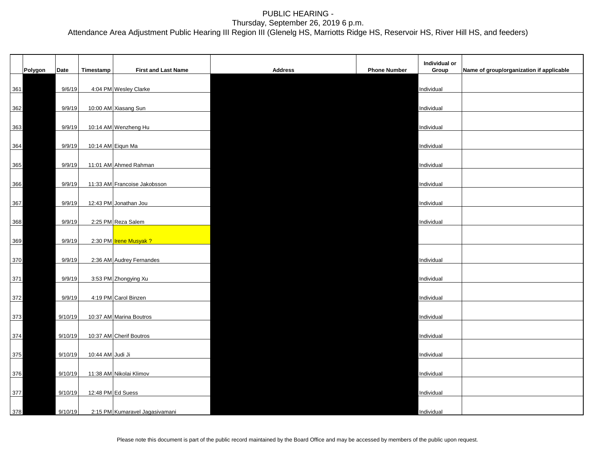| Polygon | Date    | Timestamp         | <b>First and Last Name</b>     | <b>Address</b> | <b>Phone Number</b> | Individual or<br>Group | Name of group/organization if applicable |
|---------|---------|-------------------|--------------------------------|----------------|---------------------|------------------------|------------------------------------------|
|         |         |                   |                                |                |                     |                        |                                          |
| 361     | 9/6/19  |                   | 4:04 PM Wesley Clarke          |                |                     | Individual             |                                          |
| 362     | 9/9/19  |                   | 10:00 AM Xiasang Sun           |                |                     | Individual             |                                          |
| 363     | 9/9/19  |                   | 10:14 AM Wenzheng Hu           |                |                     | Individual             |                                          |
| 364     | 9/9/19  |                   | 10:14 AM Eiqun Ma              |                |                     | Individual             |                                          |
|         |         |                   |                                |                |                     |                        |                                          |
| 365     | 9/9/19  |                   | 11:01 AM Ahmed Rahman          |                |                     | Individual             |                                          |
| 366     | 9/9/19  |                   | 11:33 AM Francoise Jakobsson   |                |                     | Individual             |                                          |
| 367     | 9/9/19  |                   | 12:43 PM Jonathan Jou          |                |                     | Individual             |                                          |
|         | 9/9/19  |                   | 2:25 PM Reza Salem             |                |                     | Individual             |                                          |
| 368     |         |                   |                                |                |                     |                        |                                          |
| 369     | 9/9/19  |                   | 2:30 PM Trene Musyak ?         |                |                     |                        |                                          |
| 370     | 9/9/19  |                   | 2:36 AM Audrey Fernandes       |                |                     | Individual             |                                          |
| 371     | 9/9/19  |                   | 3:53 PM Zhongying Xu           |                |                     | Individual             |                                          |
| 372     | 9/9/19  |                   | 4:19 PM Carol Binzen           |                |                     | Individual             |                                          |
|         |         |                   |                                |                |                     |                        |                                          |
| 373     | 9/10/19 |                   | 10:37 AM Marina Boutros        |                |                     | Individual             |                                          |
| 374     | 9/10/19 |                   | 10:37 AM Cherif Boutros        |                |                     | Individual             |                                          |
| 375     | 9/10/19 | 10:44 AM Judi Ji  |                                |                |                     | Individual             |                                          |
| 376     | 9/10/19 |                   | 11:38 AM Nikolai Klimov        |                |                     | Individual             |                                          |
| 377     | 9/10/19 | 12:48 PM Ed Suess |                                |                |                     | Individual             |                                          |
| 378     | 9/10/19 |                   | 2:15 PM Kumaravel Jagasivamani |                |                     | Individual             |                                          |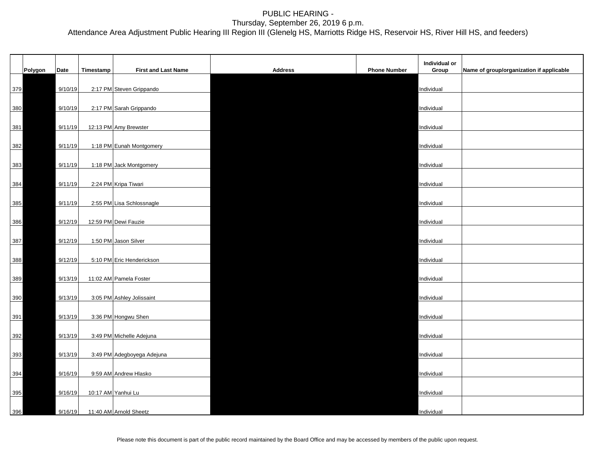|     | Polygon | Date    | Timestamp | <b>First and Last Name</b> | <b>Address</b> | <b>Phone Number</b> | Individual or<br>Group | Name of group/organization if applicable |
|-----|---------|---------|-----------|----------------------------|----------------|---------------------|------------------------|------------------------------------------|
| 379 |         | 9/10/19 |           | 2:17 PM Steven Grippando   |                |                     | Individual             |                                          |
| 380 |         | 9/10/19 |           | 2:17 PM Sarah Grippando    |                |                     | Individual             |                                          |
| 381 |         | 9/11/19 |           | 12:13 PM Amy Brewster      |                |                     | Individual             |                                          |
| 382 |         | 9/11/19 |           | 1:18 PM Eunah Montgomery   |                |                     | Individual             |                                          |
| 383 |         | 9/11/19 |           | 1:18 PM Jack Montgomery    |                |                     | Individual             |                                          |
| 384 |         | 9/11/19 |           | 2:24 PM Kripa Tiwari       |                |                     | Individual             |                                          |
| 385 |         | 9/11/19 |           | 2:55 PM Lisa Schlossnagle  |                |                     | Individual             |                                          |
| 386 |         | 9/12/19 |           | 12:59 PM Dewi Fauzie       |                |                     | Individual             |                                          |
| 387 |         | 9/12/19 |           | 1:50 PM Jason Silver       |                |                     | Individual             |                                          |
| 388 |         | 9/12/19 |           | 5:10 PM Eric Henderickson  |                |                     | Individual             |                                          |
| 389 |         | 9/13/19 |           | 11:02 AM Pamela Foster     |                |                     | Individual             |                                          |
| 390 |         | 9/13/19 |           | 3:05 PM Ashley Jolissaint  |                |                     | Individual             |                                          |
| 391 |         | 9/13/19 |           | 3:36 PM Hongwu Shen        |                |                     | Individual             |                                          |
| 392 |         | 9/13/19 |           | 3:49 PM Michelle Adejuna   |                |                     | Individual             |                                          |
| 393 |         | 9/13/19 |           | 3:49 PM Adegboyega Adejuna |                |                     | Individual             |                                          |
| 394 |         | 9/16/19 |           | 9:59 AM Andrew Hlasko      |                |                     | Individual             |                                          |
| 395 |         | 9/16/19 |           | 10:17 AM Yanhui Lu         |                |                     | Individual             |                                          |
| 396 |         | 9/16/19 |           | 11:40 AM Arnold Sheetz     |                |                     | Individual             |                                          |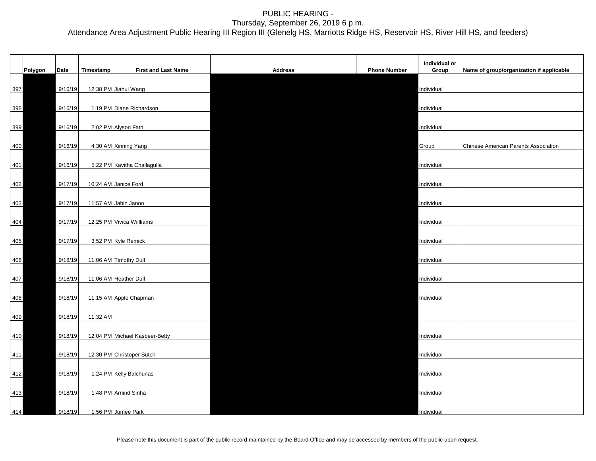|     |         |         |           |                                |                |                     | Individual or |                                          |
|-----|---------|---------|-----------|--------------------------------|----------------|---------------------|---------------|------------------------------------------|
|     | Polygon | Date    | Timestamp | <b>First and Last Name</b>     | <b>Address</b> | <b>Phone Number</b> | Group         | Name of group/organization if applicable |
| 397 |         | 9/16/19 |           | 12:38 PM Jiahui Wang           |                |                     | Individual    |                                          |
| 398 |         | 9/16/19 |           | 1:19 PM Diane Richardson       |                |                     | Individual    |                                          |
| 399 |         | 9/16/19 |           | 2:02 PM Alyson Fath            |                |                     | Individual    |                                          |
|     |         |         |           |                                |                |                     |               |                                          |
| 400 |         | 9/16/19 |           | 4:30 AM Xinning Yang           |                |                     | Group         | Chinese American Parents Association     |
| 401 |         | 9/16/19 |           | 5:22 PM Kavitha Challagulla    |                |                     | Individual    |                                          |
| 402 |         | 9/17/19 |           | 10:24 AM Janice Ford           |                |                     | Individual    |                                          |
| 403 |         | 9/17/19 |           | 11:57 AM Jabin Janoo           |                |                     | Individual    |                                          |
| 404 |         | 9/17/19 |           | 12:25 PM Vivica Willliams      |                |                     | Individual    |                                          |
|     |         |         |           |                                |                |                     |               |                                          |
| 405 |         | 9/17/19 |           | 3:52 PM Kyle Remick            |                |                     | Individual    |                                          |
| 406 |         | 9/18/19 |           | 11:06 AM Timothy Dull          |                |                     | Individual    |                                          |
| 407 |         | 9/18/19 |           | 11:06 AM Heather Dull          |                |                     | Individual    |                                          |
| 408 |         | 9/18/19 |           | 11:15 AM Apple Chapman         |                |                     | Individual    |                                          |
| 409 |         | 9/18/19 | 11:32 AM  |                                |                |                     |               |                                          |
|     |         |         |           |                                |                |                     |               |                                          |
| 410 |         | 9/18/19 |           | 12:04 PM Michael Kasbeer-Betty |                |                     | Individual    |                                          |
| 411 |         | 9/18/19 |           | 12:30 PM Christoper Sutch      |                |                     | Individual    |                                          |
| 412 |         | 9/18/19 |           | 1:24 PM Kelly Balchunas        |                |                     | Individual    |                                          |
| 413 |         | 9/18/19 |           | 1:48 PM Arnind Sinha           |                |                     | Individual    |                                          |
| 414 |         | 9/18/19 |           | 1:56 PM Jumee Park             |                |                     | Individual    |                                          |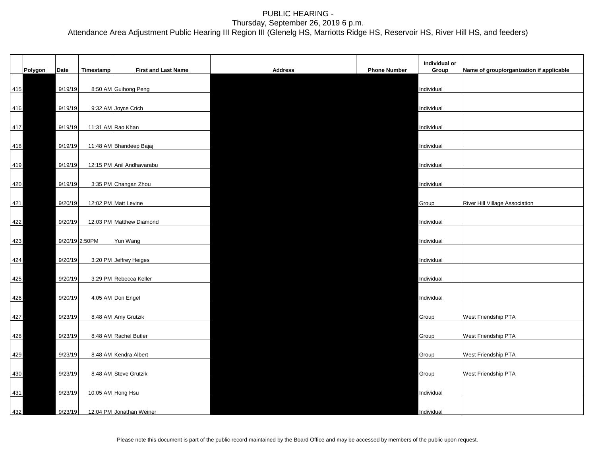|     | Polygon | Date    | Timestamp         | <b>First and Last Name</b> | <b>Address</b> | <b>Phone Number</b> | Individual or<br>Group | Name of group/organization if applicable |
|-----|---------|---------|-------------------|----------------------------|----------------|---------------------|------------------------|------------------------------------------|
| 415 |         | 9/19/19 |                   | 8:50 AM Guihong Peng       |                |                     | Individual             |                                          |
| 416 |         | 9/19/19 |                   | 9:32 AM Joyce Crich        |                |                     | Individual             |                                          |
| 417 |         | 9/19/19 | 11:31 AM Rao Khan |                            |                |                     | Individual             |                                          |
| 418 |         | 9/19/19 |                   | 11:48 AM Bhandeep Bajaj    |                |                     | Individual             |                                          |
| 419 |         | 9/19/19 |                   | 12:15 PM Anil Andhavarabu  |                |                     | Individual             |                                          |
| 420 |         | 9/19/19 |                   | 3:35 PM Changan Zhou       |                |                     | Individual             |                                          |
| 421 |         | 9/20/19 |                   | 12:02 PM Matt Levine       |                |                     | Group                  | <b>River Hill Village Association</b>    |
| 422 |         | 9/20/19 |                   | 12:03 PM Matthew Diamond   |                |                     | Individual             |                                          |
| 423 |         |         | 9/20/19 2:50PM    | Yun Wang                   |                |                     | Individual             |                                          |
| 424 |         | 9/20/19 |                   | 3:20 PM Jeffrey Heiges     |                |                     | Individual             |                                          |
| 425 |         | 9/20/19 |                   | 3:29 PM Rebecca Keller     |                |                     | Individual             |                                          |
| 426 |         | 9/20/19 |                   | 4:05 AM Don Engel          |                |                     | Individual             |                                          |
| 427 |         | 9/23/19 |                   | 8:48 AM Amy Grutzik        |                |                     | Group                  | West Friendship PTA                      |
| 428 |         | 9/23/19 |                   | 8:48 AM Rachel Butler      |                |                     | Group                  | West Friendship PTA                      |
| 429 |         | 9/23/19 |                   | 8:48 AM Kendra Albert      |                |                     | Group                  | West Friendship PTA                      |
| 430 |         | 9/23/19 |                   | 8:48 AM Steve Grutzik      |                |                     | Group                  | West Friendship PTA                      |
| 431 |         | 9/23/19 |                   | 10:05 AM Hong Hsu          |                |                     | Individual             |                                          |
| 432 |         | 9/23/19 |                   | 12:04 PM Jonathan Weiner   |                |                     | Individual             |                                          |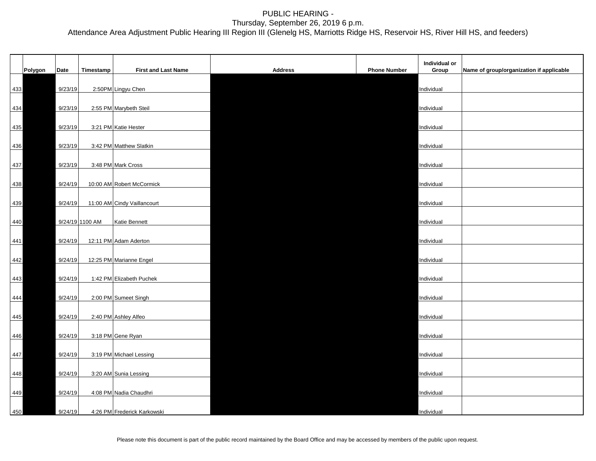|     |         |         |                 |                             |                |                     | Individual or |                                          |
|-----|---------|---------|-----------------|-----------------------------|----------------|---------------------|---------------|------------------------------------------|
|     | Polygon | Date    | Timestamp       | <b>First and Last Name</b>  | <b>Address</b> | <b>Phone Number</b> | Group         | Name of group/organization if applicable |
| 433 |         | 9/23/19 |                 | 2:50PM Lingyu Chen          |                |                     | Individual    |                                          |
| 434 |         | 9/23/19 |                 | 2:55 PM Marybeth Steil      |                |                     | Individual    |                                          |
| 435 |         | 9/23/19 |                 | 3:21 PM Katie Hester        |                |                     | Individual    |                                          |
| 436 |         | 9/23/19 |                 | 3:42 PM Matthew Slatkin     |                |                     | Individual    |                                          |
|     |         |         |                 |                             |                |                     |               |                                          |
| 437 |         | 9/23/19 |                 | 3:48 PM Mark Cross          |                |                     | Individual    |                                          |
| 438 |         | 9/24/19 |                 | 10:00 AM Robert McCormick   |                |                     | Individual    |                                          |
| 439 |         | 9/24/19 |                 | 11:00 AM Cindy Vaillancourt |                |                     | Individual    |                                          |
| 440 |         |         | 9/24/19 1100 AM | Katie Bennett               |                |                     | Individual    |                                          |
| 441 |         | 9/24/19 |                 | 12:11 PM Adam Aderton       |                |                     | Individual    |                                          |
| 442 |         | 9/24/19 |                 | 12:25 PM Marianne Engel     |                |                     | Individual    |                                          |
|     |         |         |                 |                             |                |                     |               |                                          |
| 443 |         | 9/24/19 |                 | 1:42 PM Elizabeth Puchek    |                |                     | Individual    |                                          |
| 444 |         | 9/24/19 |                 | 2:00 PM Sumeet Singh        |                |                     | Individual    |                                          |
| 445 |         | 9/24/19 |                 | 2:40 PM Ashley Alfeo        |                |                     | Individual    |                                          |
| 446 |         | 9/24/19 |                 | 3:18 PM Gene Ryan           |                |                     | Individual    |                                          |
| 447 |         | 9/24/19 |                 | 3:19 PM Michael Lessing     |                |                     | Individual    |                                          |
| 448 |         | 9/24/19 |                 | 3:20 AM Sunia Lessing       |                |                     | Individual    |                                          |
| 449 |         | 9/24/19 |                 | 4:08 PM Nadia Chaudhri      |                |                     | Individual    |                                          |
| 450 |         | 9/24/19 |                 | 4:26 PM Frederick Karkowski |                |                     | Individual    |                                          |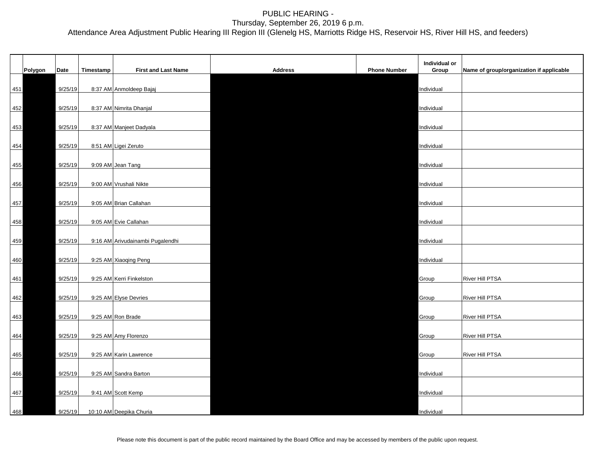|     | Polygon | Date    | Timestamp | <b>First and Last Name</b>       | <b>Address</b> | <b>Phone Number</b> | Individual or<br>Group | Name of group/organization if applicable |
|-----|---------|---------|-----------|----------------------------------|----------------|---------------------|------------------------|------------------------------------------|
| 451 |         | 9/25/19 |           | 8:37 AM Anmoldeep Bajaj          |                |                     | Individual             |                                          |
| 452 |         | 9/25/19 |           | 8:37 AM Nimrita Dhanjal          |                |                     | Individual             |                                          |
| 453 |         | 9/25/19 |           | 8:37 AM Manjeet Dadyala          |                |                     | Individual             |                                          |
| 454 |         | 9/25/19 |           | 8:51 AM Ligei Zeruto             |                |                     | Individual             |                                          |
| 455 |         | 9/25/19 |           | 9:09 AM Jean Tang                |                |                     | Individual             |                                          |
| 456 |         | 9/25/19 |           | 9:00 AM Vrushali Nikte           |                |                     | Individual             |                                          |
| 457 |         | 9/25/19 |           | 9:05 AM Brian Callahan           |                |                     | Individual             |                                          |
| 458 |         | 9/25/19 |           | 9:05 AM Evie Callahan            |                |                     | Individual             |                                          |
| 459 |         | 9/25/19 |           | 9:16 AM Arivudainambi Pugalendhi |                |                     | Individual             |                                          |
| 460 |         | 9/25/19 |           | 9:25 AM Xiaoqing Peng            |                |                     | Individual             |                                          |
| 461 |         | 9/25/19 |           | 9:25 AM Kerri Finkelston         |                |                     | Group                  | <b>River Hill PTSA</b>                   |
| 462 |         | 9/25/19 |           | 9:25 AM Elyse Devries            |                |                     | Group                  | <b>River Hill PTSA</b>                   |
| 463 |         | 9/25/19 |           | 9:25 AM Ron Brade                |                |                     | Group                  | <b>River Hill PTSA</b>                   |
| 464 |         | 9/25/19 |           | 9:25 AM Amy Florenzo             |                |                     | Group                  | <b>River Hill PTSA</b>                   |
| 465 |         | 9/25/19 |           | 9:25 AM Karin Lawrence           |                |                     | Group                  | <b>River Hill PTSA</b>                   |
| 466 |         | 9/25/19 |           | 9:25 AM Sandra Barton            |                |                     | Individual             |                                          |
| 467 |         | 9/25/19 |           | 9:41 AM Scott Kemp               |                |                     | Individual             |                                          |
| 468 |         | 9/25/19 |           | 10:10 AM Deepika Churia          |                |                     | Individual             |                                          |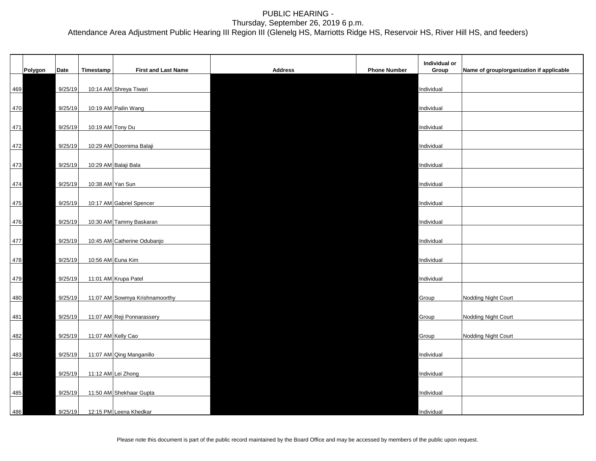|     |         |         |                  |                                |                |                     | Individual or |                                          |
|-----|---------|---------|------------------|--------------------------------|----------------|---------------------|---------------|------------------------------------------|
|     | Polygon | Date    | Timestamp        | <b>First and Last Name</b>     | <b>Address</b> | <b>Phone Number</b> | Group         | Name of group/organization if applicable |
| 469 |         | 9/25/19 |                  | 10:14 AM Shreya Tiwari         |                |                     | Individual    |                                          |
| 470 |         | 9/25/19 |                  | 10:19 AM Pailin Wang           |                |                     | Individual    |                                          |
| 471 |         | 9/25/19 | 10:19 AM Tony Du |                                |                |                     | Individual    |                                          |
| 472 |         | 9/25/19 |                  | 10:29 AM Doornima Balaji       |                |                     | Individual    |                                          |
| 473 |         | 9/25/19 |                  | 10:29 AM Balaji Bala           |                |                     | Individual    |                                          |
| 474 |         | 9/25/19 | 10:38 AM Yan Sun |                                |                |                     | Individual    |                                          |
| 475 |         | 9/25/19 |                  | 10:17 AM Gabriel Spencer       |                |                     | Individual    |                                          |
|     |         |         |                  |                                |                |                     |               |                                          |
| 476 |         | 9/25/19 |                  | 10:30 AM Tammy Baskaran        |                |                     | Individual    |                                          |
| 477 |         | 9/25/19 |                  | 10:45 AM Catherine Odubanjo    |                |                     | Individual    |                                          |
| 478 |         | 9/25/19 |                  | 10:56 AM Euna Kim              |                |                     | Individual    |                                          |
| 479 |         | 9/25/19 |                  | 11:01 AM Krupa Patel           |                |                     | Individual    |                                          |
| 480 |         | 9/25/19 |                  | 11:07 AM Sowmya Krishnamoorthy |                |                     | Group         | Nodding Night Court                      |
| 481 |         | 9/25/19 |                  | 11:07 AM Reji Ponnarassery     |                |                     | Group         | Nodding Night Court                      |
| 482 |         | 9/25/19 |                  | 11:07 AM Kelly Cao             |                |                     | Group         | Nodding Night Court                      |
| 483 |         | 9/25/19 |                  | 11:07 AM Qing Manganillo       |                |                     | Individual    |                                          |
| 484 |         | 9/25/19 |                  | 11:12 AM Lei Zhong             |                |                     | Individual    |                                          |
| 485 |         | 9/25/19 |                  | 11:50 AM Shekhaar Gupta        |                |                     | Individual    |                                          |
| 486 |         | 9/25/19 |                  | 12:15 PM Leena Khedkar         |                |                     | Individual    |                                          |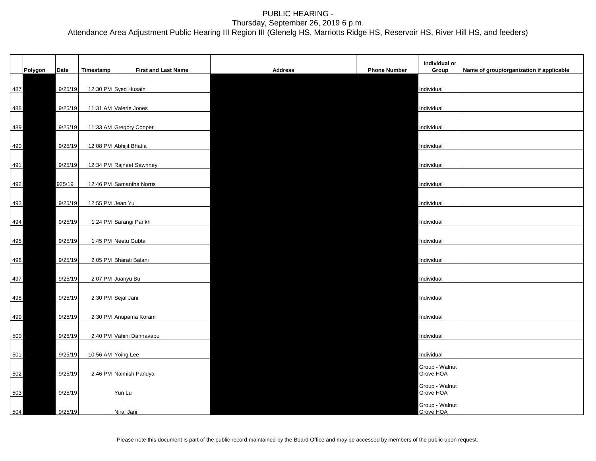|     |         |         |                  |                            |                |                     | Individual or               |                                          |
|-----|---------|---------|------------------|----------------------------|----------------|---------------------|-----------------------------|------------------------------------------|
|     | Polygon | Date    | Timestamp        | <b>First and Last Name</b> | <b>Address</b> | <b>Phone Number</b> | Group                       | Name of group/organization if applicable |
| 487 |         | 9/25/19 |                  | 12:30 PM Syed Husain       |                |                     | Individual                  |                                          |
| 488 |         | 9/25/19 |                  | 11:31 AM Valerie Jones     |                |                     | Individual                  |                                          |
| 489 |         | 9/25/19 |                  | 11:33 AM Gregory Cooper    |                |                     | Individual                  |                                          |
| 490 |         | 9/25/19 |                  | 12:08 PM Abhijit Bhatia    |                |                     | Individual                  |                                          |
| 491 |         | 9/25/19 |                  | 12:34 PM Rajneet Sawhney   |                |                     | Individual                  |                                          |
| 492 |         | 925/19  |                  | 12:46 PM Samantha Norris   |                |                     | Individual                  |                                          |
| 493 |         | 9/25/19 | 12:55 PM Jean Yu |                            |                |                     | Individual                  |                                          |
| 494 |         | 9/25/19 |                  | 1:24 PM Sarangi Parlkh     |                |                     | Individual                  |                                          |
| 495 |         | 9/25/19 |                  | 1:45 PM Neetu Gubta        |                |                     | Individual                  |                                          |
| 496 |         | 9/25/19 |                  | 2:05 PM Bharati Balani     |                |                     | Individual                  |                                          |
| 497 |         | 9/25/19 |                  | 2:07 PM Juanyu Bu          |                |                     | Individual                  |                                          |
| 498 |         | 9/25/19 |                  | 2:30 PM Sejal Jani         |                |                     | Individual                  |                                          |
| 499 |         | 9/25/19 |                  | 2:30 PM Anupama Koram      |                |                     | Individual                  |                                          |
| 500 |         | 9/25/19 |                  | 2:40 PM Vahini Dannavapu   |                |                     | Individual                  |                                          |
| 501 |         | 9/25/19 |                  | 10:56 AM Yoing Lee         |                |                     | Individual                  |                                          |
| 502 |         | 9/25/19 |                  | 2:46 PM Naimish Pandya     |                |                     | Group - Walnut<br>Grove HOA |                                          |
| 503 |         | 9/25/19 |                  | Yun Lu                     |                |                     | Group - Walnut<br>Grove HOA |                                          |
| 504 |         | 9/25/19 |                  | Niraj Jani                 |                |                     | Group - Walnut<br>Grove HOA |                                          |